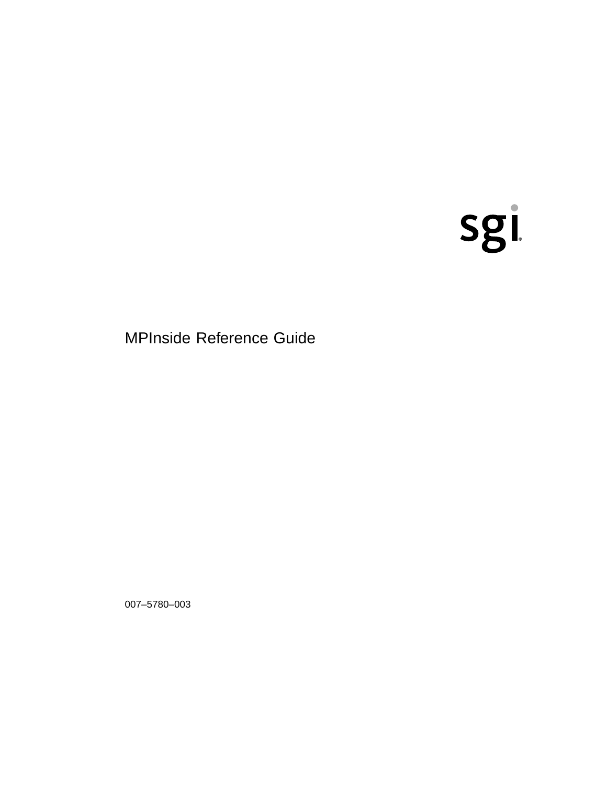# sgi

**MPInside Reference Guide** 

007-5780-003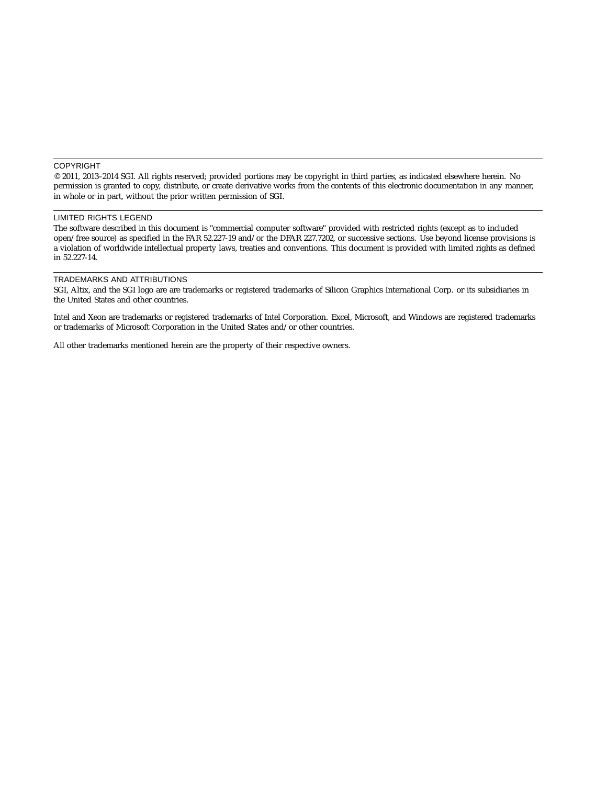#### COPYRIGHT

© 2011, 2013–2014 SGI. All rights reserved; provided portions may be copyright in third parties, as indicated elsewhere herein. No permission is granted to copy, distribute, or create derivative works from the contents of this electronic documentation in any manner, in whole or in part, without the prior written permission of SGI.

#### LIMITED RIGHTS LEGEND

The software described in this document is "commercial computer software" provided with restricted rights (except as to included open/free source) as specified in the FAR 52.227-19 and/or the DFAR 227.7202, or successive sections. Use beyond license provisions is a violation of worldwide intellectual property laws, treaties and conventions. This document is provided with limited rights as defined in 52.227-14.

#### TRADEMARKS AND ATTRIBUTIONS

SGI, Altix, and the SGI logo are are trademarks or registered trademarks of Silicon Graphics International Corp. or its subsidiaries in the United States and other countries.

Intel and Xeon are trademarks or registered trademarks of Intel Corporation. Excel, Microsoft, and Windows are registered trademarks or trademarks of Microsoft Corporation in the United States and/or other countries.

All other trademarks mentioned herein are the property of their respective owners.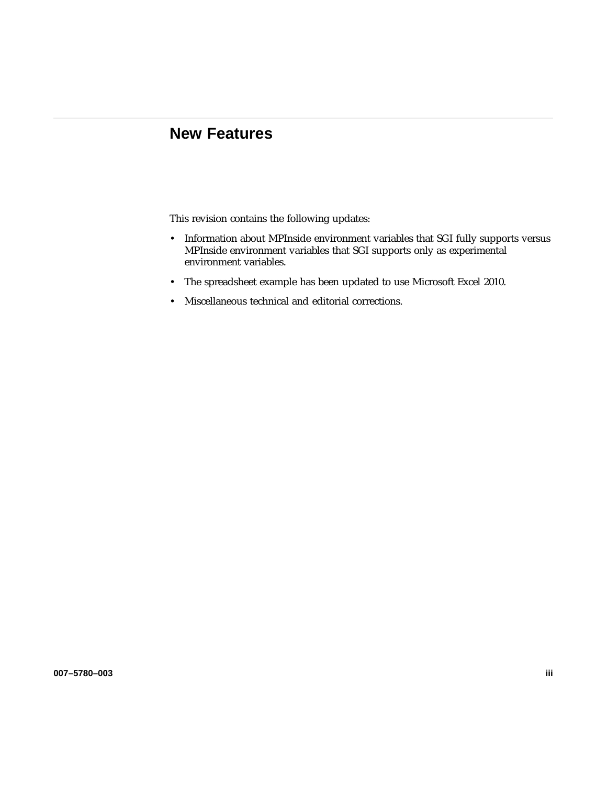# **New Features**

This revision contains the following updates:

- Information about MPInside environment variables that SGI fully supports versus MPInside environment variables that SGI supports only as experimental environment variables.
- The spreadsheet example has been updated to use Microsoft Excel 2010.
- Miscellaneous technical and editorial corrections.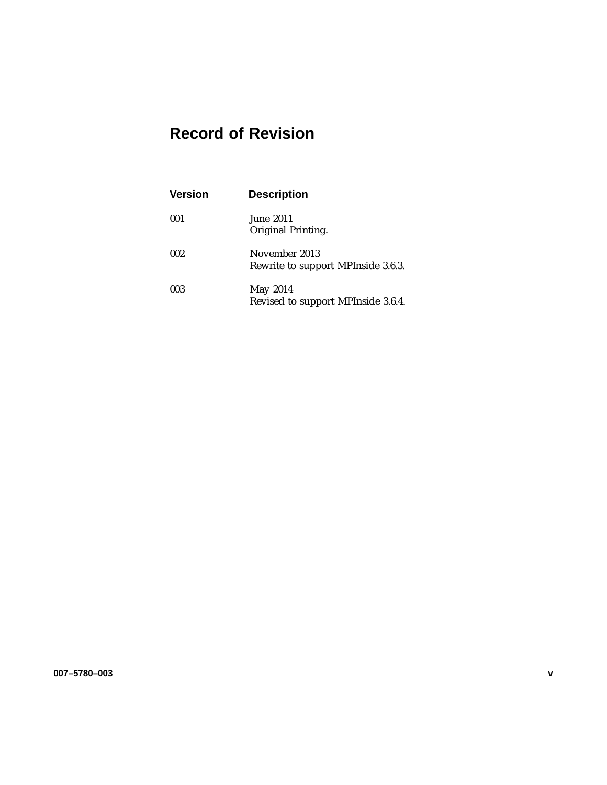# **Record of Revision**

| <b>Version</b> | <b>Description</b>                                  |
|----------------|-----------------------------------------------------|
| 001            | June 2011<br>Original Printing.                     |
| 002            | November 2013<br>Rewrite to support MPInside 3.6.3. |
| 003            | May 2014<br>Revised to support MPInside 3.6.4.      |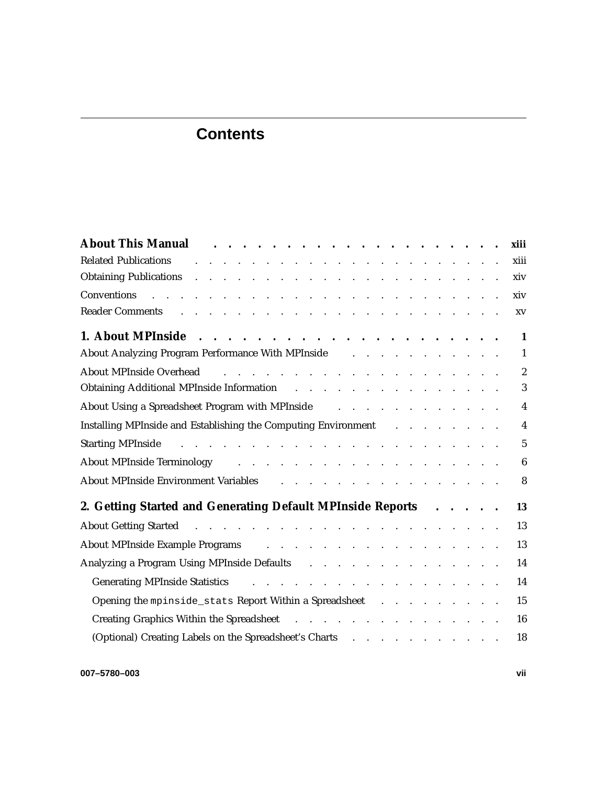# **Contents**

| About This Manual Albour Albout This Manual Albout This Manual                                                                                                                                                                 |  |  | xiii             |
|--------------------------------------------------------------------------------------------------------------------------------------------------------------------------------------------------------------------------------|--|--|------------------|
| the contract of the contract of the contract of the contract of the contract of<br><b>Related Publications</b>                                                                                                                 |  |  | xiii             |
| Obtaining Publications and a series and a series of the series of the series of the series of the series of the                                                                                                                |  |  | xiv              |
| والمتعاون والمتعاون والمتعاون والمتعاون والمتعاون والمتعاون والمتعاون والمتعاون والمتعاونة والمتعاون<br>Conventions                                                                                                            |  |  | xiv              |
| Reader Comments and a contract the contract of the contract of the contract of the contract of the contract of                                                                                                                 |  |  | XV               |
|                                                                                                                                                                                                                                |  |  | $\mathbf{1}$     |
| About Analyzing Program Performance With MPInside Albout Analyzing Program Performance With MPInside Albourgie                                                                                                                 |  |  | 1                |
| and the contract of the contract of the contract of the contract of<br><b>About MPInside Overhead</b>                                                                                                                          |  |  | $\boldsymbol{2}$ |
| Obtaining Additional MPInside Information and a subset of the set of the set of the set of the set of the set of the set of the set of the set of the set of the set of the set of the set of the set of the set of the set of |  |  | 3                |
| About Using a Spreadsheet Program with MPInside and a subset of the set of the Spreadsheet Program with MPInside                                                                                                               |  |  | $\overline{4}$   |
| Installing MPInside and Establishing the Computing Environment Fig. 2014. The Computing Environment Fig. 2014.                                                                                                                 |  |  | $\overline{4}$   |
|                                                                                                                                                                                                                                |  |  | $\overline{5}$   |
| About MPInside Terminology (a) and a contract the contract of the contract of the contract of the contract of the contract of the contract of the contract of the contract of the contract of the contract of the contract of  |  |  | $\boldsymbol{6}$ |
| About MPInside Environment Variables (Allen Lander and Alexander Alexander Alexander Alexander Alexander Alexander Alexander Alexander Alexander Alexander Alexander Alexander Alexander Alexander Alexander Alexander Alexand |  |  | 8                |
| 2. Getting Started and Generating Default MPInside Reports                                                                                                                                                                     |  |  | 13               |
| About Getting Started <b>Action</b> 2018 <b>About Getting Started Action</b> 2018 <b>Action</b> 2018 <b>Action</b> 2018 <b>Action</b> 2018                                                                                     |  |  | 13               |
| About MPInside Example Programs and a contract to contract the Programs and a contract to contract the contract of the contract of the contract of the contract of the contract of the contract of the contract of the contrac |  |  | 13               |
| Analyzing a Program Using MPInside Defaults (also contained a second contact of the Analyzing a Program Using MPInside Defaults                                                                                                |  |  | 14               |
|                                                                                                                                                                                                                                |  |  | 14               |
| Opening the mpinside_stats Report Within a Spreadsheet                                                                                                                                                                         |  |  | 15               |
| Creating Graphics Within the Spreadsheet                                                                                                                                                                                       |  |  | 16               |
| (Optional) Creating Labels on the Spreadsheet's Charts (Fig. 2014) (Charts (Fig. 2014) (Charts (Fig. 2014) (Charts (Fig. 2014) (Charts (Fig. 2014) (Charts (Fig. 2014) (Charts (Fig. 2014) (Charts (Fig. 2014) (Charts (Fig. 2 |  |  | 18               |
|                                                                                                                                                                                                                                |  |  |                  |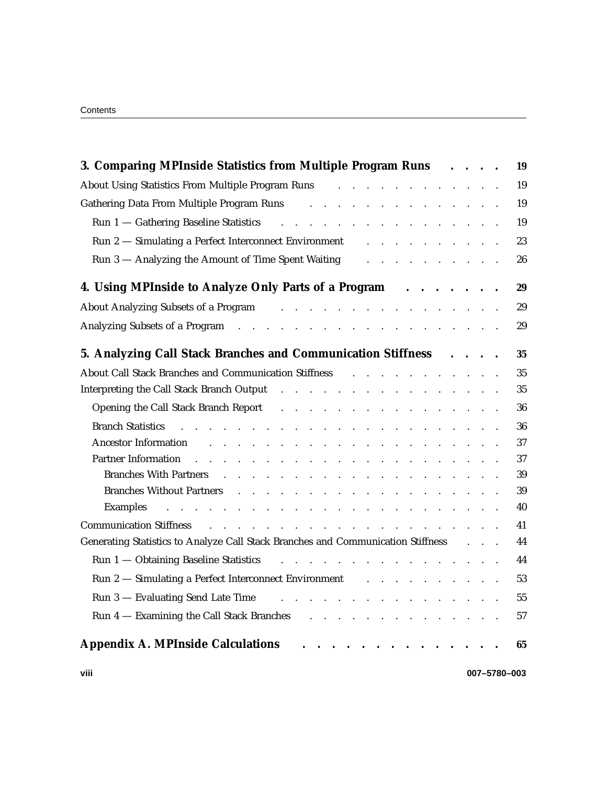| Contents |
|----------|
|----------|

| 3. Comparing MPInside Statistics from Multiple Program Runs                                                                                                                                                                                                                                                                              |  | $\cdots$ | 19 |
|------------------------------------------------------------------------------------------------------------------------------------------------------------------------------------------------------------------------------------------------------------------------------------------------------------------------------------------|--|----------|----|
| About Using Statistics From Multiple Program Runs<br>and the contract of the contract of the                                                                                                                                                                                                                                             |  |          | 19 |
| Gathering Data From Multiple Program Runs<br>$\mathbf{r} = \mathbf{r} \cdot \mathbf{r}$ , $\mathbf{r} = \mathbf{r} \cdot \mathbf{r}$                                                                                                                                                                                                     |  |          | 19 |
| Run 1 - Gathering Baseline Statistics<br>and the contract of the contract of the contract of the contract of the contract of the contract of the contract of the contract of the contract of the contract of the contract of the contract of the contract of the contra<br>$\mathbf{r}$ .                                                |  |          | 19 |
| Run 2 - Simulating a Perfect Interconnect Environment                                                                                                                                                                                                                                                                                    |  |          | 23 |
| Run 3 - Analyzing the Amount of Time Spent Waiting<br>$\mathbf{r}$ . The set of the set of the set of the set of the set of the set of the set of the set of the set of the set of the set of the set of the set of the set of the set of the set of the set of the set of the set of t                                                  |  |          | 26 |
| 4. Using MPInside to Analyze Only Parts of a Program<br>.                                                                                                                                                                                                                                                                                |  |          | 29 |
| About Analyzing Subsets of a Program<br>and the contract of the contract of the contract of the contract of the contract of the contract of the contract of the contract of the contract of the contract of the contract of the contract of the contract of the contra                                                                   |  |          | 29 |
| Analyzing Subsets of a Program resource in the contract of a Program resource in the contract of the contract of the contract of the contract of the contract of the contract of the contract of the contract of the contract                                                                                                            |  |          | 29 |
| 5. Analyzing Call Stack Branches and Communication Stiffness                                                                                                                                                                                                                                                                             |  |          | 35 |
| About Call Stack Branches and Communication Stiffness Fig. 2014 and Communication Stiffness                                                                                                                                                                                                                                              |  |          | 35 |
| Interpreting the Call Stack Branch Output (a) and a set of the contract of the Call Stack Branch Output (b) and a set of the contract of the C                                                                                                                                                                                           |  |          | 35 |
| Opening the Call Stack Branch Report<br>$\sim$ 100 $\sim$ 100 $\sim$                                                                                                                                                                                                                                                                     |  |          | 36 |
| <b>Branch Statistics</b><br>and the state of the state of the<br>$\mathbf{L} = \mathbf{L}$<br>and the contract of the contract of the contract of the contract of the contract of the contract of the contract of the contract of the contract of the contract of the contract of the contract of the contract of the contra             |  |          | 36 |
| <b>Ancestor Information</b><br>$\mathbf{r}$ , and $\mathbf{r}$ , and $\mathbf{r}$ , and $\mathbf{r}$<br>the contract of the contract of the contract of the contract of                                                                                                                                                                  |  |          | 37 |
| <b>Partner Information</b><br>and a series of the contract of the contract of the contract of the contract of                                                                                                                                                                                                                            |  |          | 37 |
| <b>Branches With Partners</b><br>$\sim$ $\sim$ $\sim$ $\sim$                                                                                                                                                                                                                                                                             |  |          | 39 |
| <b>Branches Without Partners</b><br>$\mathbf{r}$ and $\mathbf{r}$ and $\mathbf{r}$ and $\mathbf{r}$<br>$\mathbf{r}$ . The contract of the contract of the contract of the contract of the contract of the contract of the contract of the contract of the contract of the contract of the contract of the contract of the contract of th |  |          | 39 |
| <b>Examples</b><br>the contract of the contract of the contract of the contract of the contract of<br>$\mathbf{L}$                                                                                                                                                                                                                       |  |          | 40 |
| <b>Communication Stiffness</b><br>and the contract of the contract of the contract of the contract of the contract of                                                                                                                                                                                                                    |  |          | 41 |
| Generating Statistics to Analyze Call Stack Branches and Communication Stiffness                                                                                                                                                                                                                                                         |  |          | 44 |
| Run 1 - Obtaining Baseline Statistics                                                                                                                                                                                                                                                                                                    |  |          | 44 |
| Run 2 - Simulating a Perfect Interconnect Environment and a subset of the set of the Simulating a Perfect Interconnect Environment and a subset of the Simulating a Perfect Interconnect Environment and a subset of the Simul                                                                                                           |  |          | 53 |
| Run 3 - Evaluating Send Late Time<br>$\mathbf{r}$ and $\mathbf{r}$ and $\mathbf{r}$ and $\mathbf{r}$                                                                                                                                                                                                                                     |  |          | 55 |
| Run 4 – Examining the Call Stack Branches (e.g. novel and e.g. novel and e.g. novel and e.g. novel and e.g. novel and the Example 2014 of the Example 2014 of the Example 2014 of the Example 2014 of the Example 2014 of the                                                                                                            |  |          | 57 |
| <b>Appendix A. MPInside Calculations</b>                                                                                                                                                                                                                                                                                                 |  |          | 65 |

**viii 007–5780–003**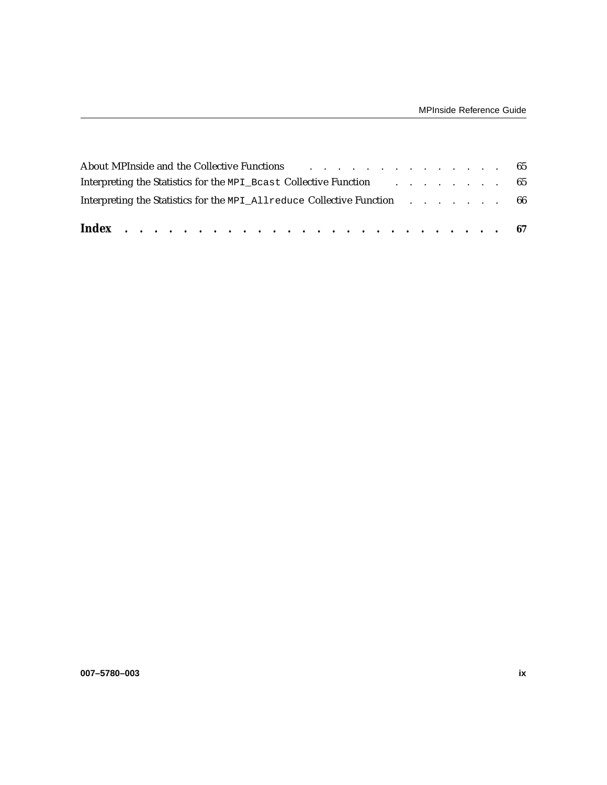| Interpreting the Statistics for the MPI All reduce Collective Function 66                                      |  |  |  |  |
|----------------------------------------------------------------------------------------------------------------|--|--|--|--|
| Interpreting the Statistics for the MPI_Bcast Collective Function 65                                           |  |  |  |  |
| About MPInside and the Collective Functions and the contract of the collective Functions and the collective Tu |  |  |  |  |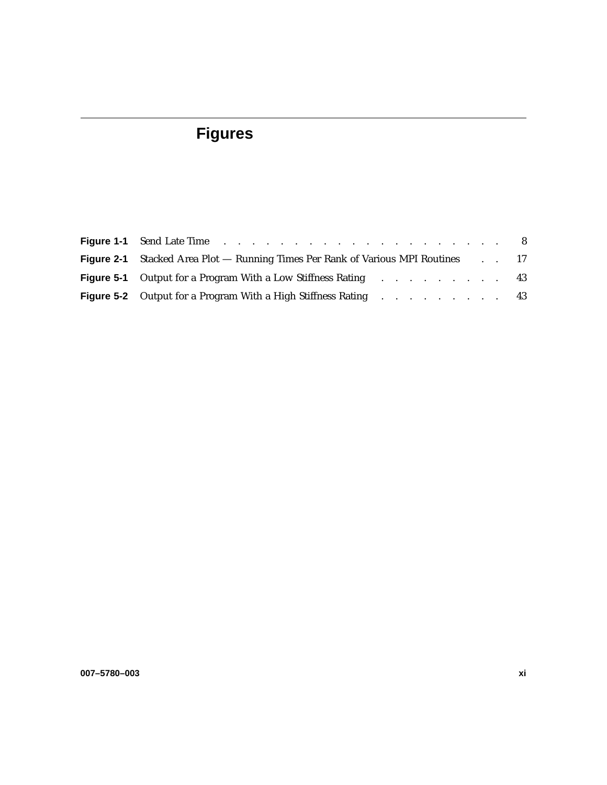# **Figures**

| <b>Figure 2-1</b> Stacked Area Plot — Running Times Per Rank of Various MPI Routines 17 |  |  |
|-----------------------------------------------------------------------------------------|--|--|
| <b>Figure 5-1</b> Output for a Program With a Low Stiffness Rating 43                   |  |  |
| <b>Figure 5-2</b> Output for a Program With a High Stiffness Rating 43                  |  |  |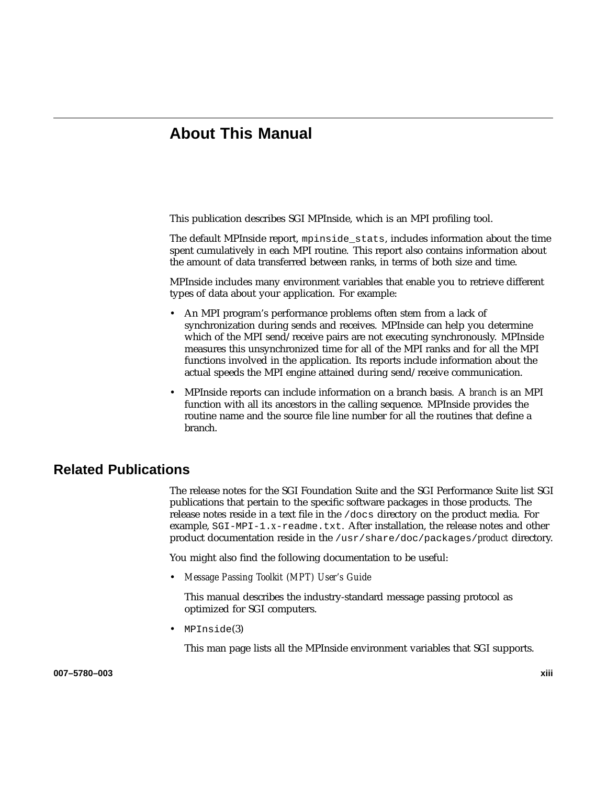# **About This Manual**

This publication describes SGI MPInside, which is an MPI profiling tool.

The default MPInside report, mpinside\_stats, includes information about the time spent cumulatively in each MPI routine. This report also contains information about the amount of data transferred between ranks, in terms of both size and time.

MPInside includes many environment variables that enable you to retrieve different types of data about your application. For example:

- An MPI program's performance problems often stem from a lack of synchronization during sends and receives. MPInside can help you determine which of the MPI send/receive pairs are not executing synchronously. MPInside measures this unsynchronized time for all of the MPI ranks and for all the MPI functions involved in the application. Its reports include information about the actual speeds the MPI engine attained during send/receive communication.
- MPInside reports can include information on a branch basis. A *branch* is an MPI function with all its ancestors in the calling sequence. MPInside provides the routine name and the source file line number for all the routines that define a branch.

# **Related Publications**

The release notes for the SGI Foundation Suite and the SGI Performance Suite list SGI publications that pertain to the specific software packages in those products. The release notes reside in a text file in the /docs directory on the product media. For example, SGI-MPI-1.*x*-readme.txt. After installation, the release notes and other product documentation reside in the /usr/share/doc/packages/*product* directory.

You might also find the following documentation to be useful:

• *Message Passing Toolkit (MPT) User's Guide*

This manual describes the industry-standard message passing protocol as optimized for SGI computers.

• MPInside(3)

This man page lists all the MPInside environment variables that SGI supports.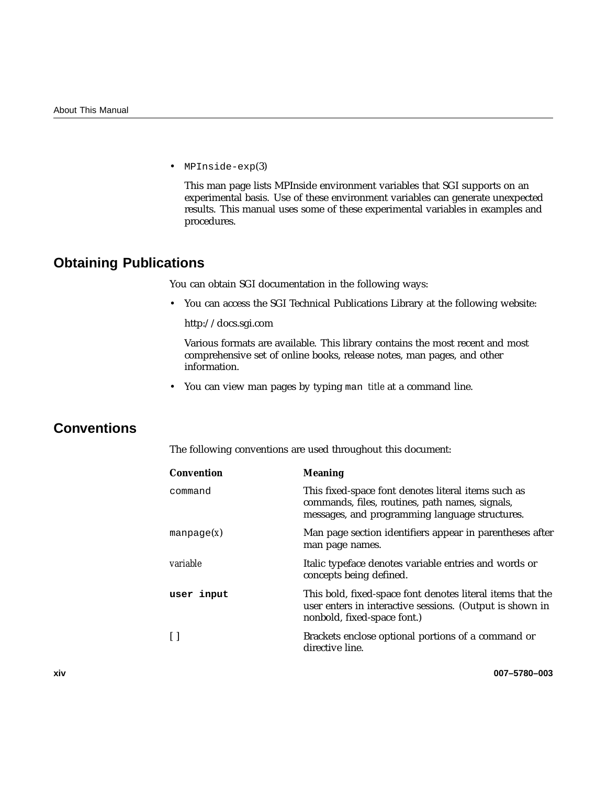• MPInside-exp(3)

This man page lists MPInside environment variables that SGI supports on an experimental basis. Use of these environment variables can generate unexpected results. This manual uses some of these experimental variables in examples and procedures.

# **Obtaining Publications**

You can obtain SGI documentation in the following ways:

• You can access the SGI Technical Publications Library at the following website:

http://docs.sgi.com

Various formats are available. This library contains the most recent and most comprehensive set of online books, release notes, man pages, and other information.

• You can view man pages by typing man *title* at a command line.

# **Conventions**

The following conventions are used throughout this document:

| <b>Convention</b> | <b>Meaning</b>                                                                                                                                           |
|-------------------|----------------------------------------------------------------------------------------------------------------------------------------------------------|
| command           | This fixed-space font denotes literal items such as<br>commands, files, routines, path names, signals,<br>messages, and programming language structures. |
| manpage $(x)$     | Man page section identifiers appear in parentheses after<br>man page names.                                                                              |
| <i>variable</i>   | Italic typeface denotes variable entries and words or<br>concepts being defined.                                                                         |
| user input        | This bold, fixed-space font denotes literal items that the<br>user enters in interactive sessions. (Output is shown in<br>nonbold, fixed-space font.)    |
|                   | Brackets enclose optional portions of a command or<br>directive line.                                                                                    |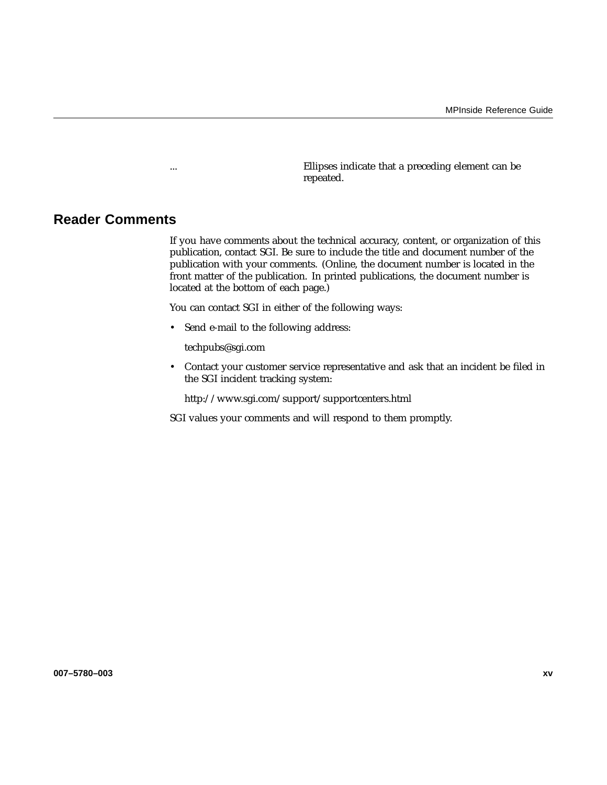... Ellipses indicate that a preceding element can be repeated.

## **Reader Comments**

If you have comments about the technical accuracy, content, or organization of this publication, contact SGI. Be sure to include the title and document number of the publication with your comments. (Online, the document number is located in the front matter of the publication. In printed publications, the document number is located at the bottom of each page.)

You can contact SGI in either of the following ways:

• Send e-mail to the following address:

techpubs@sgi.com

• Contact your customer service representative and ask that an incident be filed in the SGI incident tracking system:

http://www.sgi.com/support/supportcenters.html

SGI values your comments and will respond to them promptly.

**007–5780–003 xv**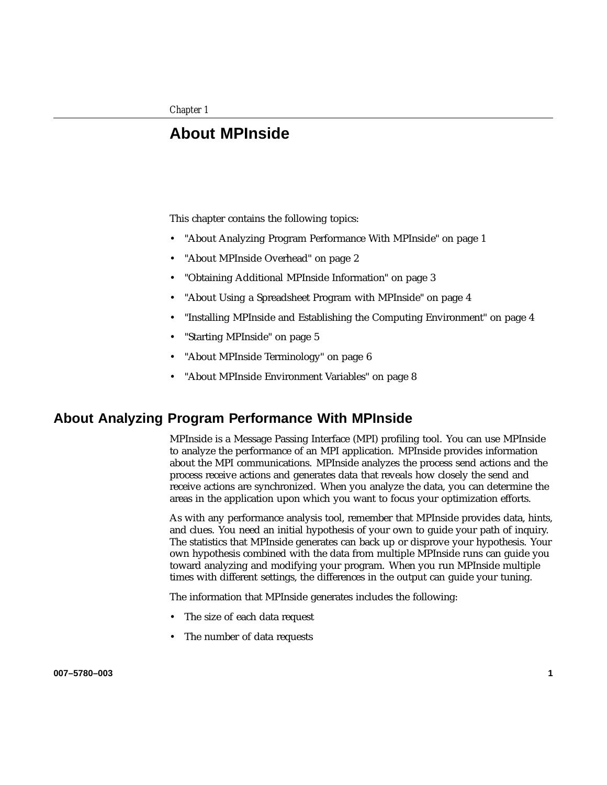# **About MPInside**

This chapter contains the following topics:

- "About Analyzing Program Performance With MPInside" on page 1
- "About MPInside Overhead" on page 2
- "Obtaining Additional MPInside Information" on page 3
- "About Using a Spreadsheet Program with MPInside" on page 4
- "Installing MPInside and Establishing the Computing Environment" on page 4
- "Starting MPInside" on page 5
- "About MPInside Terminology" on page 6
- "About MPInside Environment Variables" on page 8

## **About Analyzing Program Performance With MPInside**

MPInside is a Message Passing Interface (MPI) profiling tool. You can use MPInside to analyze the performance of an MPI application. MPInside provides information about the MPI communications. MPInside analyzes the process send actions and the process receive actions and generates data that reveals how closely the send and receive actions are synchronized. When you analyze the data, you can determine the areas in the application upon which you want to focus your optimization efforts.

As with any performance analysis tool, remember that MPInside provides data, hints, and clues. You need an initial hypothesis of your own to guide your path of inquiry. The statistics that MPInside generates can back up or disprove your hypothesis. Your own hypothesis combined with the data from multiple MPInside runs can guide you toward analyzing and modifying your program. When you run MPInside multiple times with different settings, the differences in the output can guide your tuning.

The information that MPInside generates includes the following:

- The size of each data request
- The number of data requests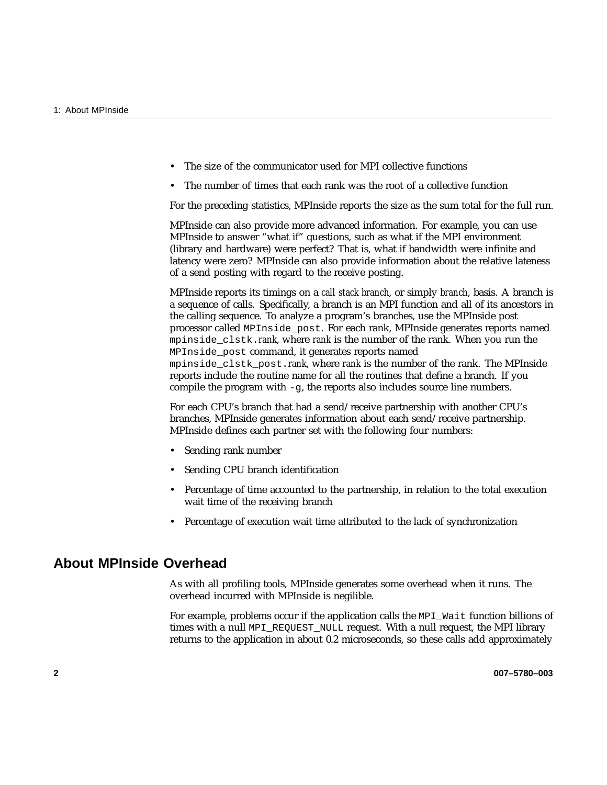- The size of the communicator used for MPI collective functions
- The number of times that each rank was the root of a collective function

For the preceding statistics, MPInside reports the size as the sum total for the full run.

MPInside can also provide more advanced information. For example, you can use MPInside to answer "what if" questions, such as what if the MPI environment (library and hardware) were perfect? That is, what if bandwidth were infinite and latency were zero? MPInside can also provide information about the relative lateness of a send posting with regard to the receive posting.

MPInside reports its timings on a *call stack branch*, or simply *branch*, basis. A branch is a sequence of calls. Specifically, a branch is an MPI function and all of its ancestors in the calling sequence. To analyze a program's branches, use the MPInside post processor called MPInside\_post. For each rank, MPInside generates reports named mpinside\_clstk.*rank*, where *rank* is the number of the rank. When you run the MPInside\_post command, it generates reports named mpinside\_clstk\_post.*rank*, where *rank* is the number of the rank. The MPInside reports include the routine name for all the routines that define a branch. If you compile the program with -g, the reports also includes source line numbers.

For each CPU's branch that had a send/receive partnership with another CPU's branches, MPInside generates information about each send/receive partnership. MPInside defines each partner set with the following four numbers:

- Sending rank number
- Sending CPU branch identification
- Percentage of time accounted to the partnership, in relation to the total execution wait time of the receiving branch
- Percentage of execution wait time attributed to the lack of synchronization

# **About MPInside Overhead**

As with all profiling tools, MPInside generates some overhead when it runs. The overhead incurred with MPInside is negilible.

For example, problems occur if the application calls the MPI\_Wait function billions of times with a null MPI\_REQUEST\_NULL request. With a null request, the MPI library returns to the application in about 0.2 microseconds, so these calls add approximately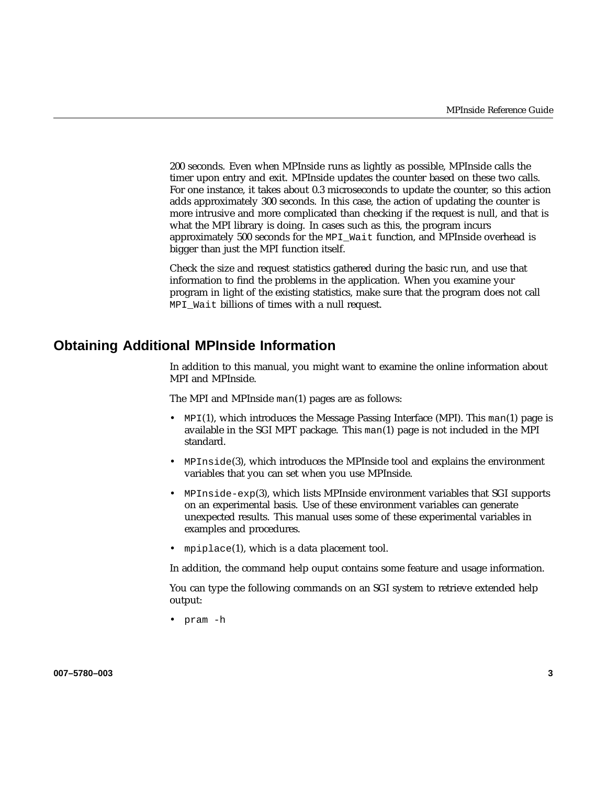200 seconds. Even when MPInside runs as lightly as possible, MPInside calls the timer upon entry and exit. MPInside updates the counter based on these two calls. For one instance, it takes about 0.3 microseconds to update the counter, so this action adds approximately 300 seconds. In this case, the action of updating the counter is more intrusive and more complicated than checking if the request is null, and that is what the MPI library is doing. In cases such as this, the program incurs approximately 500 seconds for the MPI\_Wait function, and MPInside overhead is bigger than just the MPI function itself.

Check the size and request statistics gathered during the basic run, and use that information to find the problems in the application. When you examine your program in light of the existing statistics, make sure that the program does not call MPI\_Wait billions of times with a null request.

# **Obtaining Additional MPInside Information**

In addition to this manual, you might want to examine the online information about MPI and MPInside.

The MPI and MPInside man(1) pages are as follows:

- MPI(1), which introduces the Message Passing Interface (MPI). This man(1) page is available in the SGI MPT package. This man(1) page is not included in the MPI standard.
- MPInside(3), which introduces the MPInside tool and explains the environment variables that you can set when you use MPInside.
- MPInside-exp(3), which lists MPInside environment variables that SGI supports on an experimental basis. Use of these environment variables can generate unexpected results. This manual uses some of these experimental variables in examples and procedures.
- mpiplace(1), which is a data placement tool.

In addition, the command help ouput contains some feature and usage information.

You can type the following commands on an SGI system to retrieve extended help output:

• pram -h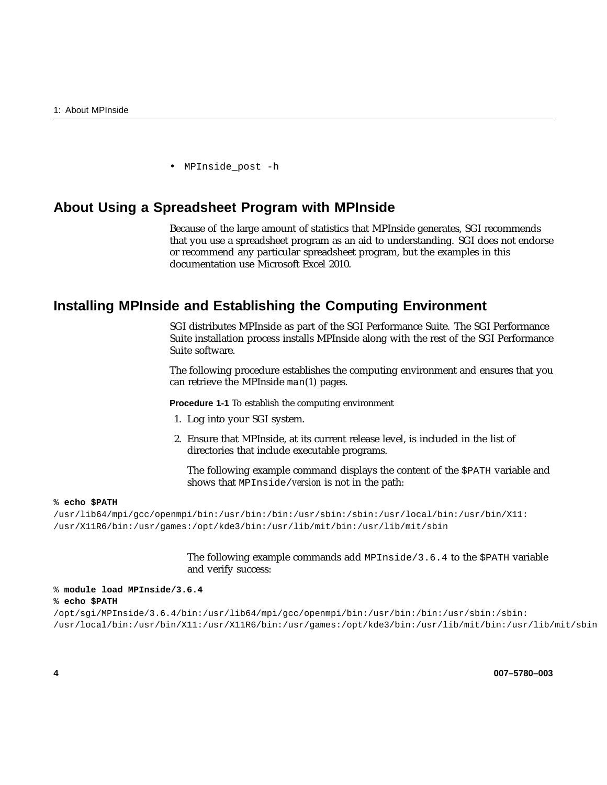• MPInside post -h

# **About Using a Spreadsheet Program with MPInside**

Because of the large amount of statistics that MPInside generates, SGI recommends that you use a spreadsheet program as an aid to understanding. SGI does not endorse or recommend any particular spreadsheet program, but the examples in this documentation use Microsoft Excel 2010.

# **Installing MPInside and Establishing the Computing Environment**

SGI distributes MPInside as part of the SGI Performance Suite. The SGI Performance Suite installation process installs MPInside along with the rest of the SGI Performance Suite software.

The following procedure establishes the computing environment and ensures that you can retrieve the MPInside man(1) pages.

**Procedure 1-1** To establish the computing environment

- 1. Log into your SGI system.
- 2. Ensure that MPInside, at its current release level, is included in the list of directories that include executable programs.

The following example command displays the content of the \$PATH variable and shows that MPInside/*version* is not in the path:

#### % **echo \$PATH**

/usr/lib64/mpi/gcc/openmpi/bin:/usr/bin:/bin:/usr/sbin:/sbin:/usr/local/bin:/usr/bin/X11: /usr/X11R6/bin:/usr/games:/opt/kde3/bin:/usr/lib/mit/bin:/usr/lib/mit/sbin

> The following example commands add MPInside/3.6.4 to the \$PATH variable and verify success:

#### % **module load MPInside/3.6.4**

#### % **echo \$PATH**

/opt/sgi/MPInside/3.6.4/bin:/usr/lib64/mpi/gcc/openmpi/bin:/usr/bin:/bin:/usr/sbin:/sbin: /usr/local/bin:/usr/bin/X11:/usr/X11R6/bin:/usr/games:/opt/kde3/bin:/usr/lib/mit/bin:/usr/lib/mit/sbin

**4 007–5780–003**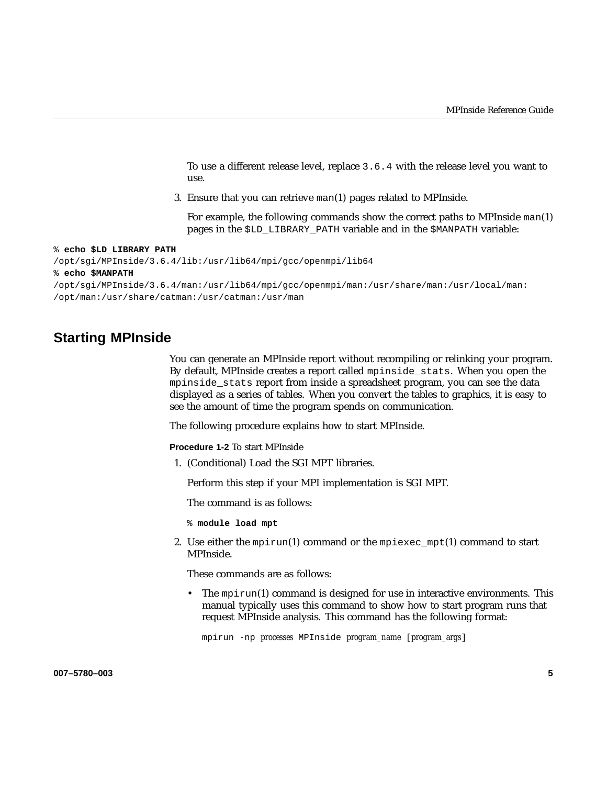To use a different release level, replace 3.6.4 with the release level you want to use.

3. Ensure that you can retrieve man(1) pages related to MPInside.

For example, the following commands show the correct paths to MPInside man(1) pages in the \$LD\_LIBRARY\_PATH variable and in the \$MANPATH variable:

% **echo \$LD\_LIBRARY\_PATH**

/opt/sgi/MPInside/3.6.4/lib:/usr/lib64/mpi/gcc/openmpi/lib64

% **echo \$MANPATH**

/opt/sgi/MPInside/3.6.4/man:/usr/lib64/mpi/gcc/openmpi/man:/usr/share/man:/usr/local/man: /opt/man:/usr/share/catman:/usr/catman:/usr/man

# **Starting MPInside**

You can generate an MPInside report without recompiling or relinking your program. By default, MPInside creates a report called mpinside\_stats. When you open the mpinside\_stats report from inside a spreadsheet program, you can see the data displayed as a series of tables. When you convert the tables to graphics, it is easy to see the amount of time the program spends on communication.

The following procedure explains how to start MPInside.

**Procedure 1-2** To start MPInside

1. (Conditional) Load the SGI MPT libraries.

Perform this step if your MPI implementation is SGI MPT.

The command is as follows:

- % **module load mpt**
- 2. Use either the mpirun(1) command or the mpiexec\_mpt(1) command to start MPInside.

These commands are as follows:

• The mpirun(1) command is designed for use in interactive environments. This manual typically uses this command to show how to start program runs that request MPInside analysis. This command has the following format:

mpirun -np *processes* MPInside *program\_name* [*program\_args*]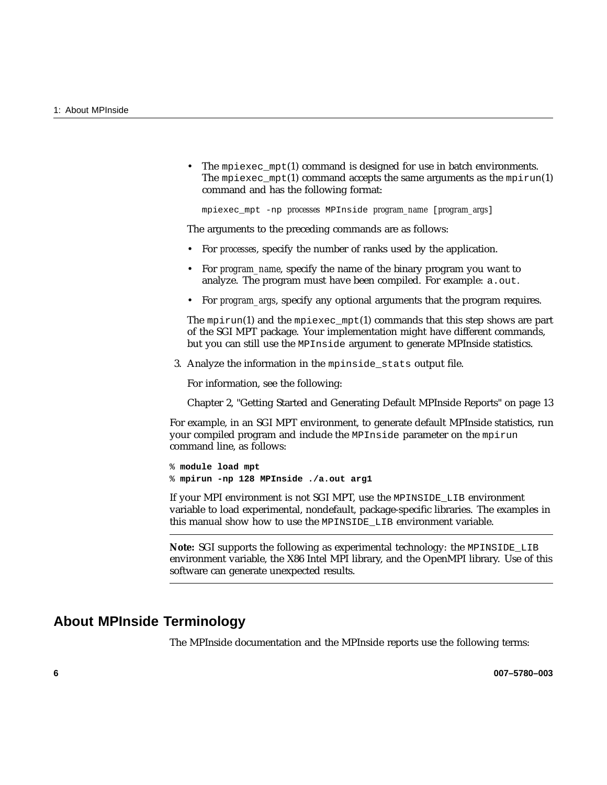• The mpiexec\_mpt(1) command is designed for use in batch environments. The mpiexec  $mpt(1)$  command accepts the same arguments as the mpirun(1) command and has the following format:

mpiexec\_mpt -np *processes* MPInside *program\_name* [*program\_args*]

The arguments to the preceding commands are as follows:

- For *processes*, specify the number of ranks used by the application.
- For *program\_name*, specify the name of the binary program you want to analyze. The program must have been compiled. For example: a.out.
- For *program\_args*, specify any optional arguments that the program requires.

The mpirun(1) and the mpiexec\_mpt(1) commands that this step shows are part of the SGI MPT package. Your implementation might have different commands, but you can still use the MPInside argument to generate MPInside statistics.

3. Analyze the information in the mpinside\_stats output file.

For information, see the following:

Chapter 2, "Getting Started and Generating Default MPInside Reports" on page 13

For example, in an SGI MPT environment, to generate default MPInside statistics, run your compiled program and include the MPInside parameter on the mpirun command line, as follows:

% **module load mpt** % **mpirun -np 128 MPInside ./a.out arg1**

If your MPI environment is not SGI MPT, use the MPINSIDE\_LIB environment variable to load experimental, nondefault, package-specific libraries. The examples in this manual show how to use the MPINSIDE LIB environment variable.

**Note:** SGI supports the following as experimental technology: the MPINSIDE\_LIB environment variable, the X86 Intel MPI library, and the OpenMPI library. Use of this software can generate unexpected results.

## **About MPInside Terminology**

The MPInside documentation and the MPInside reports use the following terms: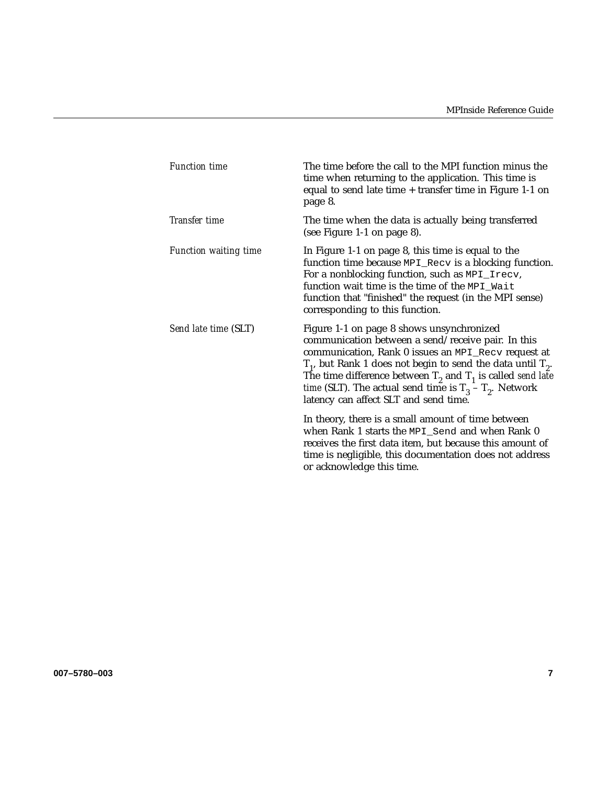| <b>Function time</b>         | The time before the call to the MPI function minus the<br>time when returning to the application. This time is<br>equal to send late time + transfer time in Figure 1-1 on<br>page 8.                                                                                                                                                                                                                      |
|------------------------------|------------------------------------------------------------------------------------------------------------------------------------------------------------------------------------------------------------------------------------------------------------------------------------------------------------------------------------------------------------------------------------------------------------|
| <b>Transfer time</b>         | The time when the data is actually being transferred<br>(see Figure 1-1 on page 8).                                                                                                                                                                                                                                                                                                                        |
| <b>Function waiting time</b> | In Figure 1-1 on page 8, this time is equal to the<br>function time because MPI_Recv is a blocking function.<br>For a nonblocking function, such as MPI_Irecv,<br>function wait time is the time of the MPI_Wait<br>function that "finished" the request (in the MPI sense)<br>corresponding to this function.                                                                                             |
| Send late time (SLT)         | Figure 1-1 on page 8 shows unsynchronized<br>communication between a send/receive pair. In this<br>communication, Rank 0 issues an MPI_Recv request at<br>$T_1$ , but Rank 1 does not begin to send the data until $T_2$ .<br>The time difference between $T_2$ and $T_1$ is called send late<br><i>time</i> (SLT). The actual send time is $T_3 - T_2$ . Network<br>latency can affect SLT and send time. |
|                              | In theory, there is a small amount of time between<br>when Rank 1 starts the MPI_Send and when Rank 0<br>receives the first data item, but because this amount of<br>time is negligible, this documentation does not address<br>or acknowledge this time.                                                                                                                                                  |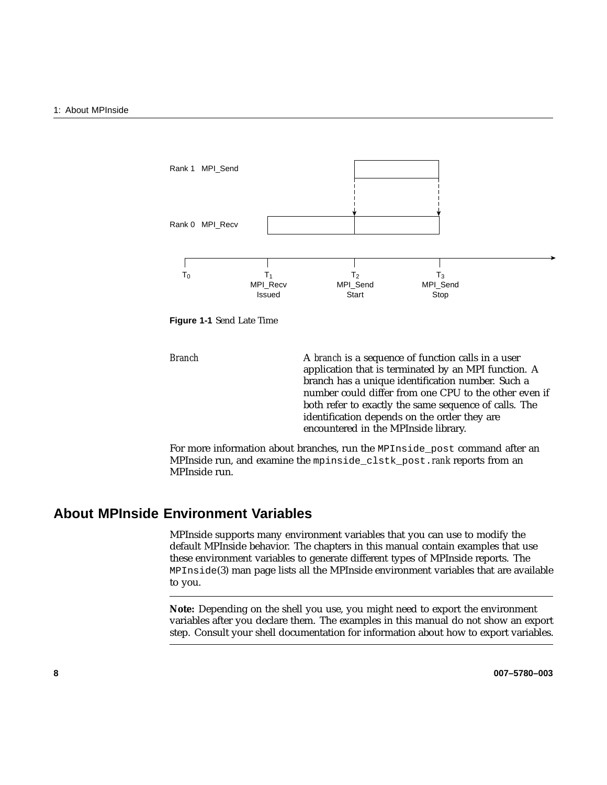

**Figure 1-1** Send Late Time

*Branch* **A** *branch* is a sequence of function calls in a user application that is terminated by an MPI function. A branch has a unique identification number. Such a number could differ from one CPU to the other even if both refer to exactly the same sequence of calls. The identification depends on the order they are encountered in the MPInside library.

For more information about branches, run the MPInside\_post command after an MPInside run, and examine the mpinside\_clstk\_post.*rank* reports from an MPInside run.

# **About MPInside Environment Variables**

MPInside supports many environment variables that you can use to modify the default MPInside behavior. The chapters in this manual contain examples that use these environment variables to generate different types of MPInside reports. The MPInside(3) man page lists all the MPInside environment variables that are available to you.

**Note:** Depending on the shell you use, you might need to export the environment variables after you declare them. The examples in this manual do not show an export step. Consult your shell documentation for information about how to export variables.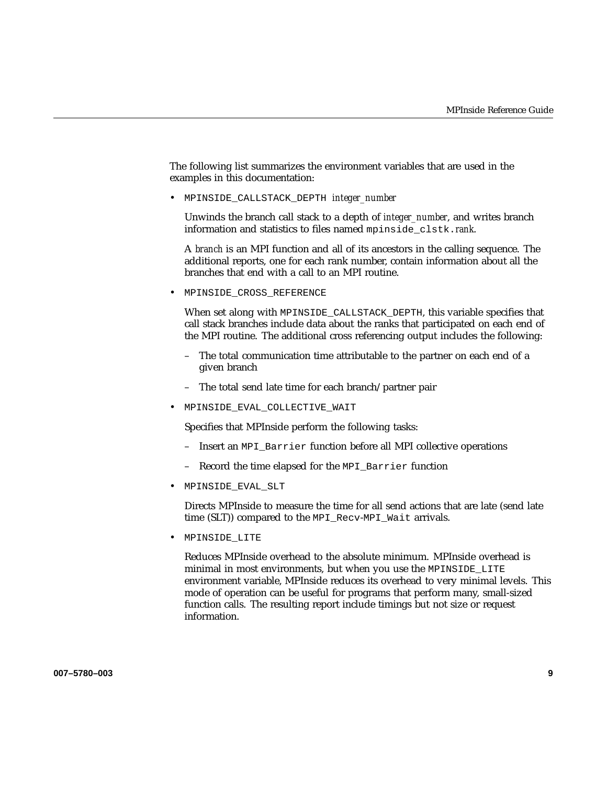The following list summarizes the environment variables that are used in the examples in this documentation:

• MPINSIDE\_CALLSTACK\_DEPTH *integer\_number*

Unwinds the branch call stack to a depth of *integer\_number*, and writes branch information and statistics to files named mpinside\_clstk.*rank*.

A *branch* is an MPI function and all of its ancestors in the calling sequence. The additional reports, one for each rank number, contain information about all the branches that end with a call to an MPI routine.

• MPINSIDE\_CROSS\_REFERENCE

When set along with MPINSIDE\_CALLSTACK\_DEPTH, this variable specifies that call stack branches include data about the ranks that participated on each end of the MPI routine. The additional cross referencing output includes the following:

- The total communication time attributable to the partner on each end of a given branch
- The total send late time for each branch/partner pair
- MPINSIDE\_EVAL\_COLLECTIVE\_WAIT

Specifies that MPInside perform the following tasks:

- Insert an MPI\_Barrier function before all MPI collective operations
- Record the time elapsed for the MPI\_Barrier function
- MPINSIDE\_EVAL\_SLT

Directs MPInside to measure the time for all send actions that are late (send late time (SLT)) compared to the MPI\_Recv-MPI\_Wait arrivals.

• MPINSIDE\_LITE

Reduces MPInside overhead to the absolute minimum. MPInside overhead is minimal in most environments, but when you use the MPINSIDE\_LITE environment variable, MPInside reduces its overhead to very minimal levels. This mode of operation can be useful for programs that perform many, small-sized function calls. The resulting report include timings but not size or request information.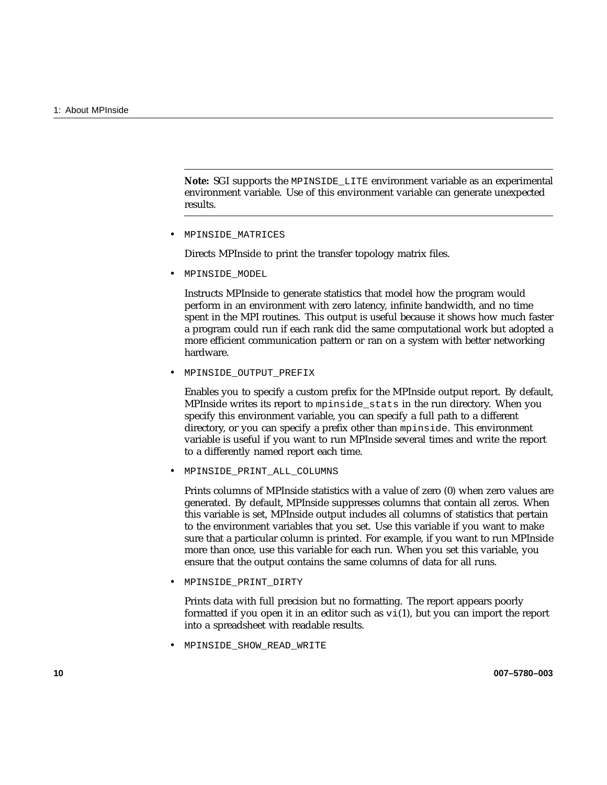**Note:** SGI supports the MPINSIDE\_LITE environment variable as an experimental environment variable. Use of this environment variable can generate unexpected results.

• MPINSIDE\_MATRICES

Directs MPInside to print the transfer topology matrix files.

• MPINSIDE\_MODEL

Instructs MPInside to generate statistics that model how the program would perform in an environment with zero latency, infinite bandwidth, and no time spent in the MPI routines. This output is useful because it shows how much faster a program could run if each rank did the same computational work but adopted a more efficient communication pattern or ran on a system with better networking hardware.

• MPINSIDE\_OUTPUT\_PREFIX

Enables you to specify a custom prefix for the MPInside output report. By default, MPInside writes its report to mpinside\_stats in the run directory. When you specify this environment variable, you can specify a full path to a different directory, or you can specify a prefix other than mpinside. This environment variable is useful if you want to run MPInside several times and write the report to a differently named report each time.

• MPINSIDE\_PRINT\_ALL\_COLUMNS

Prints columns of MPInside statistics with a value of zero (0) when zero values are generated. By default, MPInside suppresses columns that contain all zeros. When this variable is set, MPInside output includes all columns of statistics that pertain to the environment variables that you set. Use this variable if you want to make sure that a particular column is printed. For example, if you want to run MPInside more than once, use this variable for each run. When you set this variable, you ensure that the output contains the same columns of data for all runs.

• MPINSIDE\_PRINT\_DIRTY

Prints data with full precision but no formatting. The report appears poorly formatted if you open it in an editor such as  $vi(1)$ , but you can import the report into a spreadsheet with readable results.

• MPINSIDE\_SHOW\_READ\_WRITE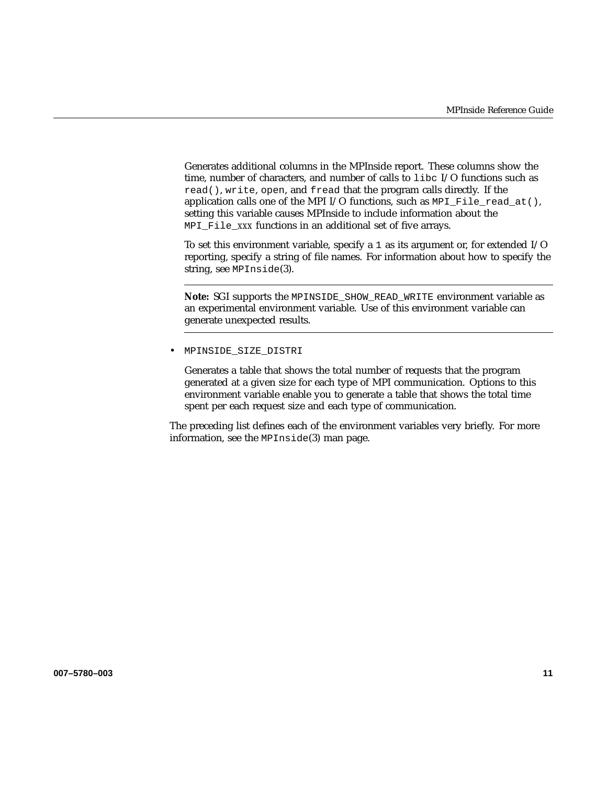Generates additional columns in the MPInside report. These columns show the time, number of characters, and number of calls to libc I/O functions such as read(), write, open, and fread that the program calls directly. If the application calls one of the MPI I/O functions, such as MPI\_File\_read\_at(), setting this variable causes MPInside to include information about the MPI File *xxx* functions in an additional set of five arrays.

To set this environment variable, specify a 1 as its argument or, for extended I/O reporting, specify a string of file names. For information about how to specify the string, see MPInside(3).

**Note:** SGI supports the MPINSIDE\_SHOW\_READ\_WRITE environment variable as an experimental environment variable. Use of this environment variable can generate unexpected results.

• MPINSIDE\_SIZE\_DISTRI

Generates a table that shows the total number of requests that the program generated at a given size for each type of MPI communication. Options to this environment variable enable you to generate a table that shows the total time spent per each request size and each type of communication.

The preceding list defines each of the environment variables very briefly. For more information, see the MPInside(3) man page.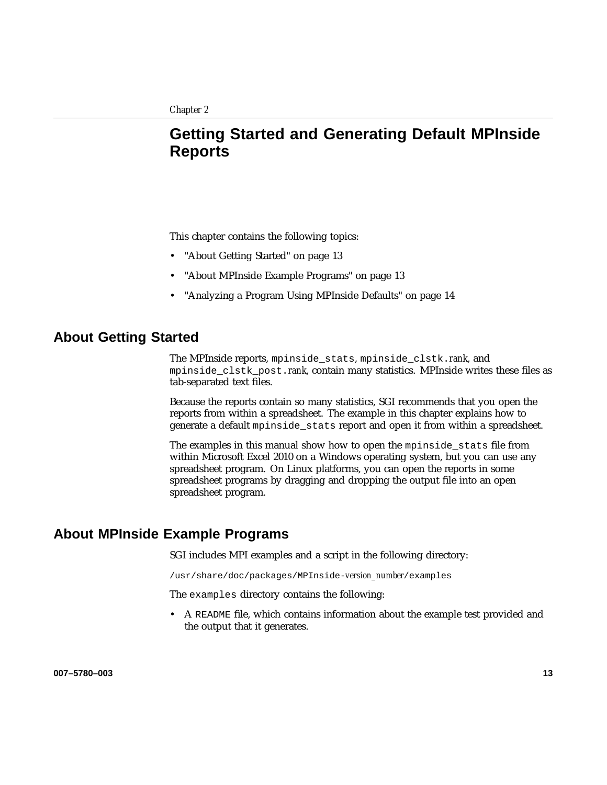# **Getting Started and Generating Default MPInside Reports**

This chapter contains the following topics:

- "About Getting Started" on page 13
- "About MPInside Example Programs" on page 13
- "Analyzing a Program Using MPInside Defaults" on page 14

# **About Getting Started**

The MPInside reports, mpinside\_stats, mpinside\_clstk.*rank*, and mpinside\_clstk\_post.*rank*, contain many statistics. MPInside writes these files as tab-separated text files.

Because the reports contain so many statistics, SGI recommends that you open the reports from within a spreadsheet. The example in this chapter explains how to generate a default mpinside\_stats report and open it from within a spreadsheet.

The examples in this manual show how to open the mpinside\_stats file from within Microsoft Excel 2010 on a Windows operating system, but you can use any spreadsheet program. On Linux platforms, you can open the reports in some spreadsheet programs by dragging and dropping the output file into an open spreadsheet program.

## **About MPInside Example Programs**

SGI includes MPI examples and a script in the following directory:

/usr/share/doc/packages/MPInside-*version\_number*/examples

The examples directory contains the following:

• A README file, which contains information about the example test provided and the output that it generates.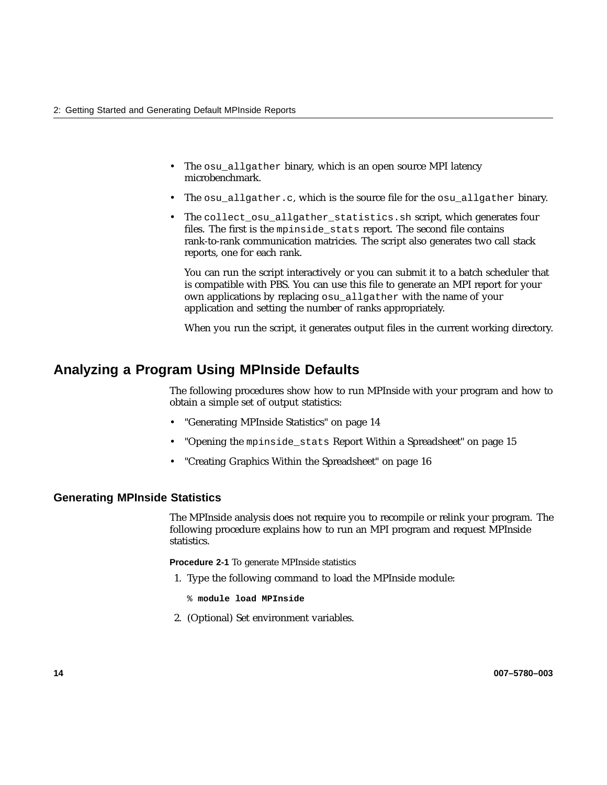- The osu\_allgather binary, which is an open source MPI latency microbenchmark.
- The osu allgather.c, which is the source file for the osu allgather binary.
- The collect\_osu\_allgather\_statistics.sh script, which generates four files. The first is the mpinside\_stats report. The second file contains rank-to-rank communication matricies. The script also generates two call stack reports, one for each rank.

You can run the script interactively or you can submit it to a batch scheduler that is compatible with PBS. You can use this file to generate an MPI report for your own applications by replacing osu\_allgather with the name of your application and setting the number of ranks appropriately.

When you run the script, it generates output files in the current working directory.

# **Analyzing a Program Using MPInside Defaults**

The following procedures show how to run MPInside with your program and how to obtain a simple set of output statistics:

- "Generating MPInside Statistics" on page 14
- "Opening the mpinside\_stats Report Within a Spreadsheet" on page 15
- "Creating Graphics Within the Spreadsheet" on page 16

## **Generating MPInside Statistics**

The MPInside analysis does not require you to recompile or relink your program. The following procedure explains how to run an MPI program and request MPInside statistics.

**Procedure 2-1** To generate MPInside statistics

- 1. Type the following command to load the MPInside module:
	- % **module load MPInside**
- 2. (Optional) Set environment variables.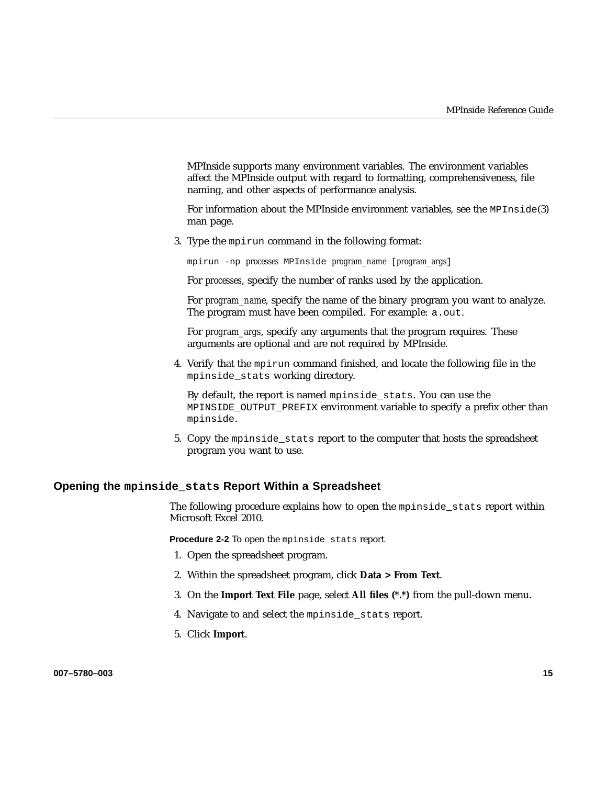MPInside supports many environment variables. The environment variables affect the MPInside output with regard to formatting, comprehensiveness, file naming, and other aspects of performance analysis.

For information about the MPInside environment variables, see the MPInside(3) man page.

3. Type the mpirun command in the following format:

mpirun -np *processes* MPInside *program\_name* [*program\_args*]

For *processes*, specify the number of ranks used by the application.

For *program\_name*, specify the name of the binary program you want to analyze. The program must have been compiled. For example: a.out.

For *program\_args*, specify any arguments that the program requires. These arguments are optional and are not required by MPInside.

4. Verify that the mpirun command finished, and locate the following file in the mpinside\_stats working directory.

By default, the report is named mpinside stats. You can use the MPINSIDE\_OUTPUT\_PREFIX environment variable to specify a prefix other than mpinside.

5. Copy the mpinside\_stats report to the computer that hosts the spreadsheet program you want to use.

#### **Opening the mpinside\_stats Report Within a Spreadsheet**

The following procedure explains how to open the mpinside\_stats report within Microsoft Excel 2010.

**Procedure 2-2** To open the mpinside\_stats report

- 1. Open the spreadsheet program.
- 2. Within the spreadsheet program, click **Data > From Text**.
- 3. On the **Import Text File** page, select **All files (\*.\*)** from the pull-down menu.
- 4. Navigate to and select the mpinside\_stats report.
- 5. Click **Import**.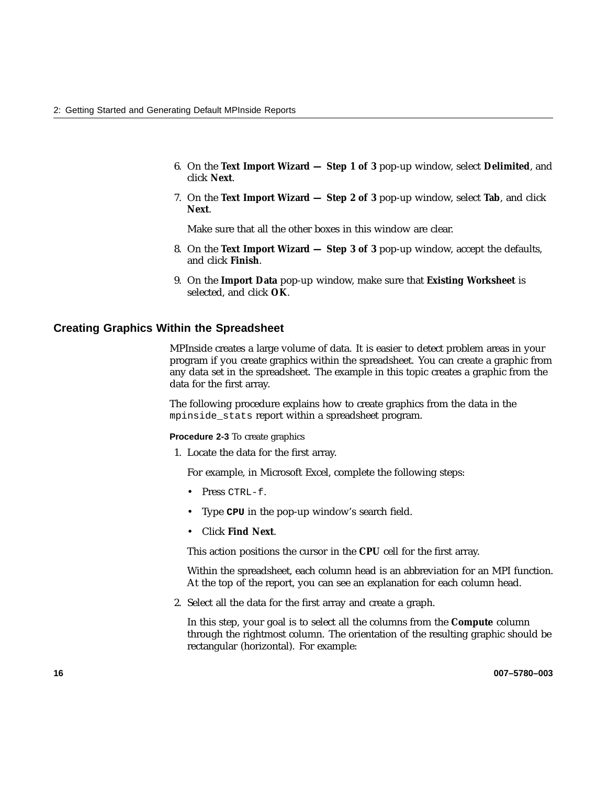- 6. On the **Text Import Wizard Step 1 of 3** pop-up window, select **Delimited**, and click **Next**.
- 7. On the **Text Import Wizard Step 2 of 3** pop-up window, select **Tab**, and click **Next**.

Make sure that all the other boxes in this window are clear.

- 8. On the **Text Import Wizard Step 3 of 3** pop-up window, accept the defaults, and click **Finish**.
- 9. On the **Import Data** pop-up window, make sure that **Existing Worksheet** is selected, and click **OK**.

#### **Creating Graphics Within the Spreadsheet**

MPInside creates a large volume of data. It is easier to detect problem areas in your program if you create graphics within the spreadsheet. You can create a graphic from any data set in the spreadsheet. The example in this topic creates a graphic from the data for the first array.

The following procedure explains how to create graphics from the data in the mpinside\_stats report within a spreadsheet program.

**Procedure 2-3** To create graphics

1. Locate the data for the first array.

For example, in Microsoft Excel, complete the following steps:

- Press CTRL-f.
- Type **CPU** in the pop-up window's search field.
- Click **Find Next**.

This action positions the cursor in the **CPU** cell for the first array.

Within the spreadsheet, each column head is an abbreviation for an MPI function. At the top of the report, you can see an explanation for each column head.

2. Select all the data for the first array and create a graph.

In this step, your goal is to select all the columns from the **Compute** column through the rightmost column. The orientation of the resulting graphic should be rectangular (horizontal). For example: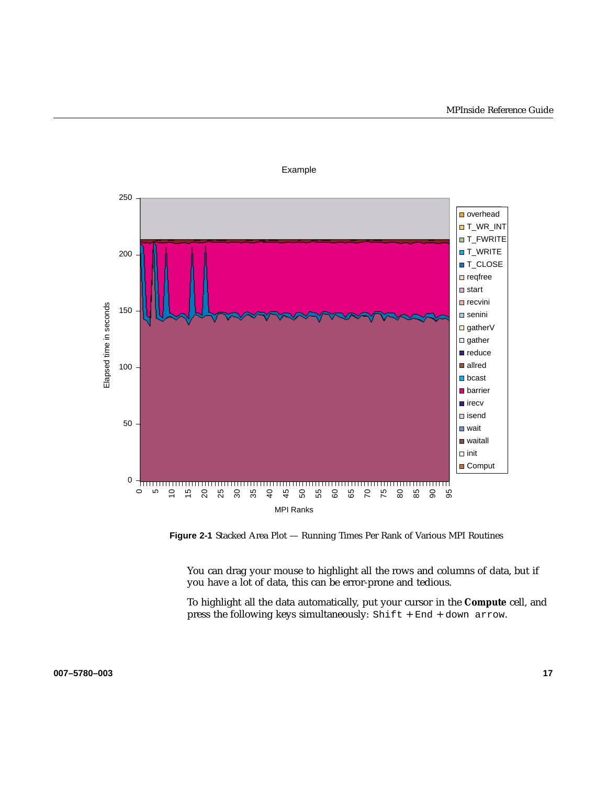

Example

**Figure 2-1** Stacked Area Plot — Running Times Per Rank of Various MPI Routines

You can drag your mouse to highlight all the rows and columns of data, but if you have a lot of data, this can be error-prone and tedious.

To highlight all the data automatically, put your cursor in the **Compute** cell, and press the following keys simultaneously: Shift + End + down arrow.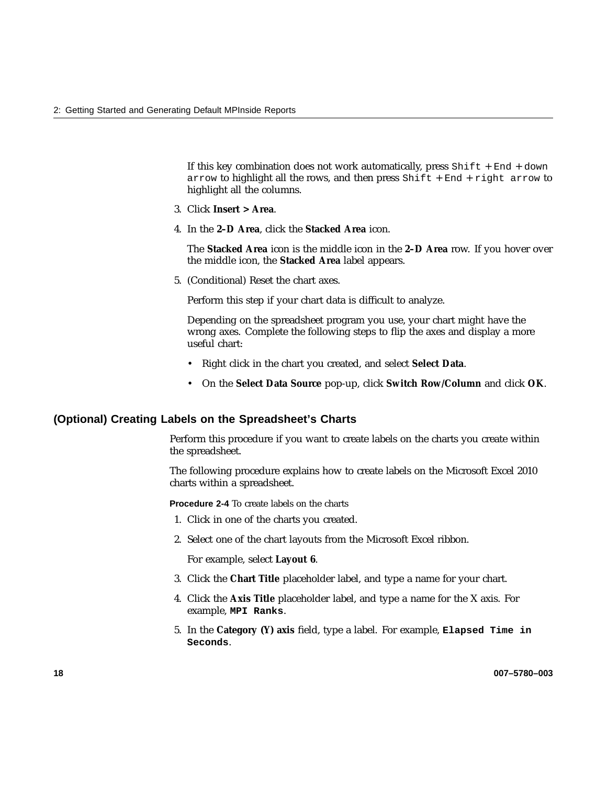If this key combination does not work automatically, press  $Shift + End + down$ arrow to highlight all the rows, and then press  $Shift + End + right$  arrow to highlight all the columns.

- 3. Click **Insert > Area**.
- 4. In the **2–D Area**, click the **Stacked Area** icon.

The **Stacked Area** icon is the middle icon in the **2–D Area** row. If you hover over the middle icon, the **Stacked Area** label appears.

5. (Conditional) Reset the chart axes.

Perform this step if your chart data is difficult to analyze.

Depending on the spreadsheet program you use, your chart might have the wrong axes. Complete the following steps to flip the axes and display a more useful chart:

- Right click in the chart you created, and select **Select Data**.
- On the **Select Data Source** pop-up, click **Switch Row/Column** and click **OK**.

#### **(Optional) Creating Labels on the Spreadsheet's Charts**

Perform this procedure if you want to create labels on the charts you create within the spreadsheet.

The following procedure explains how to create labels on the Microsoft Excel 2010 charts within a spreadsheet.

**Procedure 2-4** To create labels on the charts

- 1. Click in one of the charts you created.
- 2. Select one of the chart layouts from the Microsoft Excel ribbon.

For example, select **Layout 6**.

- 3. Click the **Chart Title** placeholder label, and type a name for your chart.
- 4. Click the **Axis Title** placeholder label, and type a name for the X axis. For example, **MPI Ranks**.
- 5. In the **Category (Y) axis** field, type a label. For example, **Elapsed Time in Seconds**.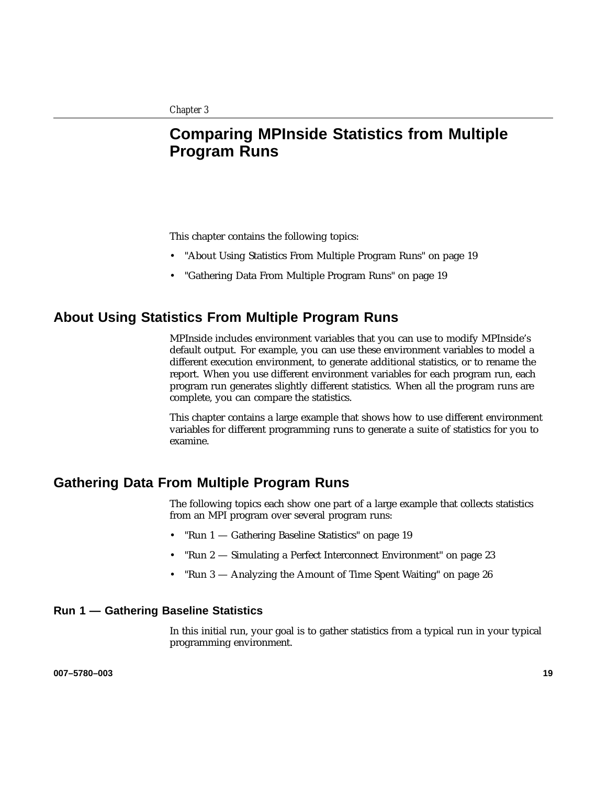# **Comparing MPInside Statistics from Multiple Program Runs**

This chapter contains the following topics:

- "About Using Statistics From Multiple Program Runs" on page 19
- "Gathering Data From Multiple Program Runs" on page 19

## **About Using Statistics From Multiple Program Runs**

MPInside includes environment variables that you can use to modify MPInside's default output. For example, you can use these environment variables to model a different execution environment, to generate additional statistics, or to rename the report. When you use different environment variables for each program run, each program run generates slightly different statistics. When all the program runs are complete, you can compare the statistics.

This chapter contains a large example that shows how to use different environment variables for different programming runs to generate a suite of statistics for you to examine.

## **Gathering Data From Multiple Program Runs**

The following topics each show one part of a large example that collects statistics from an MPI program over several program runs:

- "Run 1 Gathering Baseline Statistics" on page 19
- "Run 2 Simulating a Perfect Interconnect Environment" on page 23
- "Run 3 Analyzing the Amount of Time Spent Waiting" on page 26

#### **Run 1 — Gathering Baseline Statistics**

In this initial run, your goal is to gather statistics from a typical run in your typical programming environment.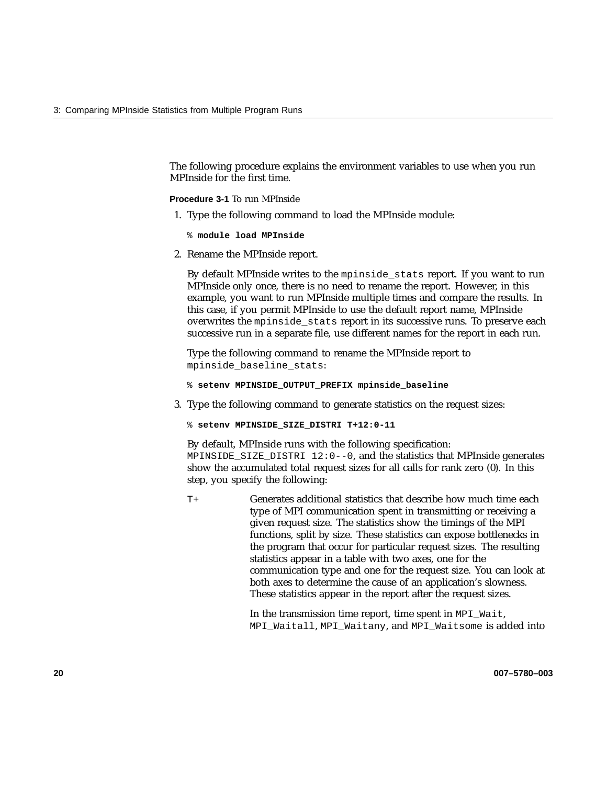The following procedure explains the environment variables to use when you run MPInside for the first time.

**Procedure 3-1** To run MPInside

- 1. Type the following command to load the MPInside module:
	- % **module load MPInside**
- 2. Rename the MPInside report.

By default MPInside writes to the mpinside stats report. If you want to run MPInside only once, there is no need to rename the report. However, in this example, you want to run MPInside multiple times and compare the results. In this case, if you permit MPInside to use the default report name, MPInside overwrites the mpinside\_stats report in its successive runs. To preserve each successive run in a separate file, use different names for the report in each run.

Type the following command to rename the MPInside report to mpinside\_baseline\_stats:

- % **setenv MPINSIDE\_OUTPUT\_PREFIX mpinside\_baseline**
- 3. Type the following command to generate statistics on the request sizes:
	- % **setenv MPINSIDE\_SIZE\_DISTRI T+12:0-11**

By default, MPInside runs with the following specification: MPINSIDE\_SIZE\_DISTRI 12:0--0, and the statistics that MPInside generates show the accumulated total request sizes for all calls for rank zero (0). In this step, you specify the following:

T+ Generates additional statistics that describe how much time each type of MPI communication spent in transmitting or receiving a given request size. The statistics show the timings of the MPI functions, split by size. These statistics can expose bottlenecks in the program that occur for particular request sizes. The resulting statistics appear in a table with two axes, one for the communication type and one for the request size. You can look at both axes to determine the cause of an application's slowness. These statistics appear in the report after the request sizes.

> In the transmission time report, time spent in MPI\_Wait, MPI\_Waitall, MPI\_Waitany, and MPI\_Waitsome is added into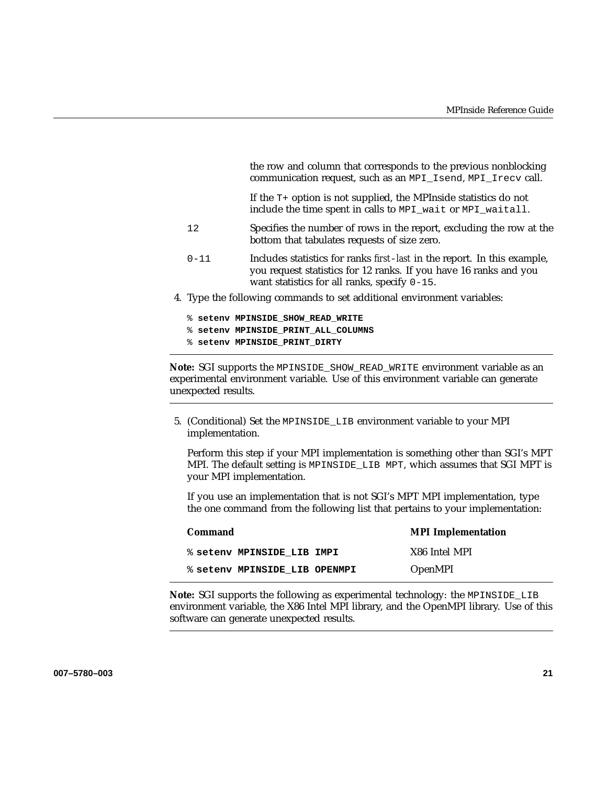the row and column that corresponds to the previous nonblocking communication request, such as an MPI\_Isend, MPI\_Irecv call.

If the T+ option is not supplied, the MPInside statistics do not include the time spent in calls to MPI\_wait or MPI\_waitall.

- 12 Specifies the number of rows in the report, excluding the row at the bottom that tabulates requests of size zero.
- 0-11 Includes statistics for ranks *first*-*last* in the report. In this example, you request statistics for 12 ranks. If you have 16 ranks and you want statistics for all ranks, specify 0-15.
- 4. Type the following commands to set additional environment variables:
	- % **setenv MPINSIDE\_SHOW\_READ\_WRITE**
	- % **setenv MPINSIDE\_PRINT\_ALL\_COLUMNS**
	- % **setenv MPINSIDE\_PRINT\_DIRTY**

**Note:** SGI supports the MPINSIDE\_SHOW\_READ\_WRITE environment variable as an experimental environment variable. Use of this environment variable can generate unexpected results.

5. (Conditional) Set the MPINSIDE\_LIB environment variable to your MPI implementation.

Perform this step if your MPI implementation is something other than SGI's MPT MPI. The default setting is MPINSIDE\_LIB MPT, which assumes that SGI MPT is your MPI implementation.

If you use an implementation that is not SGI's MPT MPI implementation, type the one command from the following list that pertains to your implementation:

| Command                       | <b>MPI</b> Implementation |
|-------------------------------|---------------------------|
| % setenv MPINSIDE LIB IMPI    | X86 Intel MPI             |
| % seteny MPINSIDE LIB OPENMPI | <b>OpenMPI</b>            |

**Note:** SGI supports the following as experimental technology: the MPINSIDE\_LIB environment variable, the X86 Intel MPI library, and the OpenMPI library. Use of this software can generate unexpected results.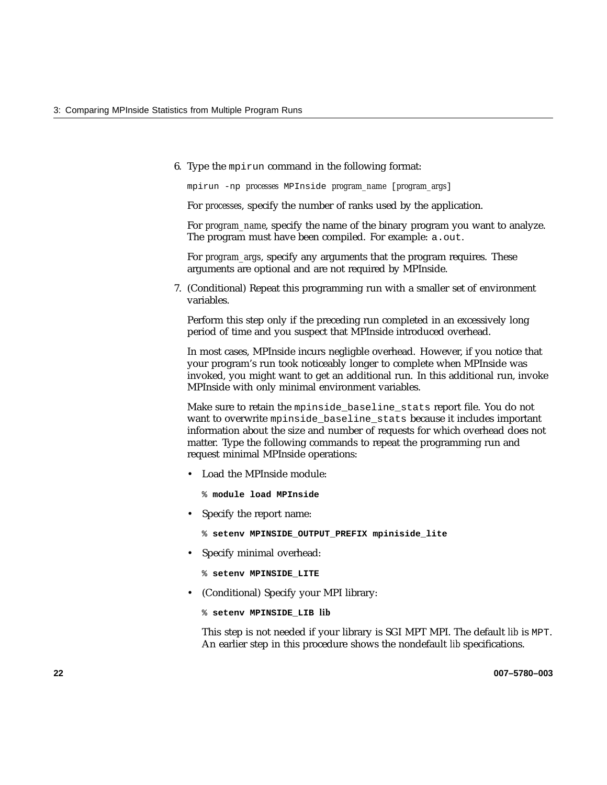6. Type the mpirun command in the following format:

mpirun -np *processes* MPInside *program\_name* [*program\_args*]

For *processes*, specify the number of ranks used by the application.

For *program\_name*, specify the name of the binary program you want to analyze. The program must have been compiled. For example: a.out.

For *program\_args*, specify any arguments that the program requires. These arguments are optional and are not required by MPInside.

7. (Conditional) Repeat this programming run with a smaller set of environment variables.

Perform this step only if the preceding run completed in an excessively long period of time and you suspect that MPInside introduced overhead.

In most cases, MPInside incurs negligble overhead. However, if you notice that your program's run took noticeably longer to complete when MPInside was invoked, you might want to get an additional run. In this additional run, invoke MPInside with only minimal environment variables.

Make sure to retain the mpinside\_baseline\_stats report file. You do not want to overwrite mpinside\_baseline\_stats because it includes important information about the size and number of requests for which overhead does not matter. Type the following commands to repeat the programming run and request minimal MPInside operations:

• Load the MPInside module:

% **module load MPInside**

• Specify the report name:

% **setenv MPINSIDE\_OUTPUT\_PREFIX mpiniside\_lite**

• Specify minimal overhead:

```
% setenv MPINSIDE_LITE
```
• (Conditional) Specify your MPI library:

```
% setenv MPINSIDE_LIB lib
```
This step is not needed if your library is SGI MPT MPI. The default *lib* is MPT. An earlier step in this procedure shows the nondefault *lib* specifications.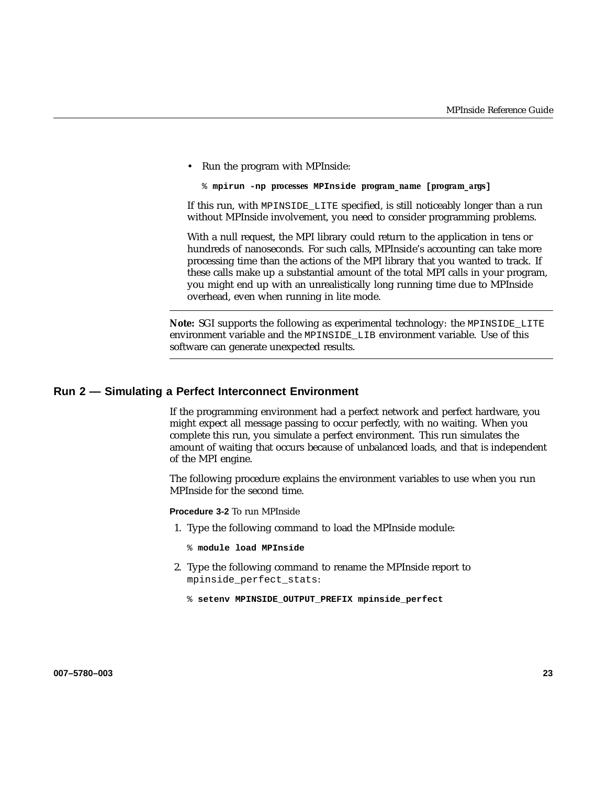• Run the program with MPInside:

```
% mpirun -np processes MPInside program_name [program_args]
```
If this run, with MPINSIDE\_LITE specified, is still noticeably longer than a run without MPInside involvement, you need to consider programming problems.

With a null request, the MPI library could return to the application in tens or hundreds of nanoseconds. For such calls, MPInside's accounting can take more processing time than the actions of the MPI library that you wanted to track. If these calls make up a substantial amount of the total MPI calls in your program, you might end up with an unrealistically long running time due to MPInside overhead, even when running in lite mode.

**Note:** SGI supports the following as experimental technology: the MPINSIDE\_LITE environment variable and the MPINSIDE\_LIB environment variable. Use of this software can generate unexpected results.

## **Run 2 — Simulating a Perfect Interconnect Environment**

If the programming environment had a perfect network and perfect hardware, you might expect all message passing to occur perfectly, with no waiting. When you complete this run, you simulate a perfect environment. This run simulates the amount of waiting that occurs because of unbalanced loads, and that is independent of the MPI engine.

The following procedure explains the environment variables to use when you run MPInside for the second time.

**Procedure 3-2** To run MPInside

1. Type the following command to load the MPInside module:

% **module load MPInside**

- 2. Type the following command to rename the MPInside report to mpinside\_perfect\_stats:
	- % **setenv MPINSIDE\_OUTPUT\_PREFIX mpinside\_perfect**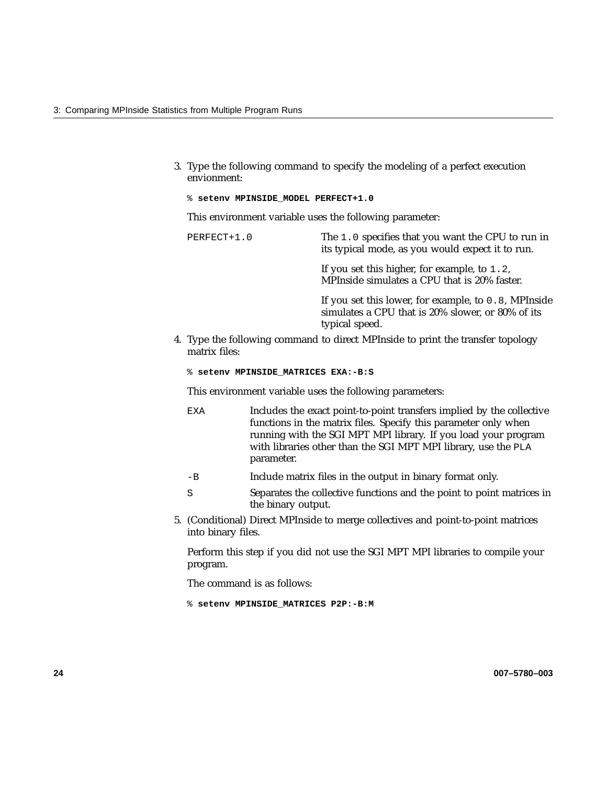- 3. Type the following command to specify the modeling of a perfect execution envionment:
	- % **setenv MPINSIDE\_MODEL PERFECT+1.0**

This environment variable uses the following parameter:

PERFECT+1.0 The 1.0 specifies that you want the CPU to run in its typical mode, as you would expect it to run. If you set this higher, for example, to 1.2, MPInside simulates a CPU that is 20% faster. If you set this lower, for example, to 0.8, MPInside simulates a CPU that is 20% slower, or 80% of its typical speed.

4. Type the following command to direct MPInside to print the transfer topology matrix files:

% **setenv MPINSIDE\_MATRICES EXA:-B:S**

This environment variable uses the following parameters:

- EXA Includes the exact point-to-point transfers implied by the collective functions in the matrix files. Specify this parameter only when running with the SGI MPT MPI library. If you load your program with libraries other than the SGI MPT MPI library, use the PLA parameter.
- -B Include matrix files in the output in binary format only.
- S Separates the collective functions and the point to point matrices in the binary output.
- 5. (Conditional) Direct MPInside to merge collectives and point-to-point matrices into binary files.

Perform this step if you did not use the SGI MPT MPI libraries to compile your program.

The command is as follows:

% **setenv MPINSIDE\_MATRICES P2P:-B:M**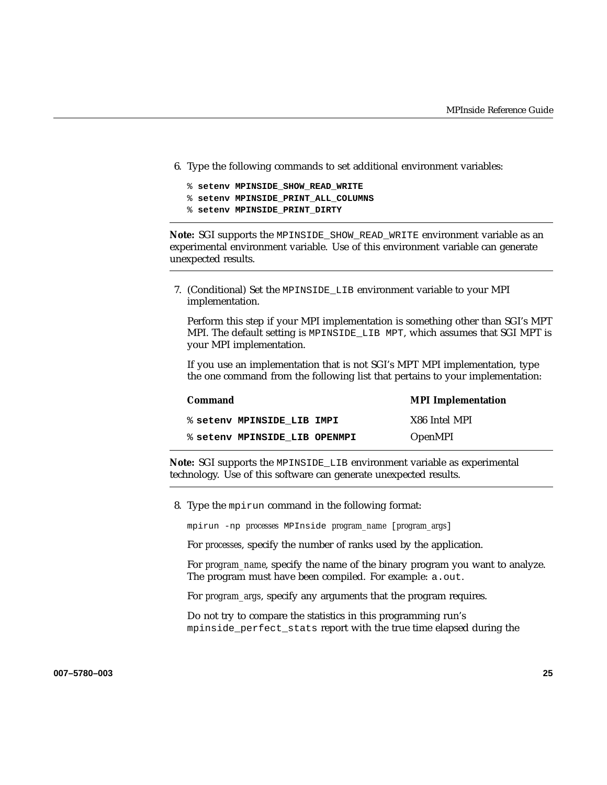- 6. Type the following commands to set additional environment variables:
	- % **setenv MPINSIDE\_SHOW\_READ\_WRITE**
	- % **setenv MPINSIDE\_PRINT\_ALL\_COLUMNS**
	- % **setenv MPINSIDE\_PRINT\_DIRTY**

**Note:** SGI supports the MPINSIDE\_SHOW\_READ\_WRITE environment variable as an experimental environment variable. Use of this environment variable can generate unexpected results.

7. (Conditional) Set the MPINSIDE\_LIB environment variable to your MPI implementation.

Perform this step if your MPI implementation is something other than SGI's MPT MPI. The default setting is MPINSIDE\_LIB MPT, which assumes that SGI MPT is your MPI implementation.

If you use an implementation that is not SGI's MPT MPI implementation, type the one command from the following list that pertains to your implementation:

| Command                       | <b>MPI</b> Implementation |
|-------------------------------|---------------------------|
| % seteny MPINSIDE LIB IMPI    | X86 Intel MPI             |
| % setenv MPINSIDE LIB OPENMPI | <b>OpenMPI</b>            |

**Note:** SGI supports the MPINSIDE\_LIB environment variable as experimental technology. Use of this software can generate unexpected results.

8. Type the mpirun command in the following format:

mpirun -np *processes* MPInside *program\_name* [*program\_args*]

For *processes*, specify the number of ranks used by the application.

For *program\_name*, specify the name of the binary program you want to analyze. The program must have been compiled. For example: a.out.

For *program\_args*, specify any arguments that the program requires.

Do not try to compare the statistics in this programming run's mpinside perfect stats report with the true time elapsed during the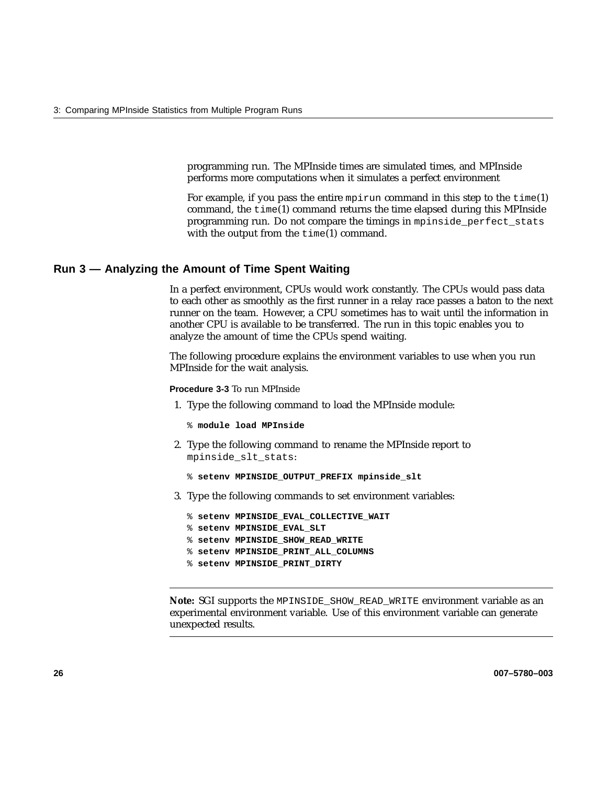programming run. The MPInside times are simulated times, and MPInside performs more computations when it simulates a perfect environment

For example, if you pass the entire mpirun command in this step to the  $\tt time(1)$ command, the  $time(1)$  command returns the time elapsed during this MPInside programming run. Do not compare the timings in mpinside\_perfect\_stats with the output from the  $\tt time(1)$  command.

#### **Run 3 — Analyzing the Amount of Time Spent Waiting**

In a perfect environment, CPUs would work constantly. The CPUs would pass data to each other as smoothly as the first runner in a relay race passes a baton to the next runner on the team. However, a CPU sometimes has to wait until the information in another CPU is available to be transferred. The run in this topic enables you to analyze the amount of time the CPUs spend waiting.

The following procedure explains the environment variables to use when you run MPInside for the wait analysis.

**Procedure 3-3** To run MPInside

- 1. Type the following command to load the MPInside module:
	- % **module load MPInside**
- 2. Type the following command to rename the MPInside report to mpinside\_slt\_stats:
	- % **setenv MPINSIDE\_OUTPUT\_PREFIX mpinside\_slt**
- 3. Type the following commands to set environment variables:
	- % **setenv MPINSIDE\_EVAL\_COLLECTIVE\_WAIT**
	- % **setenv MPINSIDE\_EVAL\_SLT**
	- % **setenv MPINSIDE\_SHOW\_READ\_WRITE**
	- % **setenv MPINSIDE\_PRINT\_ALL\_COLUMNS**
	- % **setenv MPINSIDE\_PRINT\_DIRTY**

**Note:** SGI supports the MPINSIDE\_SHOW\_READ\_WRITE environment variable as an experimental environment variable. Use of this environment variable can generate unexpected results.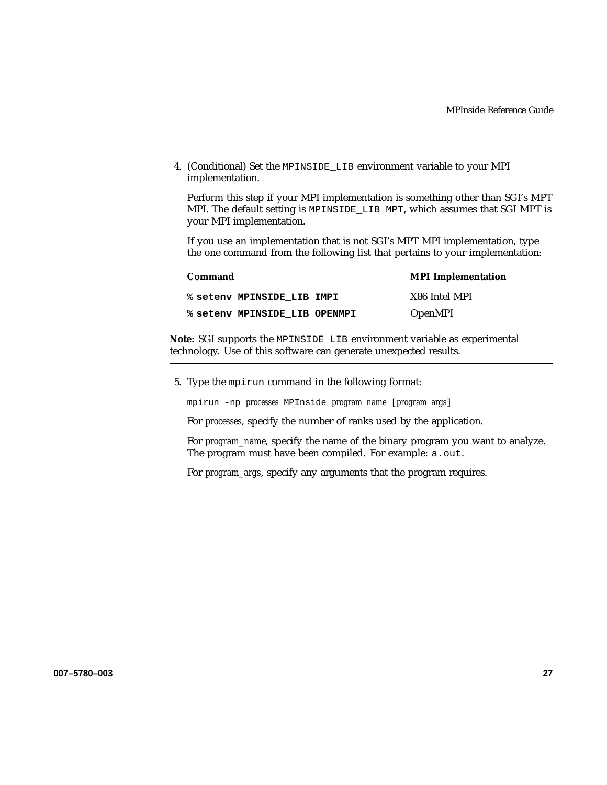4. (Conditional) Set the MPINSIDE\_LIB environment variable to your MPI implementation.

Perform this step if your MPI implementation is something other than SGI's MPT MPI. The default setting is MPINSIDE LIB MPT, which assumes that SGI MPT is your MPI implementation.

If you use an implementation that is not SGI's MPT MPI implementation, type the one command from the following list that pertains to your implementation:

| Command                       | <b>MPI</b> Implementation |
|-------------------------------|---------------------------|
| % seteny MPINSIDE LIB IMPI    | X86 Intel MPI             |
| % setenv MPINSIDE LIB OPENMPI | <b>OpenMPI</b>            |

**Note:** SGI supports the MPINSIDE\_LIB environment variable as experimental technology. Use of this software can generate unexpected results.

5. Type the mpirun command in the following format:

mpirun -np *processes* MPInside *program\_name* [*program\_args*]

For *processes*, specify the number of ranks used by the application.

For *program\_name*, specify the name of the binary program you want to analyze. The program must have been compiled. For example: a.out.

For *program\_args*, specify any arguments that the program requires.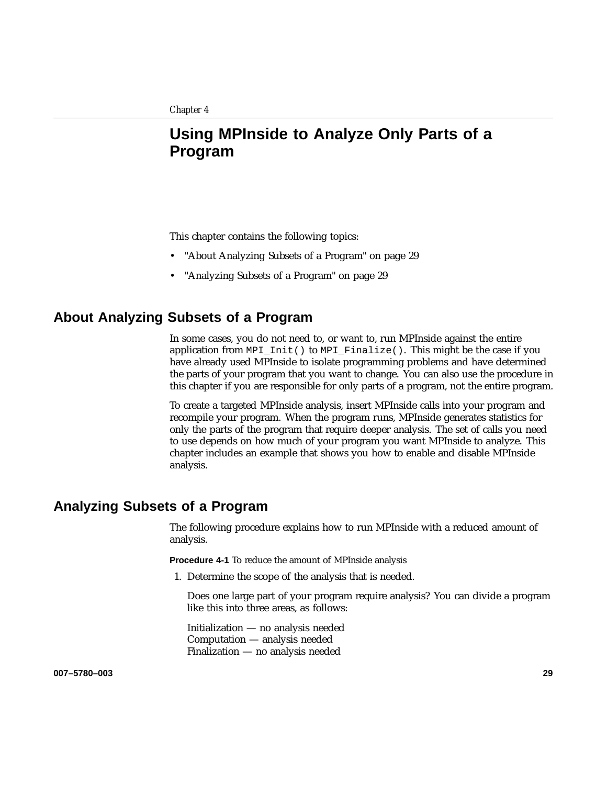# **Using MPInside to Analyze Only Parts of a Program**

This chapter contains the following topics:

- "About Analyzing Subsets of a Program" on page 29
- "Analyzing Subsets of a Program" on page 29

## **About Analyzing Subsets of a Program**

In some cases, you do not need to, or want to, run MPInside against the entire application from MPI\_Init() to MPI\_Finalize(). This might be the case if you have already used MPInside to isolate programming problems and have determined the parts of your program that you want to change. You can also use the procedure in this chapter if you are responsible for only parts of a program, not the entire program.

To create a targeted MPInside analysis, insert MPInside calls into your program and recompile your program. When the program runs, MPInside generates statistics for only the parts of the program that require deeper analysis. The set of calls you need to use depends on how much of your program you want MPInside to analyze. This chapter includes an example that shows you how to enable and disable MPInside analysis.

## **Analyzing Subsets of a Program**

The following procedure explains how to run MPInside with a reduced amount of analysis.

**Procedure 4-1** To reduce the amount of MPInside analysis

1. Determine the scope of the analysis that is needed.

Does one large part of your program require analysis? You can divide a program like this into three areas, as follows:

Initialization — no analysis needed Computation — analysis needed Finalization — no analysis needed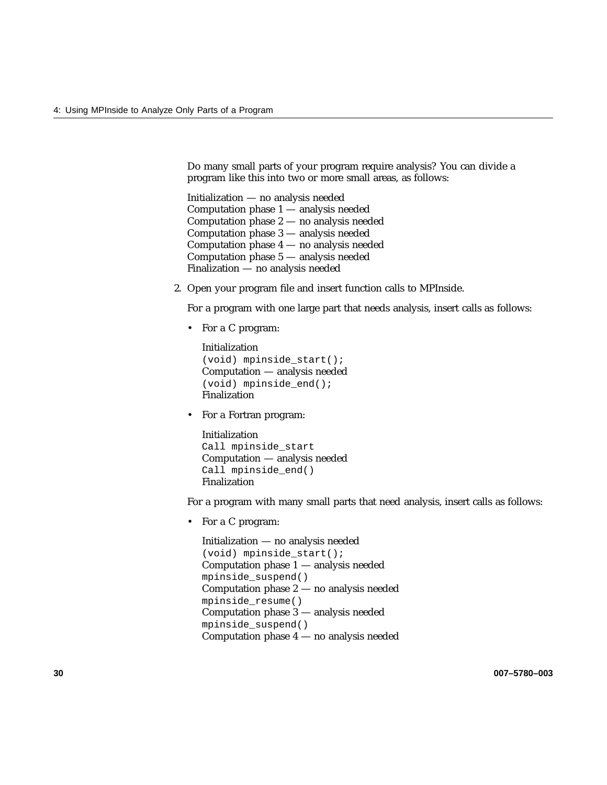Do many small parts of your program require analysis? You can divide a program like this into two or more small areas, as follows:

Initialization — no analysis needed Computation phase 1 — analysis needed Computation phase 2 — no analysis needed Computation phase 3 — analysis needed Computation phase 4 — no analysis needed Computation phase 5 — analysis needed Finalization — no analysis needed

2. Open your program file and insert function calls to MPInside.

For a program with one large part that needs analysis, insert calls as follows:

• For a C program:

Initialization (void) mpinside\_start(); Computation — analysis needed (void) mpinside\_end(); Finalization

• For a Fortran program:

Initialization Call mpinside\_start Computation — analysis needed Call mpinside end() Finalization

For a program with many small parts that need analysis, insert calls as follows:

• For a C program:

Initialization — no analysis needed (void) mpinside\_start(); Computation phase 1 — analysis needed mpinside\_suspend() Computation phase 2 — no analysis needed mpinside\_resume() Computation phase 3 — analysis needed mpinside\_suspend() Computation phase 4 — no analysis needed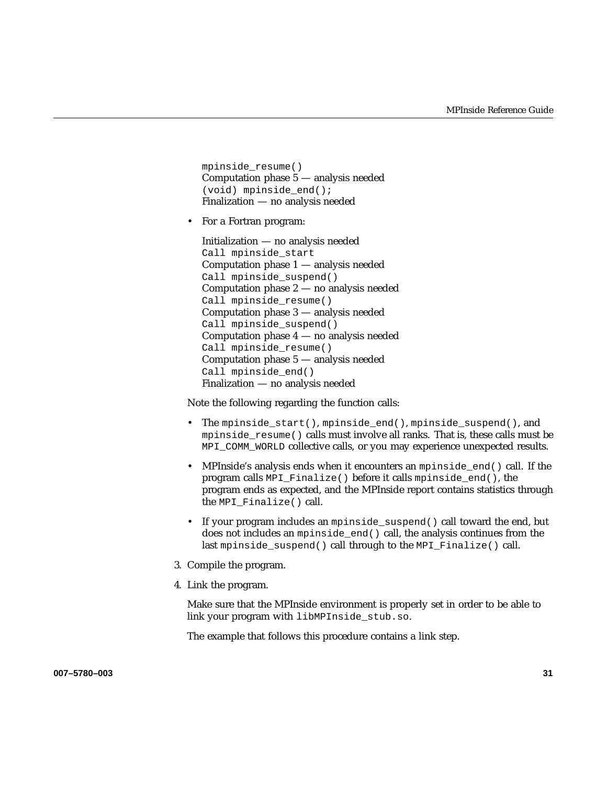mpinside\_resume() Computation phase 5 — analysis needed (void) mpinside\_end(); Finalization — no analysis needed

• For a Fortran program:

Initialization — no analysis needed Call mpinside\_start Computation phase 1 — analysis needed Call mpinside suspend() Computation phase 2 — no analysis needed Call mpinside\_resume() Computation phase 3 — analysis needed Call mpinside\_suspend() Computation phase 4 — no analysis needed Call mpinside resume() Computation phase 5 — analysis needed Call mpinside end() Finalization — no analysis needed

Note the following regarding the function calls:

- The mpinside\_start(), mpinside\_end(), mpinside\_suspend(), and mpinside\_resume() calls must involve all ranks. That is, these calls must be MPI\_COMM\_WORLD collective calls, or you may experience unexpected results.
- MPInside's analysis ends when it encounters an mpinside\_end() call. If the program calls MPI\_Finalize() before it calls mpinside\_end(), the program ends as expected, and the MPInside report contains statistics through the MPI\_Finalize() call.
- If your program includes an mpinside\_suspend() call toward the end, but does not includes an mpinside end() call, the analysis continues from the last mpinside\_suspend() call through to the MPI\_Finalize() call.
- 3. Compile the program.
- 4. Link the program.

Make sure that the MPInside environment is properly set in order to be able to link your program with libMPInside\_stub.so.

The example that follows this procedure contains a link step.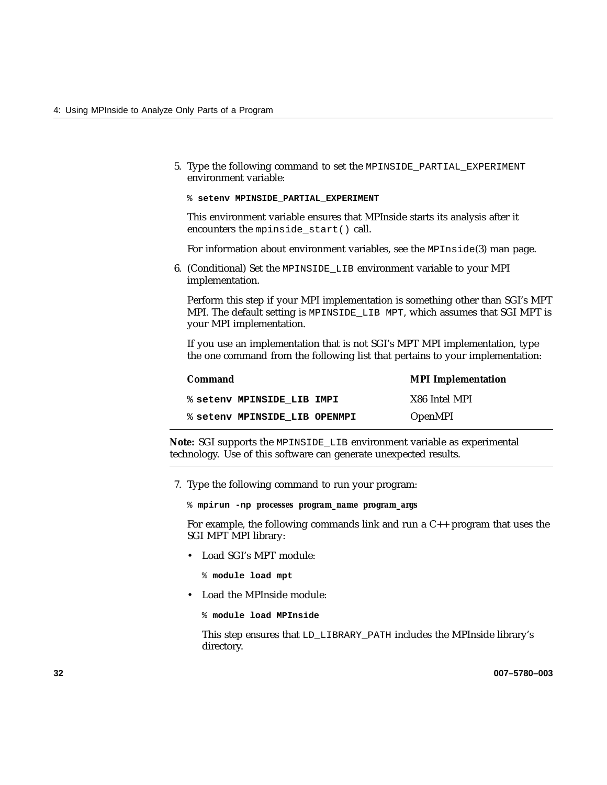- 5. Type the following command to set the MPINSIDE\_PARTIAL\_EXPERIMENT environment variable:
	- % **setenv MPINSIDE\_PARTIAL\_EXPERIMENT**

This environment variable ensures that MPInside starts its analysis after it encounters the mpinside\_start() call.

For information about environment variables, see the MPInside(3) man page.

6. (Conditional) Set the MPINSIDE\_LIB environment variable to your MPI implementation.

Perform this step if your MPI implementation is something other than SGI's MPT MPI. The default setting is MPINSIDE\_LIB MPT, which assumes that SGI MPT is your MPI implementation.

If you use an implementation that is not SGI's MPT MPI implementation, type the one command from the following list that pertains to your implementation:

| Command                       | <b>MPI</b> Implementation |
|-------------------------------|---------------------------|
| % setenv MPINSIDE LIB IMPI    | X86 Intel MPI             |
| % setenv MPINSIDE LIB OPENMPI | <b>OpenMPI</b>            |

**Note:** SGI supports the MPINSIDE\_LIB environment variable as experimental technology. Use of this software can generate unexpected results.

7. Type the following command to run your program:

% **mpirun -np** *processes program\_name program\_args*

For example, the following commands link and run a  $C_{++}$  program that uses the SGI MPT MPI library:

• Load SGI's MPT module:

% **module load mpt**

• Load the MPInside module:

```
% module load MPInside
```
This step ensures that LD\_LIBRARY\_PATH includes the MPInside library's directory.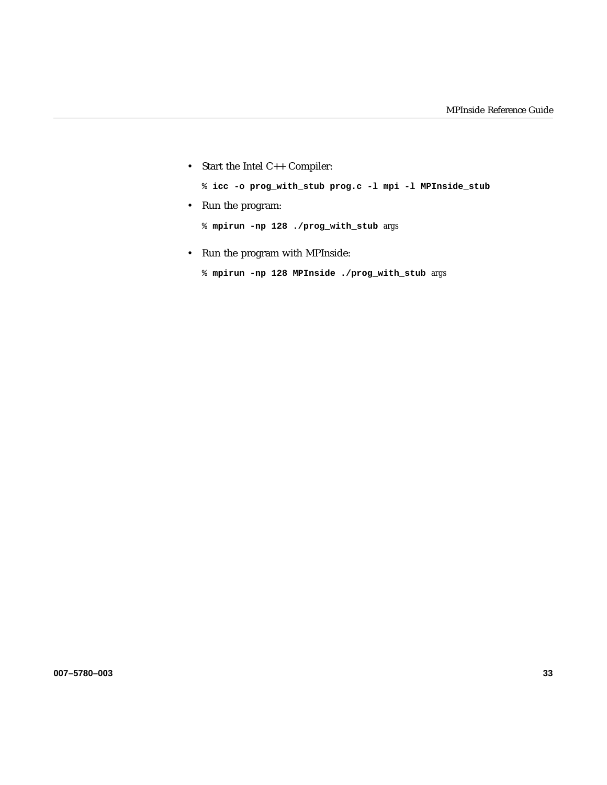• Start the Intel C++ Compiler:

% **icc -o prog\_with\_stub prog.c -l mpi -l MPInside\_stub**

• Run the program:

% **mpirun -np 128 ./prog\_with\_stub** *args*

- Run the program with MPInside:
	- % **mpirun -np 128 MPInside ./prog\_with\_stub** *args*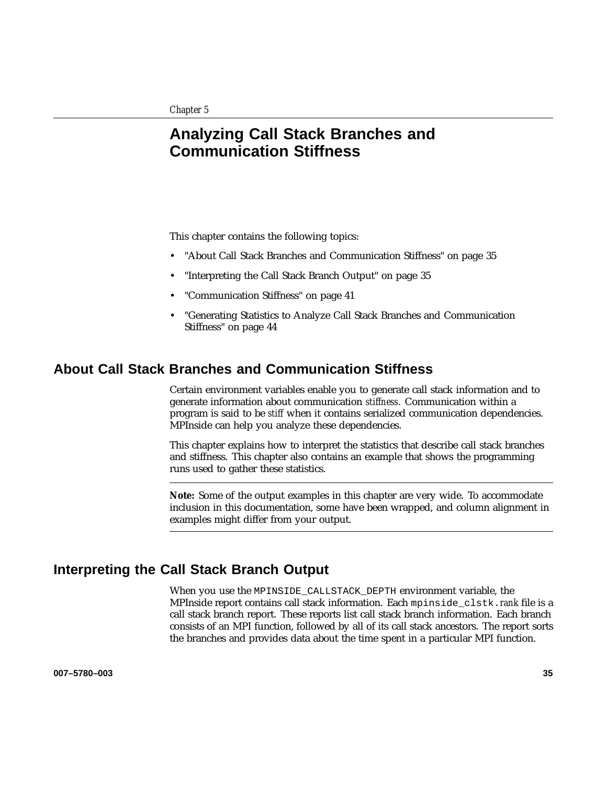# **Analyzing Call Stack Branches and Communication Stiffness**

This chapter contains the following topics:

- "About Call Stack Branches and Communication Stiffness" on page 35
- "Interpreting the Call Stack Branch Output" on page 35
- "Communication Stiffness" on page 41
- "Generating Statistics to Analyze Call Stack Branches and Communication Stiffness" on page 44

## **About Call Stack Branches and Communication Stiffness**

Certain environment variables enable you to generate call stack information and to generate information about communication *stiffness*. Communication within a program is said to be *stiff* when it contains serialized communication dependencies. MPInside can help you analyze these dependencies.

This chapter explains how to interpret the statistics that describe call stack branches and stiffness. This chapter also contains an example that shows the programming runs used to gather these statistics.

**Note:** Some of the output examples in this chapter are very wide. To accommodate inclusion in this documentation, some have been wrapped, and column alignment in examples might differ from your output.

## **Interpreting the Call Stack Branch Output**

When you use the MPINSIDE CALLSTACK DEPTH environment variable, the MPInside report contains call stack information. Each mpinside\_clstk.*rank* file is a call stack branch report. These reports list call stack branch information. Each branch consists of an MPI function, followed by all of its call stack ancestors. The report sorts the branches and provides data about the time spent in a particular MPI function.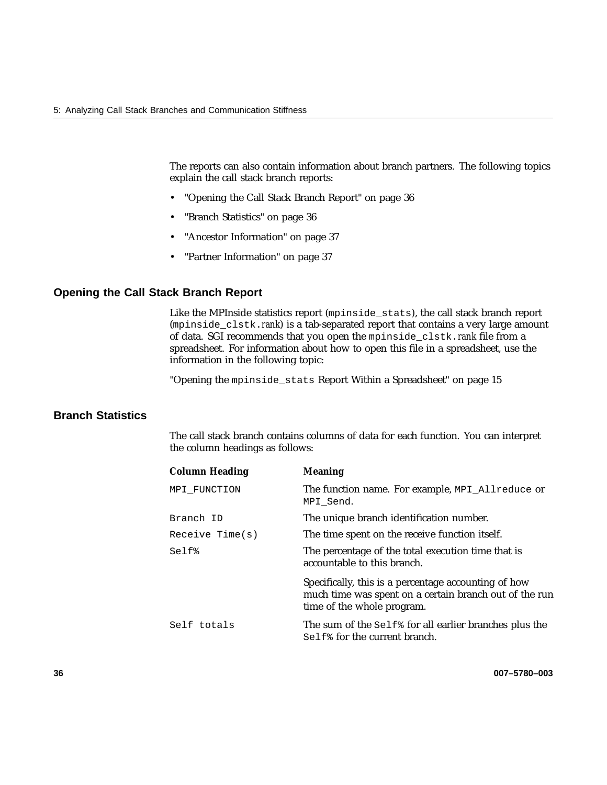The reports can also contain information about branch partners. The following topics explain the call stack branch reports:

- "Opening the Call Stack Branch Report" on page 36
- "Branch Statistics" on page 36
- "Ancestor Information" on page 37
- "Partner Information" on page 37

#### **Opening the Call Stack Branch Report**

Like the MPInside statistics report (mpinside\_stats), the call stack branch report (mpinside\_clstk.*rank*) is a tab-separated report that contains a very large amount of data. SGI recommends that you open the mpinside\_clstk.*rank* file from a spreadsheet. For information about how to open this file in a spreadsheet, use the information in the following topic:

"Opening the mpinside\_stats Report Within a Spreadsheet" on page 15

## **Branch Statistics**

The call stack branch contains columns of data for each function. You can interpret the column headings as follows:

| <b>Column Heading</b> | <b>Meaning</b>                                                                                                                               |
|-----------------------|----------------------------------------------------------------------------------------------------------------------------------------------|
| MPI FUNCTION          | The function name. For example, MPI_Allreduce or<br>MPI Send.                                                                                |
| Branch ID             | The unique branch identification number.                                                                                                     |
| Receive Time(s)       | The time spent on the receive function itself.                                                                                               |
| Self%                 | The percentage of the total execution time that is<br>accountable to this branch.                                                            |
|                       | Specifically, this is a percentage accounting of how<br>much time was spent on a certain branch out of the run<br>time of the whole program. |
| Self totals           | The sum of the Self <sup>*</sup> for all earlier branches plus the<br>Self <sup>&amp;</sup> for the current branch.                          |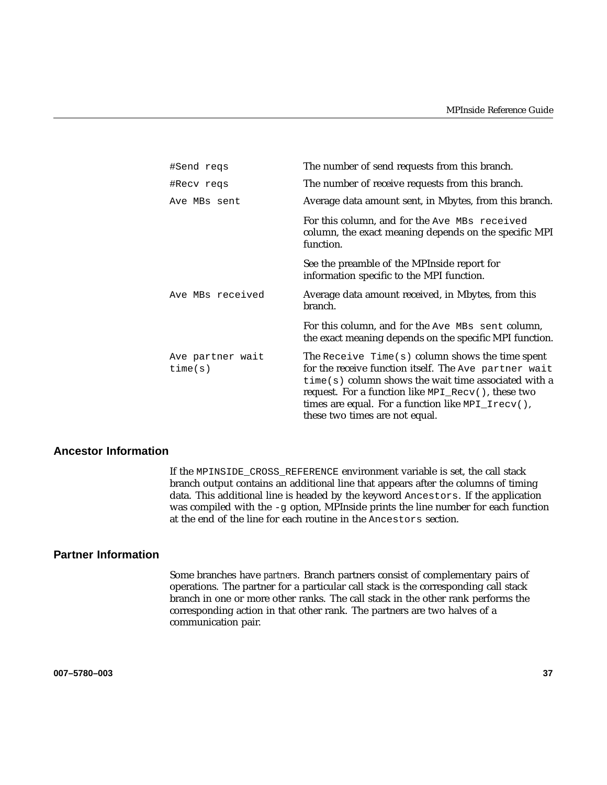| #Send regs                  | The number of send requests from this branch.                                                                                                                                                                                                                                                                        |
|-----------------------------|----------------------------------------------------------------------------------------------------------------------------------------------------------------------------------------------------------------------------------------------------------------------------------------------------------------------|
| #Recv regs                  | The number of receive requests from this branch.                                                                                                                                                                                                                                                                     |
| Ave MBs sent                | Average data amount sent, in Mbytes, from this branch.                                                                                                                                                                                                                                                               |
|                             | For this column, and for the Ave MBs received<br>column, the exact meaning depends on the specific MPI<br>function.                                                                                                                                                                                                  |
|                             | See the preamble of the MPInside report for<br>information specific to the MPI function.                                                                                                                                                                                                                             |
| Ave MBs received            | Average data amount received, in Mbytes, from this<br>branch.                                                                                                                                                                                                                                                        |
|                             | For this column, and for the Ave MBs sent column,<br>the exact meaning depends on the specific MPI function.                                                                                                                                                                                                         |
| Ave partner wait<br>time(s) | The Receive $Time(s)$ column shows the time spent<br>for the receive function itself. The Ave partner wait<br>$time(s)$ column shows the wait time associated with a<br>request. For a function like MPI_Recv(), these two<br>times are equal. For a function like $MPI_Irecv()$ ,<br>these two times are not equal. |

### **Ancestor Information**

If the MPINSIDE\_CROSS\_REFERENCE environment variable is set, the call stack branch output contains an additional line that appears after the columns of timing data. This additional line is headed by the keyword Ancestors. If the application was compiled with the -g option, MPInside prints the line number for each function at the end of the line for each routine in the Ancestors section.

#### **Partner Information**

Some branches have *partners*. Branch partners consist of complementary pairs of operations. The partner for a particular call stack is the corresponding call stack branch in one or more other ranks. The call stack in the other rank performs the corresponding action in that other rank. The partners are two halves of a communication pair.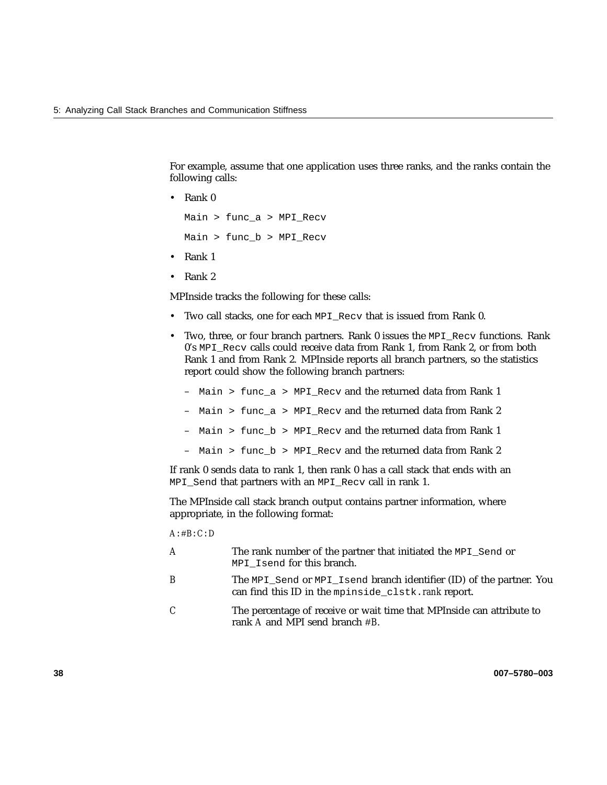For example, assume that one application uses three ranks, and the ranks contain the following calls:

• Rank 0

Main > func\_a > MPI\_Recv Main > func\_b > MPI\_Recv

- Rank 1
- Rank 2

MPInside tracks the following for these calls:

- Two call stacks, one for each MPI\_Recv that is issued from Rank 0.
- Two, three, or four branch partners. Rank 0 issues the MPI\_Recv functions. Rank 0's MPI Recv calls could receive data from Rank 1, from Rank 2, or from both Rank 1 and from Rank 2. MPInside reports all branch partners, so the statistics report could show the following branch partners:
	- Main > func\_a > MPI\_Recv and the returned data from Rank 1
	- Main > func  $a > MPI$  Recv and the returned data from Rank 2
	- Main > func\_b > MPI\_Recv and the returned data from Rank 1
	- Main > func\_b > MPI\_Recv and the returned data from Rank 2

If rank 0 sends data to rank 1, then rank 0 has a call stack that ends with an MPI\_Send that partners with an MPI\_Recv call in rank 1.

The MPInside call stack branch output contains partner information, where appropriate, in the following format:

*A*:#*B*:*C*:*D*

- *A* The rank number of the partner that initiated the MPI\_Send or MPI Isend for this branch. *B* The MPI Send or MPI Isend branch identifier (ID) of the partner. You can find this ID in the mpinside\_clstk.*rank* report.
- *C* The percentage of receive or wait time that MPInside can attribute to rank *A* and MPI send branch #*B*.

**38 007–5780–003**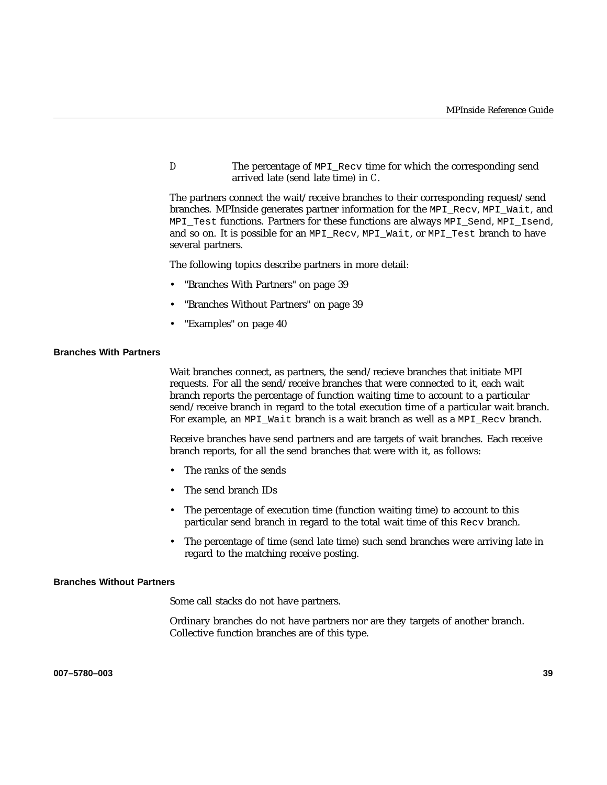*D* The percentage of MPI\_Recv time for which the corresponding send arrived late (send late time) in *C*.

The partners connect the wait/receive branches to their corresponding request/send branches. MPInside generates partner information for the MPI\_Recv, MPI\_Wait, and MPI Test functions. Partners for these functions are always MPI\_Send, MPI\_Isend, and so on. It is possible for an MPI\_Recv, MPI\_Wait, or MPI\_Test branch to have several partners.

The following topics describe partners in more detail:

- "Branches With Partners" on page 39
- "Branches Without Partners" on page 39
- "Examples" on page 40

#### **Branches With Partners**

Wait branches connect, as partners, the send/recieve branches that initiate MPI requests. For all the send/receive branches that were connected to it, each wait branch reports the percentage of function waiting time to account to a particular send/receive branch in regard to the total execution time of a particular wait branch. For example, an MPI\_Wait branch is a wait branch as well as a MPI\_Recv branch.

Receive branches have send partners and are targets of wait branches. Each receive branch reports, for all the send branches that were with it, as follows:

- The ranks of the sends
- The send branch IDs
- The percentage of execution time (function waiting time) to account to this particular send branch in regard to the total wait time of this Recv branch.
- The percentage of time (send late time) such send branches were arriving late in regard to the matching receive posting.

#### **Branches Without Partners**

Some call stacks do not have partners.

Ordinary branches do not have partners nor are they targets of another branch. Collective function branches are of this type.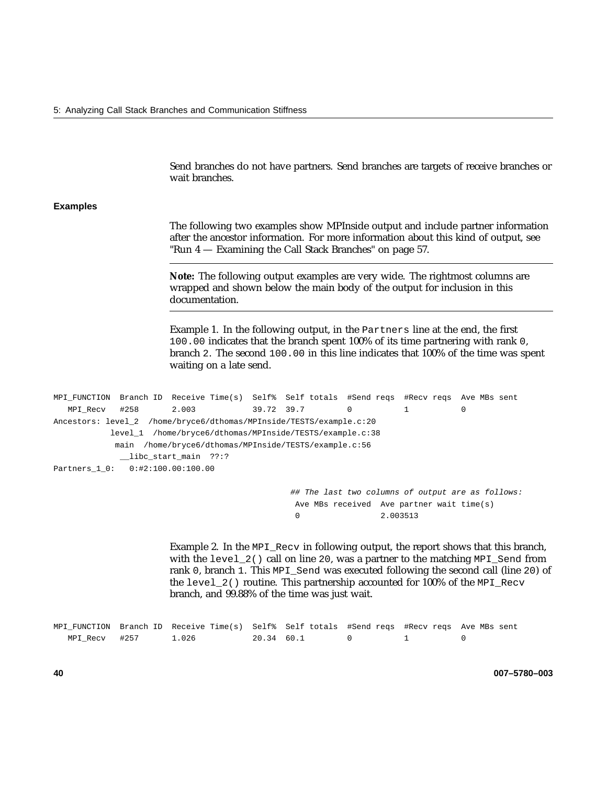Send branches do not have partners. Send branches are targets of receive branches or wait branches.

#### **Examples**

The following two examples show MPInside output and include partner information after the ancestor information. For more information about this kind of output, see "Run 4 — Examining the Call Stack Branches" on page 57.

**Note:** The following output examples are very wide. The rightmost columns are wrapped and shown below the main body of the output for inclusion in this documentation.

Example 1. In the following output, in the Partners line at the end, the first 100.00 indicates that the branch spent 100% of its time partnering with rank 0, branch 2. The second 100.00 in this line indicates that 100% of the time was spent waiting on a late send.

```
MPI_FUNCTION Branch ID Receive Time(s) Self% Self totals #Send reqs #Recv reqs Ave MBs sent
  MPI_Recv #258 2.003 39.72 39.7 0 1 0
Ancestors: level_2 /home/bryce6/dthomas/MPInside/TESTS/example.c:20
          level_1 /home/bryce6/dthomas/MPInside/TESTS/example.c:38
           main /home/bryce6/dthomas/MPInside/TESTS/example.c:56
            __libc_start_main ??:?
Partners_1_0: 0:#2:100.00:100.00
```
## The last two columns of output are as follows: Ave MBs received Ave partner wait time(s) 0 2.003513

Example 2. In the MPI\_Recv in following output, the report shows that this branch, with the level  $2()$  call on line 20, was a partner to the matching  $MPI\_Send$  from rank 0, branch 1. This MPI\_Send was executed following the second call (line 20) of the level\_2() routine. This partnership accounted for 100% of the MPI\_Recv branch, and 99.88% of the time was just wait.

|                | MPI FUNCTION Branch ID Receive Time(s) Self% Self totals #Send regs #Recv regs Ave MBs sent |            |  |  |
|----------------|---------------------------------------------------------------------------------------------|------------|--|--|
| MPI Recv  #257 | 1.026                                                                                       | 20.34 60.1 |  |  |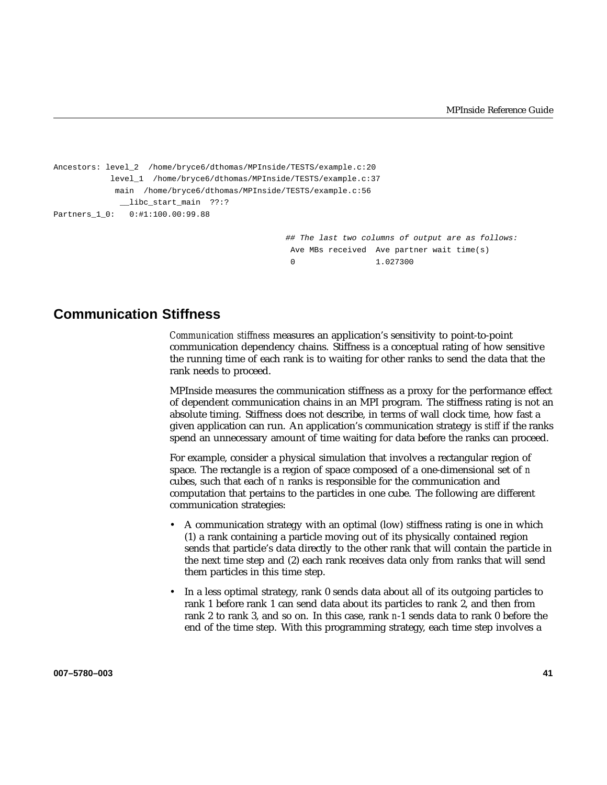```
Ancestors: level_2 /home/bryce6/dthomas/MPInside/TESTS/example.c:20
           level_1 /home/bryce6/dthomas/MPInside/TESTS/example.c:37
            main /home/bryce6/dthomas/MPInside/TESTS/example.c:56
             __libc_start_main ??:?
Partners_1_0: 0:#1:100.00:99.88
                                                ## The last two columns of output are as follows:
```
Ave MBs received Ave partner wait time(s) 0 1.027300

## **Communication Stiffness**

*Communication stiffness* measures an application's sensitivity to point-to-point communication dependency chains. Stiffness is a conceptual rating of how sensitive the running time of each rank is to waiting for other ranks to send the data that the rank needs to proceed.

MPInside measures the communication stiffness as a proxy for the performance effect of dependent communication chains in an MPI program. The stiffness rating is not an absolute timing. Stiffness does not describe, in terms of wall clock time, how fast a given application can run. An application's communication strategy is *stiff* if the ranks spend an unnecessary amount of time waiting for data before the ranks can proceed.

For example, consider a physical simulation that involves a rectangular region of space. The rectangle is a region of space composed of a one-dimensional set of *n* cubes, such that each of *n* ranks is responsible for the communication and computation that pertains to the particles in one cube. The following are different communication strategies:

- A communication strategy with an optimal (low) stiffness rating is one in which (1) a rank containing a particle moving out of its physically contained region sends that particle's data directly to the other rank that will contain the particle in the next time step and (2) each rank receives data only from ranks that will send them particles in this time step.
- In a less optimal strategy, rank 0 sends data about all of its outgoing particles to rank 1 before rank 1 can send data about its particles to rank 2, and then from rank 2 to rank 3, and so on. In this case, rank *n*-1 sends data to rank 0 before the end of the time step. With this programming strategy, each time step involves a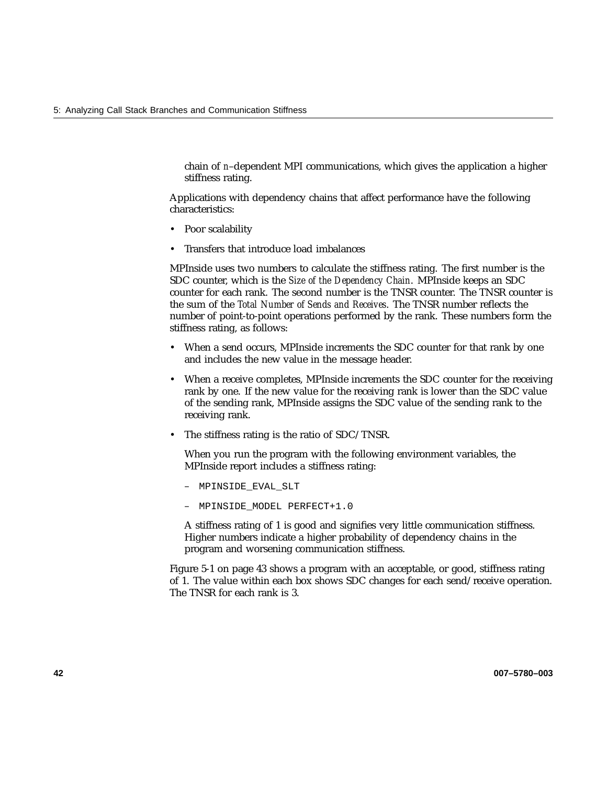chain of *n*–dependent MPI communications, which gives the application a higher stiffness rating.

Applications with dependency chains that affect performance have the following characteristics:

- Poor scalability
- Transfers that introduce load imbalances

MPInside uses two numbers to calculate the stiffness rating. The first number is the SDC counter, which is the *Size of the Dependency Chain*. MPInside keeps an SDC counter for each rank. The second number is the TNSR counter. The TNSR counter is the sum of the *Total Number of Sends and Receives*. The TNSR number reflects the number of point-to-point operations performed by the rank. These numbers form the stiffness rating, as follows:

- When a send occurs, MPInside increments the SDC counter for that rank by one and includes the new value in the message header.
- When a receive completes, MPInside increments the SDC counter for the receiving rank by one. If the new value for the receiving rank is lower than the SDC value of the sending rank, MPInside assigns the SDC value of the sending rank to the receiving rank.
- The stiffness rating is the ratio of SDC/TNSR.

When you run the program with the following environment variables, the MPInside report includes a stiffness rating:

- MPINSIDE\_EVAL\_SLT
- MPINSIDE\_MODEL PERFECT+1.0

A stiffness rating of 1 is good and signifies very little communication stiffness. Higher numbers indicate a higher probability of dependency chains in the program and worsening communication stiffness.

Figure 5-1 on page 43 shows a program with an acceptable, or good, stiffness rating of 1. The value within each box shows SDC changes for each send/receive operation. The TNSR for each rank is 3.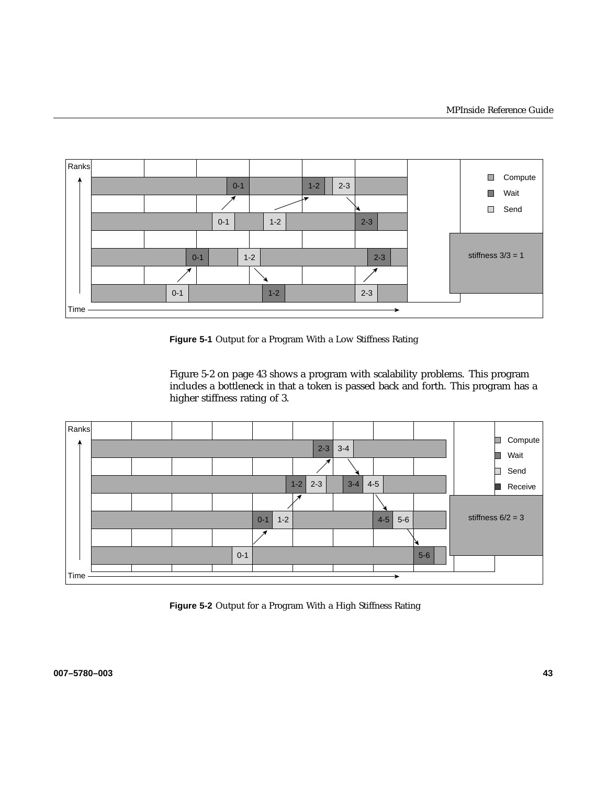

**Figure 5-1** Output for a Program With a Low Stiffness Rating

Figure 5-2 on page 43 shows a program with scalability problems. This program includes a bottleneck in that a token is passed back and forth. This program has a higher stiffness rating of 3.



Figure 5-2 Output for a Program With a High Stiffness Rating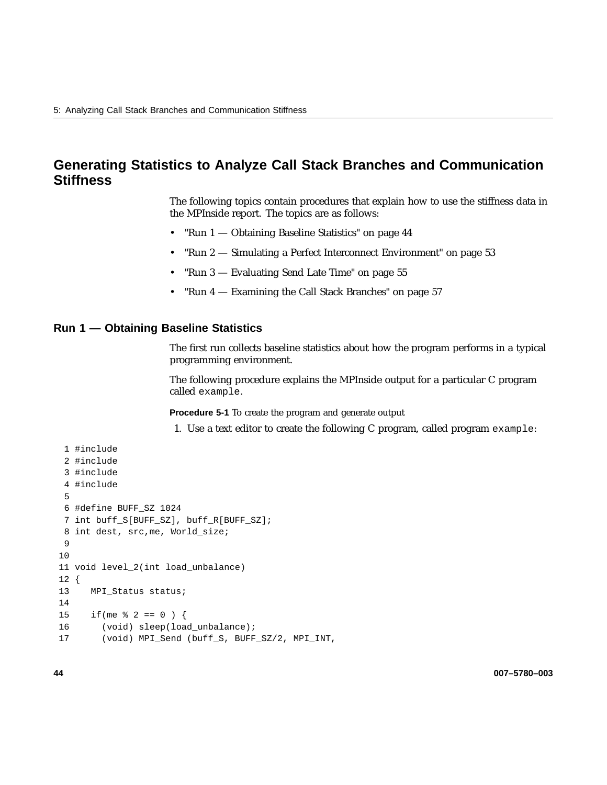## **Generating Statistics to Analyze Call Stack Branches and Communication Stiffness**

The following topics contain procedures that explain how to use the stiffness data in the MPInside report. The topics are as follows:

- "Run 1 Obtaining Baseline Statistics" on page 44
- "Run 2 Simulating a Perfect Interconnect Environment" on page 53
- "Run 3 Evaluating Send Late Time" on page 55
- "Run 4 Examining the Call Stack Branches" on page 57

#### **Run 1 — Obtaining Baseline Statistics**

The first run collects baseline statistics about how the program performs in a typical programming environment.

The following procedure explains the MPInside output for a particular C program called example.

**Procedure 5-1** To create the program and generate output

1. Use a text editor to create the following C program, called program example:

```
1 #include
 2 #include
 3 #include
 4 #include
 5
6 #define BUFF_SZ 1024
7 int buff_S[BUFF_SZ], buff_R[BUFF_SZ];
8 int dest, src,me, World_size;
9
10
11 void level_2(int load_unbalance)
12 {
13 MPI Status status;
14
15 if (me \frac{1}{2} 2 == 0 ) {
16 (void) sleep(load_unbalance);
17 (void) MPI_Send (buff_S, BUFF_SZ/2, MPI_INT,
```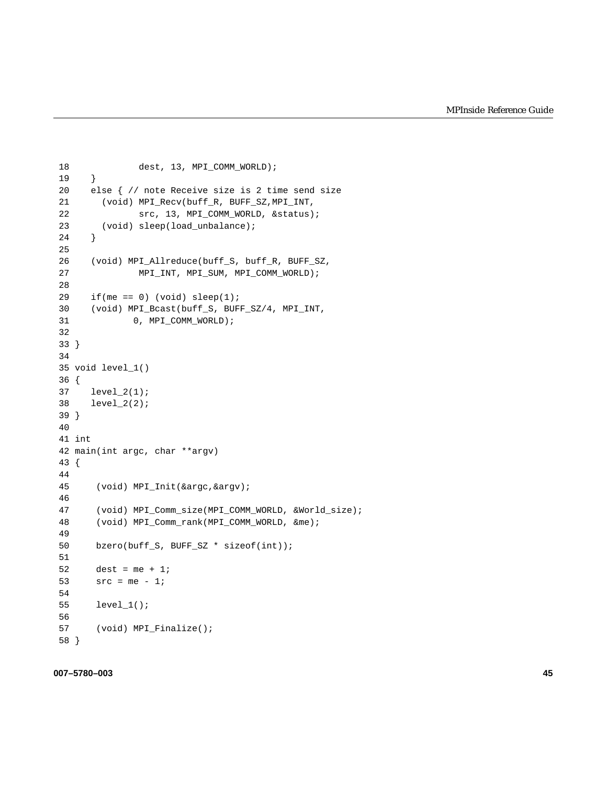```
18 dest, 13, MPI_COMM_WORLD);
19 }
20 else { // note Receive size is 2 time send size
21 (void) MPI_Recv(buff_R, BUFF_SZ,MPI_INT,
22 src, 13, MPI_COMM_WORLD, &status);
23 (void) sleep(load_unbalance);
24 }
25
26 (void) MPI_Allreduce(buff_S, buff_R, BUFF_SZ,
27 MPI_INT, MPI_SUM, MPI_COMM_WORLD);
28
29 if(me == 0) (void) sleep(1);
30 (void) MPI_Bcast(buff_S, BUFF_SZ/4, MPI_INT,
31 0, MPI_COMM_WORLD);
32
33 }
34
35 void level_1()
36 {
37 level_2(1);
38 level_2(2);
39 }
40
41 int
42 main(int argc, char **argv)
43 {
44
45 (void) MPI_Init(&argc,&argv);
46
47 (void) MPI_Comm_size(MPI_COMM_WORLD, &World_size);
48 (void) MPI_Comm_rank(MPI_COMM_WORLD, &me);
49
50 bzero(buff_S, BUFF_SZ * sizeof(int));
51
52 dest = me + 1;
53 src = me - 1;54
55 level_1();
56
57 (void) MPI_Finalize();
58 }
```
#### **007–5780–003 45**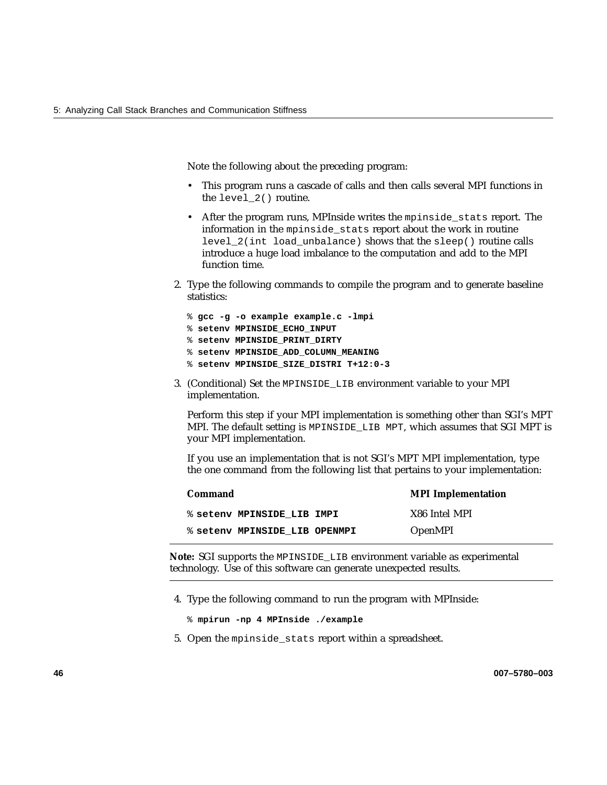Note the following about the preceding program:

- This program runs a cascade of calls and then calls several MPI functions in the level\_2() routine.
- After the program runs, MPInside writes the mpinside\_stats report. The information in the mpinside\_stats report about the work in routine level 2(int load unbalance) shows that the sleep() routine calls introduce a huge load imbalance to the computation and add to the MPI function time.
- 2. Type the following commands to compile the program and to generate baseline statistics:

```
% gcc -g -o example example.c -lmpi
% setenv MPINSIDE_ECHO_INPUT
% setenv MPINSIDE_PRINT_DIRTY
% setenv MPINSIDE_ADD_COLUMN_MEANING
% setenv MPINSIDE_SIZE_DISTRI T+12:0-3
```
3. (Conditional) Set the MPINSIDE\_LIB environment variable to your MPI implementation.

Perform this step if your MPI implementation is something other than SGI's MPT MPI. The default setting is MPINSIDE\_LIB MPT, which assumes that SGI MPT is your MPI implementation.

If you use an implementation that is not SGI's MPT MPI implementation, type the one command from the following list that pertains to your implementation:

| Command                       | <b>MPI</b> Implementation |
|-------------------------------|---------------------------|
| % setenv MPINSIDE LIB IMPI    | X86 Intel MPI             |
| % setenv MPINSIDE LIB OPENMPI | <b>OpenMPI</b>            |

**Note:** SGI supports the MPINSIDE\_LIB environment variable as experimental technology. Use of this software can generate unexpected results.

4. Type the following command to run the program with MPInside:

- % **mpirun -np 4 MPInside ./example**
- 5. Open the mpinside\_stats report within a spreadsheet.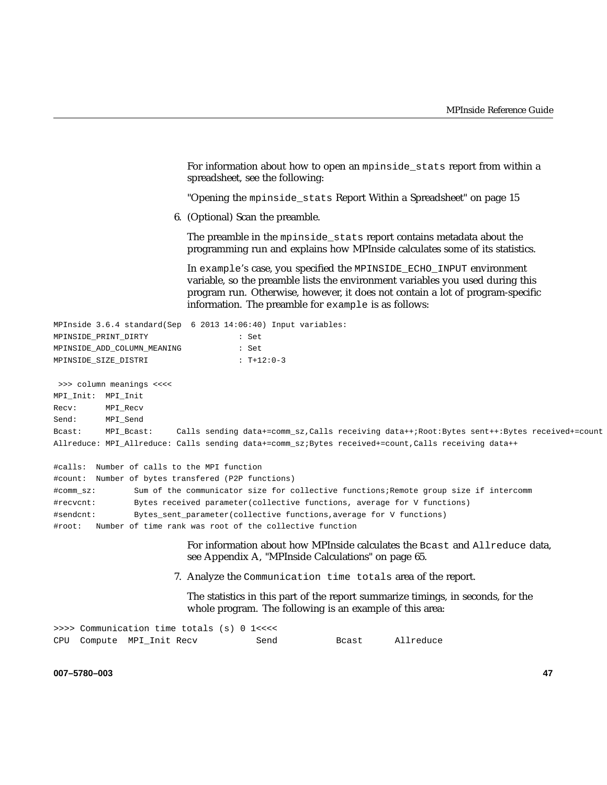For information about how to open an mpinside\_stats report from within a spreadsheet, see the following:

"Opening the mpinside\_stats Report Within a Spreadsheet" on page 15

6. (Optional) Scan the preamble.

The preamble in the mpinside\_stats report contains metadata about the programming run and explains how MPInside calculates some of its statistics.

In example's case, you specified the MPINSIDE\_ECHO\_INPUT environment variable, so the preamble lists the environment variables you used during this program run. Otherwise, however, it does not contain a lot of program-specific information. The preamble for example is as follows:

|                             | MPInside 3.6.4 standard(Sep 6 2013 14:06:40) Input variables: |
|-----------------------------|---------------------------------------------------------------|
| MPINSIDE PRINT DIRTY        | : Set                                                         |
| MPINSIDE ADD COLUMN MEANING | : Set                                                         |
| MPINSIDE SIZE DISTRI        | $T+12:0-3$                                                    |

>>> column meanings <<<< MPI\_Init: MPI\_Init Recv: MPI\_Recv Send: MPI\_Send Bcast: MPI\_Bcast: Calls sending data+=comm\_sz,Calls receiving data++;Root:Bytes sent++:Bytes received+=count Allreduce: MPI\_Allreduce: Calls sending data+=comm\_sz;Bytes received+=count,Calls receiving data++

```
#calls: Number of calls to the MPI function
#count: Number of bytes transfered (P2P functions)
#comm_sz: Sum of the communicator size for collective functions;Remote group size if intercomm
#recvcnt: Bytes received parameter(collective functions, average for V functions)
#sendcnt: Bytes_sent_parameter(collective functions,average for V functions)
#root: Number of time rank was root of the collective function
```
For information about how MPInside calculates the Bcast and Allreduce data, see Appendix A, "MPInside Calculations" on page 65.

7. Analyze the Communication time totals area of the report.

The statistics in this part of the report summarize timings, in seconds, for the whole program. The following is an example of this area:

| >>>> Communication time totals (s) 0 1<<<< |  |  |      |       |           |
|--------------------------------------------|--|--|------|-------|-----------|
| CPU Compute MPI Init Recv                  |  |  | Send | Bcast | Allreduce |

**007–5780–003 47**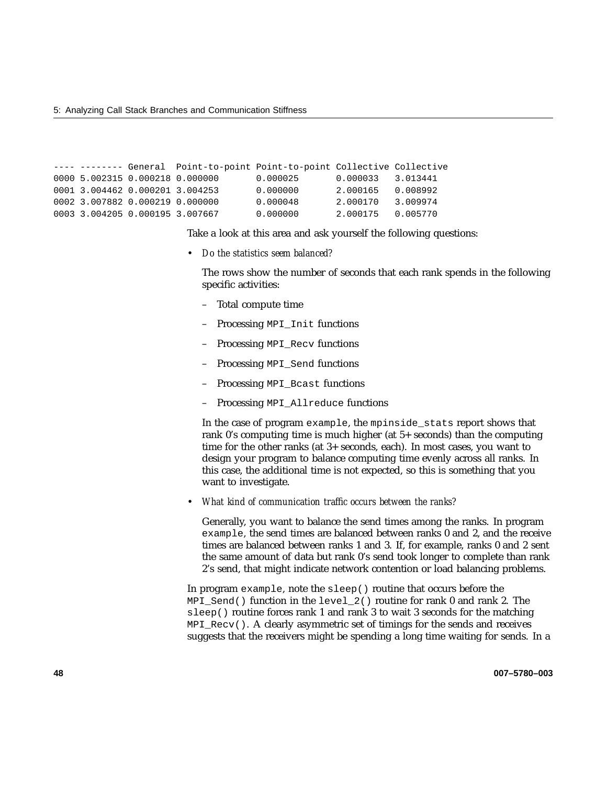5: Analyzing Call Stack Branches and Communication Stiffness

```
---- -------- General Point-to-point Point-to-point Collective Collective
0000 5.002315 0.000218 0.000000 0.000025 0.000033 3.013441
0001 3.004462 0.000201 3.004253 0.000000 2.000165 0.008992
0002 3.007882 0.000219 0.000000 0.000048 2.000170 3.009974
0003 3.004205 0.000195 3.007667 0.000000 2.000175 0.005770
```
Take a look at this area and ask yourself the following questions:

• *Do the statistics seem balanced?*

The rows show the number of seconds that each rank spends in the following specific activities:

- Total compute time
- Processing MPI\_Init functions
- Processing MPI\_Recv functions
- Processing MPI\_Send functions
- Processing MPI\_Bcast functions
- Processing MPI\_Allreduce functions

In the case of program example, the mpinside\_stats report shows that rank 0's computing time is much higher (at 5+ seconds) than the computing time for the other ranks (at 3+ seconds, each). In most cases, you want to design your program to balance computing time evenly across all ranks. In this case, the additional time is not expected, so this is something that you want to investigate.

• *What kind of communication traffic occurs between the ranks?*

Generally, you want to balance the send times among the ranks. In program example, the send times are balanced between ranks 0 and 2, and the receive times are balanced between ranks 1 and 3. If, for example, ranks 0 and 2 sent the same amount of data but rank 0's send took longer to complete than rank 2's send, that might indicate network contention or load balancing problems.

In program example, note the sleep() routine that occurs before the MPI\_Send() function in the level\_2() routine for rank 0 and rank 2. The sleep() routine forces rank 1 and rank 3 to wait 3 seconds for the matching MPI\_Recv(). A clearly asymmetric set of timings for the sends and receives suggests that the receivers might be spending a long time waiting for sends. In a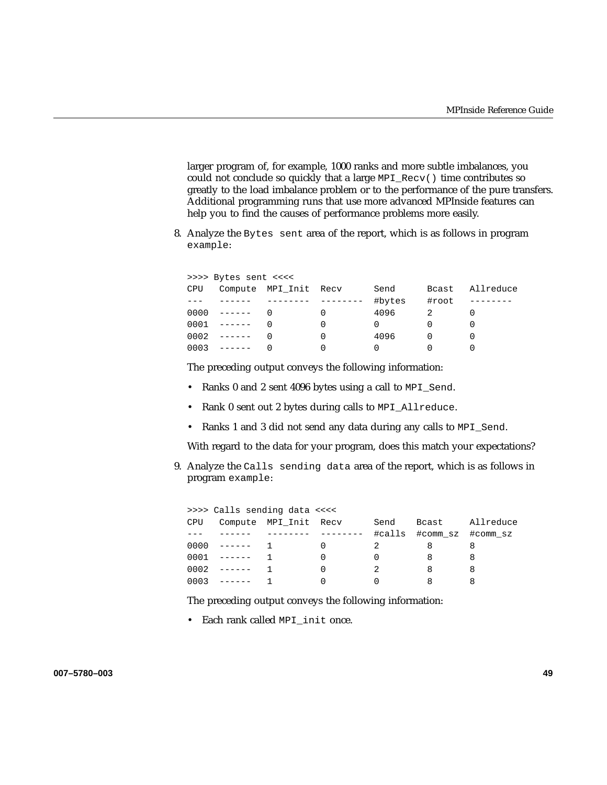larger program of, for example, 1000 ranks and more subtle imbalances, you could not conclude so quickly that a large MPI\_Recv() time contributes so greatly to the load imbalance problem or to the performance of the pure transfers. Additional programming runs that use more advanced MPInside features can help you to find the causes of performance problems more easily.

8. Analyze the Bytes sent area of the report, which is as follows in program example:

|     | >>>> Bytes sent <<<< |                       |        |       |           |
|-----|----------------------|-----------------------|--------|-------|-----------|
| CPU |                      | Compute MPI Init Recv | Send   | Bcast | Allreduce |
|     |                      |                       | #bytes | #root |           |
|     | $0000 - - - - - -$   |                       | 4096   |       |           |
|     | $0001 - - - - - -$   |                       |        |       |           |
|     | $0002 - - - - -$     |                       | 4096   |       |           |
|     | $0003$ ------        |                       |        |       |           |

The preceding output conveys the following information:

- Ranks 0 and 2 sent 4096 bytes using a call to MPI\_Send.
- Rank 0 sent out 2 bytes during calls to MPI\_Allreduce.
- Ranks 1 and 3 did not send any data during any calls to MPI\_Send.

With regard to the data for your program, does this match your expectations?

9. Analyze the Calls sending data area of the report, which is as follows in program example:

|      |                    | >>>> Calls sending data <<<< |        |       |                   |
|------|--------------------|------------------------------|--------|-------|-------------------|
| CPU  |                    | Compute MPI_Init Recv        | Send   | Bcast | Allreduce         |
|      |                    |                              | #calls |       | #comm sz #comm sz |
| 0000 | _______            |                              |        |       | 8                 |
|      | $0001 - - - - - -$ |                              |        |       |                   |
| 0002 | -------            |                              |        | 8     | 8                 |
| 0003 | -------            |                              |        |       |                   |

The preceding output conveys the following information:

• Each rank called MPI\_init once.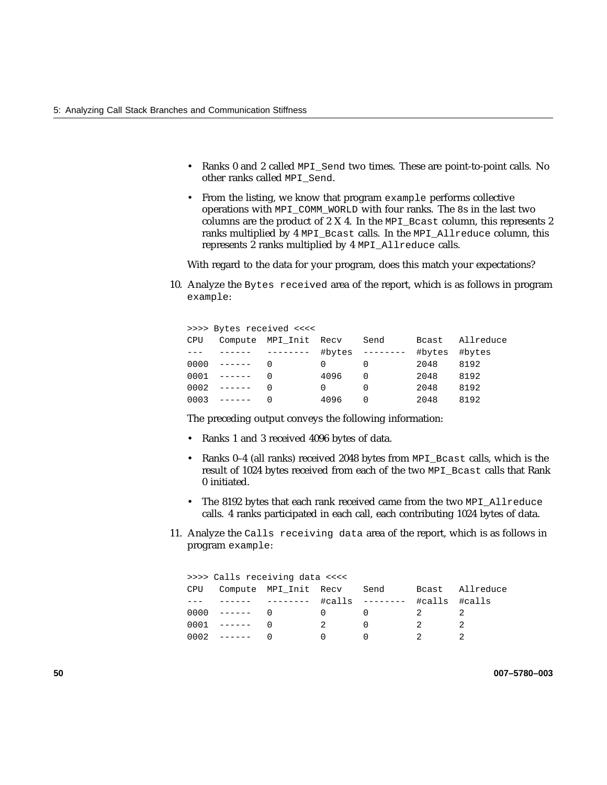- Ranks 0 and 2 called MPI\_Send two times. These are point-to-point calls. No other ranks called MPI\_Send.
- From the listing, we know that program example performs collective operations with MPI\_COMM\_WORLD with four ranks. The 8s in the last two columns are the product of 2 X 4. In the MPI\_Bcast column, this represents 2 ranks multiplied by 4 MPI\_Bcast calls. In the MPI\_Allreduce column, this represents 2 ranks multiplied by 4 MPI\_Allreduce calls.

With regard to the data for your program, does this match your expectations?

10. Analyze the Bytes received area of the report, which is as follows in program example:

|      | >>>> Bytes received <<<<                                                                                                                                                                                                                                                                                                                                                                                                                                                               |                       |        |      |               |           |  |  |  |
|------|----------------------------------------------------------------------------------------------------------------------------------------------------------------------------------------------------------------------------------------------------------------------------------------------------------------------------------------------------------------------------------------------------------------------------------------------------------------------------------------|-----------------------|--------|------|---------------|-----------|--|--|--|
| CPU  |                                                                                                                                                                                                                                                                                                                                                                                                                                                                                        | Compute MPI Init Recv |        | Send | <b>B</b> cast | Allreduce |  |  |  |
|      |                                                                                                                                                                                                                                                                                                                                                                                                                                                                                        | -------               | #bytes |      | #bytes        | #bytes    |  |  |  |
| 0000 | $\begin{array}{cccccccccc} \multicolumn{2}{c}{} & \multicolumn{2}{c}{} & \multicolumn{2}{c}{} & \multicolumn{2}{c}{} & \multicolumn{2}{c}{} & \multicolumn{2}{c}{} & \multicolumn{2}{c}{} & \multicolumn{2}{c}{} & \multicolumn{2}{c}{} & \multicolumn{2}{c}{} & \multicolumn{2}{c}{} & \multicolumn{2}{c}{} & \multicolumn{2}{c}{} & \multicolumn{2}{c}{} & \multicolumn{2}{c}{} & \multicolumn{2}{c}{} & \multicolumn{2}{c}{} & \multicolumn{2}{c}{} & \multicolumn{2}{c}{} & \mult$ |                       |        |      | 2048          | 8192      |  |  |  |
|      | $0001$ ------                                                                                                                                                                                                                                                                                                                                                                                                                                                                          |                       | 4096   |      | 2048          | 8192      |  |  |  |
| 0002 |                                                                                                                                                                                                                                                                                                                                                                                                                                                                                        |                       | 0      |      | 2048          | 8192      |  |  |  |
| 0003 | -------                                                                                                                                                                                                                                                                                                                                                                                                                                                                                |                       | 4096   | ∩    | 2048          | 8192      |  |  |  |

The preceding output conveys the following information:

- Ranks 1 and 3 received 4096 bytes of data.
- Ranks 0–4 (all ranks) received 2048 bytes from MPI\_Bcast calls, which is the result of 1024 bytes received from each of the two MPI\_Bcast calls that Rank 0 initiated.
- The 8192 bytes that each rank received came from the two MPI\_Allreduce calls. 4 ranks participated in each call, each contributing 1024 bytes of data.
- 11. Analyze the Calls receiving data area of the report, which is as follows in program example:

| >>>> Calls receiving data <<<< |         |                       |         |           |        |           |  |
|--------------------------------|---------|-----------------------|---------|-----------|--------|-----------|--|
| CPU                            |         | Compute MPI_Init Recv |         | Send      | Bcast  | Allreduce |  |
|                                |         | $- - - - - - - -$     | $\#cal$ | --------- | #calls | #calls    |  |
| 0000                           | _______ |                       |         |           |        |           |  |
| 0001                           | ------- |                       | 2       |           |        |           |  |
|                                | ------- |                       |         |           |        |           |  |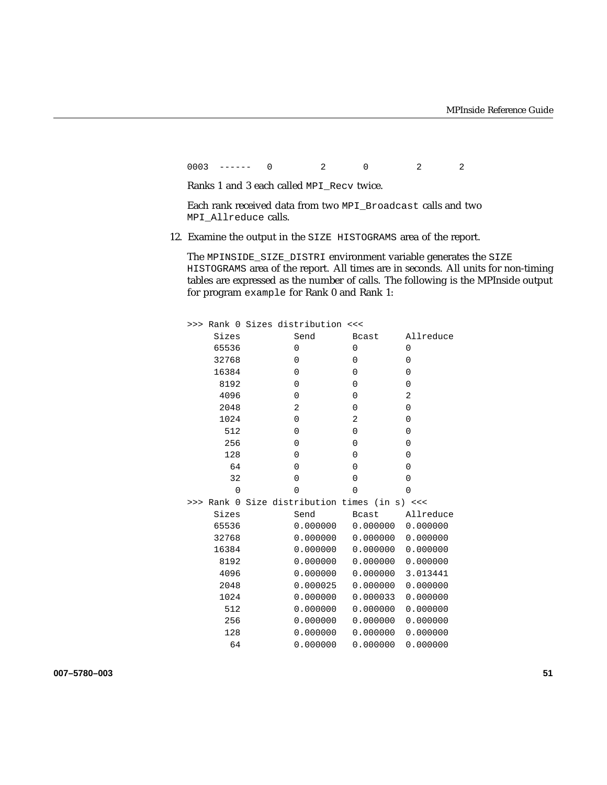0003 ------ 0 2 0 2 2

Ranks 1 and 3 each called MPI\_Recv twice.

Each rank received data from two MPI\_Broadcast calls and two MPI\_Allreduce calls.

12. Examine the output in the SIZE HISTOGRAMS area of the report.

The MPINSIDE\_SIZE\_DISTRI environment variable generates the SIZE HISTOGRAMS area of the report. All times are in seconds. All units for non-timing tables are expressed as the number of calls. The following is the MPInside output for program example for Rank 0 and Rank 1:

|       |          | >>> Rank 0 Sizes distribution <<<         |                |                    |
|-------|----------|-------------------------------------------|----------------|--------------------|
| Sizes |          | Send                                      | <b>Bcast</b>   | Allreduce          |
| 65536 |          | 0                                         | 0              | $\Omega$           |
|       | 32768    | 0                                         | 0              | 0                  |
|       | 16384    | 0                                         | 0              | $\Omega$           |
|       | 8192     | $\Omega$                                  | 0              | 0                  |
|       | 4096     | 0                                         | 0              | 2                  |
|       | 2048     | 2                                         | $\overline{0}$ | $\Omega$           |
|       | 1024     | 0                                         | 2              | $\Omega$           |
|       | 512      | 0                                         | 0              | $\Omega$           |
|       | 256      | 0                                         | 0              | $\Omega$           |
|       | 128      | 0                                         | 0              | $\Omega$           |
|       | 64       | 0                                         | $\Omega$       | 0                  |
|       | 32       | $\Omega$                                  | $\Omega$       | $\Omega$           |
|       | $\Omega$ | 0                                         | $\Omega$       | $\Omega$           |
| >>>   |          | Rank 0 Size distribution times (in s) <<< |                |                    |
|       | Sizes    | Send                                      | Bcast          | Allreduce          |
|       | 65536    | 0.000000                                  |                |                    |
|       | 32768    | 0.000000                                  |                |                    |
|       | 16384    | 0.000000                                  |                | 0.0000000000000000 |
|       | 8192     | 0.000000                                  |                |                    |
|       | 4096     | 0.000000                                  |                | 0.000000 3.013441  |
|       | 2048     | 0.000025                                  | 0.000000       | 0.000000           |
|       | 1024     | 0.000000                                  |                | 0.000033 0.000000  |
|       | 512      | 0.000000                                  |                | 0.0000000000000000 |
|       | 256      | 0.000000                                  | 0.000000       | 0.000000           |
|       | 128      | 0.000000                                  |                | 0.0000000000000000 |
|       | 64       | 0.000000                                  | 0.000000       | 0.000000           |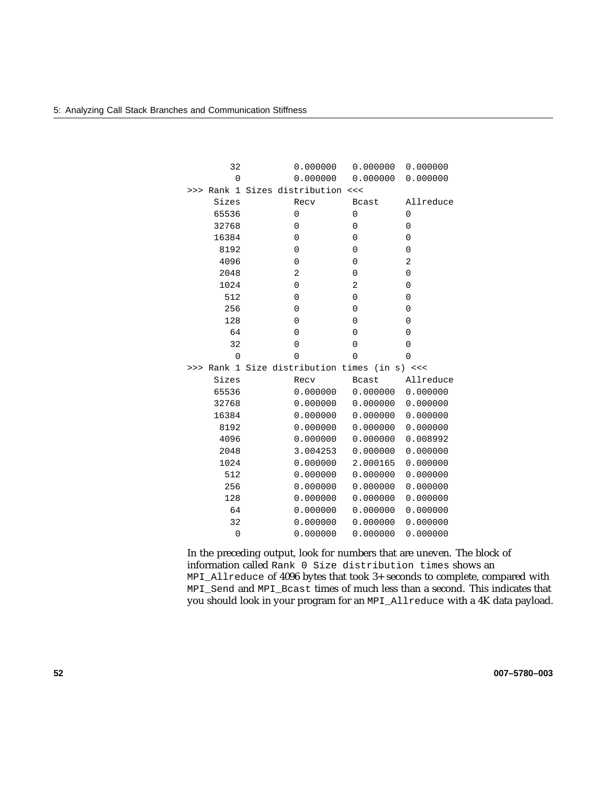|     | 32             | 0.000000                           |          | 0.000000     | 0.000000  |
|-----|----------------|------------------------------------|----------|--------------|-----------|
|     | 0              | 0.000000                           |          | 0.000000     | 0.000000  |
| >>> | Rank 1         | Sizes distribution                 | <<       |              |           |
|     | Sizes          | Recv                               |          | <b>Bcast</b> | Allreduce |
|     | 65536          | 0                                  | 0        |              | 0         |
|     | 32768          | 0                                  | 0        |              | 0         |
|     | 16384          | 0                                  | 0        |              | 0         |
|     | 8192           | 0                                  | 0        |              | 0         |
|     | 4096           | 0                                  | 0        |              | 2         |
|     | 2048           | $\overline{2}$                     | 0        |              | 0         |
|     | 1024           | 0                                  | 2        |              | 0         |
|     | 512            | 0                                  | 0        |              | 0         |
|     | 256            | $\Omega$                           | $\Omega$ |              | 0         |
|     | 128            | 0                                  | 0        |              | 0         |
|     | 64             | 0                                  | 0        |              | 0         |
|     | 32             | 0                                  | $\Omega$ |              | 0         |
|     | 0              | $\Omega$                           | $\Omega$ |              | 0         |
| >>> | Rank 1         | Size distribution times (in s) <<< |          |              |           |
|     | Sizes          | Recv                               |          | <b>Bcast</b> | Allreduce |
|     | 65536          | 0.000000                           |          | 0.000000     | 0.000000  |
|     | 32768          | 0.000000                           |          | 0.000000     | 0.000000  |
|     | 16384          | 0.000000                           |          | 0.000000     | 0.000000  |
|     | 8192           | 0.000000                           |          | 0.000000     | 0.000000  |
|     | 4096           | 0.000000                           |          | 0.000000     | 0.008992  |
|     | 2048           | 3.004253                           |          | 0.000000     | 0.000000  |
|     | 1024           | 0.000000                           |          | 2.000165     | 0.000000  |
|     | 512            | 0.000000                           |          | 0.000000     | 0.000000  |
|     | 256            | 0.000000                           |          | 0.000000     | 0.000000  |
|     | 128            | 0.000000                           |          | 0.000000     | 0.000000  |
|     | 64             | 0.000000                           |          | 0.000000     | 0.000000  |
|     | 32             | 0.000000                           |          | 0.000000     | 0.000000  |
|     | $\overline{0}$ | 0.000000                           |          | 0.000000     | 0.000000  |

In the preceding output, look for numbers that are uneven. The block of information called Rank 0 Size distribution times shows an MPI\_Allreduce of 4096 bytes that took 3+ seconds to complete, compared with MPI\_Send and MPI\_Bcast times of much less than a second. This indicates that you should look in your program for an MPI\_Allreduce with a 4K data payload.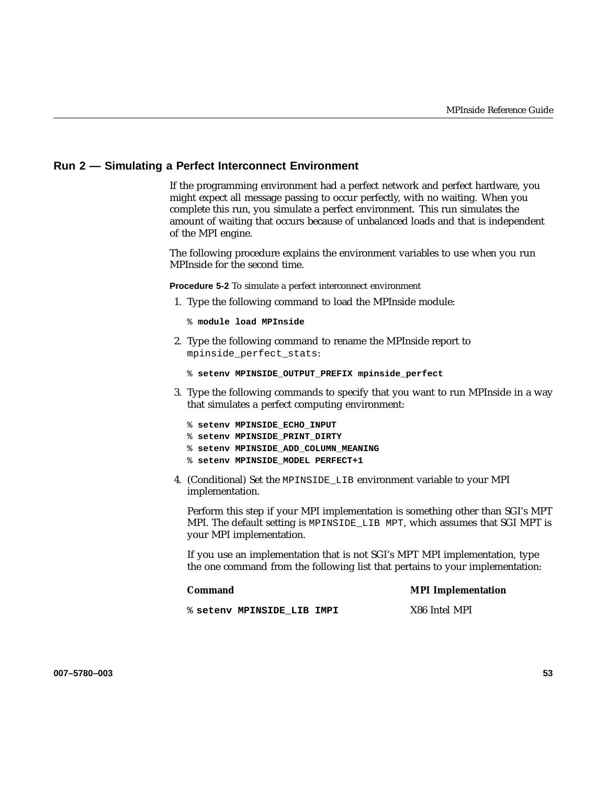### **Run 2 — Simulating a Perfect Interconnect Environment**

If the programming environment had a perfect network and perfect hardware, you might expect all message passing to occur perfectly, with no waiting. When you complete this run, you simulate a perfect environment. This run simulates the amount of waiting that occurs because of unbalanced loads and that is independent of the MPI engine.

The following procedure explains the environment variables to use when you run MPInside for the second time.

**Procedure 5-2** To simulate a perfect interconnect environment

1. Type the following command to load the MPInside module:

% **module load MPInside**

2. Type the following command to rename the MPInside report to mpinside\_perfect\_stats:

```
% setenv MPINSIDE_OUTPUT_PREFIX mpinside_perfect
```
- 3. Type the following commands to specify that you want to run MPInside in a way that simulates a perfect computing environment:
	- % **setenv MPINSIDE\_ECHO\_INPUT**
	- % **setenv MPINSIDE\_PRINT\_DIRTY**
	- % **setenv MPINSIDE\_ADD\_COLUMN\_MEANING**
	- % **setenv MPINSIDE\_MODEL PERFECT+1**
- 4. (Conditional) Set the MPINSIDE\_LIB environment variable to your MPI implementation.

Perform this step if your MPI implementation is something other than SGI's MPT MPI. The default setting is MPINSIDE\_LIB MPT, which assumes that SGI MPT is your MPI implementation.

If you use an implementation that is not SGI's MPT MPI implementation, type the one command from the following list that pertains to your implementation:

| Command                    | <b>MPI</b> Implementation |
|----------------------------|---------------------------|
| % setenv MPINSIDE LIB IMPI | X86 Intel MPI             |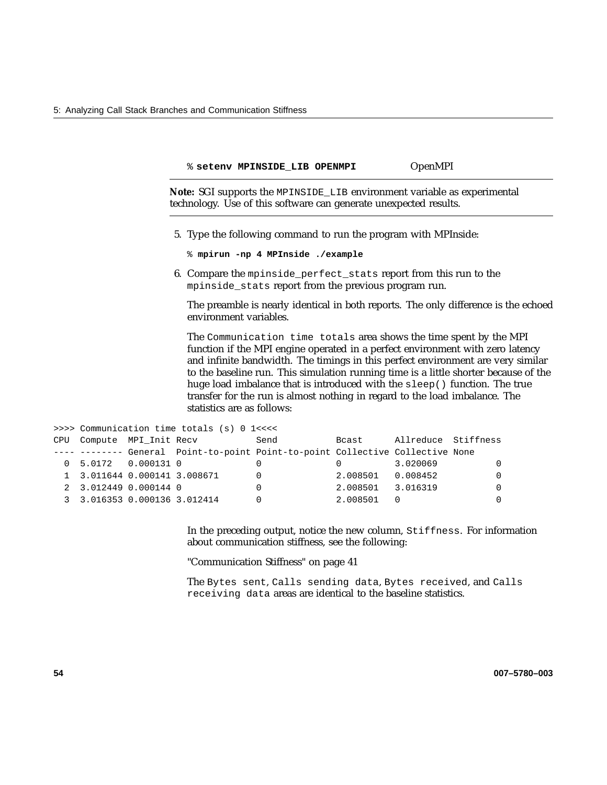|                              |                                            | % setenv MPINSIDE LIB OPENMPI                                                                                                                 |          | OpenMPI             |                                                                                                                                                                                                                                                                                                                                                                                                                |
|------------------------------|--------------------------------------------|-----------------------------------------------------------------------------------------------------------------------------------------------|----------|---------------------|----------------------------------------------------------------------------------------------------------------------------------------------------------------------------------------------------------------------------------------------------------------------------------------------------------------------------------------------------------------------------------------------------------------|
|                              |                                            | Note: SGI supports the MPINSIDE_LIB environment variable as experimental<br>technology. Use of this software can generate unexpected results. |          |                     |                                                                                                                                                                                                                                                                                                                                                                                                                |
|                              |                                            | 5. Type the following command to run the program with MPInside:                                                                               |          |                     |                                                                                                                                                                                                                                                                                                                                                                                                                |
|                              |                                            | % mpirun -np 4 MPInside ./example                                                                                                             |          |                     |                                                                                                                                                                                                                                                                                                                                                                                                                |
|                              |                                            | 6. Compare the mpinside_perfect_stats report from this run to the<br>mpinside_stats report from the previous program run.                     |          |                     |                                                                                                                                                                                                                                                                                                                                                                                                                |
|                              | environment variables.                     |                                                                                                                                               |          |                     | The preamble is nearly identical in both reports. The only difference is the echoed                                                                                                                                                                                                                                                                                                                            |
|                              | statistics are as follows:                 | transfer for the run is almost nothing in regard to the load imbalance. The                                                                   |          |                     | The Communication time totals area shows the time spent by the MPI<br>function if the MPI engine operated in a perfect environment with zero latency<br>and infinite bandwidth. The timings in this perfect environment are very similar<br>to the baseline run. This simulation running time is a little shorter because of the<br>huge load imbalance that is introduced with the sleep() function. The true |
|                              | >>>> Communication time totals (s) 0 1<<<< |                                                                                                                                               |          |                     |                                                                                                                                                                                                                                                                                                                                                                                                                |
| CPU Compute MPI_Init Recv    |                                            | Send                                                                                                                                          | Bcast    | Allreduce Stiffness |                                                                                                                                                                                                                                                                                                                                                                                                                |
|                              |                                            | ---- -------- General Point-to-point Point-to-point Collective Collective None                                                                |          |                     |                                                                                                                                                                                                                                                                                                                                                                                                                |
| 0 5.0172 0.000131 0          |                                            | 0                                                                                                                                             | 0        | 3.020069            | 0                                                                                                                                                                                                                                                                                                                                                                                                              |
| 1 3.011644 0.000141 3.008671 |                                            | $\Omega$                                                                                                                                      | 2.008501 | 0.008452            | $\Omega$                                                                                                                                                                                                                                                                                                                                                                                                       |

In the preceding output, notice the new column, Stiffness. For information about communication stiffness, see the following:

"Communication Stiffness" on page 41

2 3.012449 0.000144 0 0 2.008501 3.016319 0 3 3.016353 0.000136 3.012414 0 2.008501 0 0

> The Bytes sent, Calls sending data, Bytes received, and Calls receiving data areas are identical to the baseline statistics.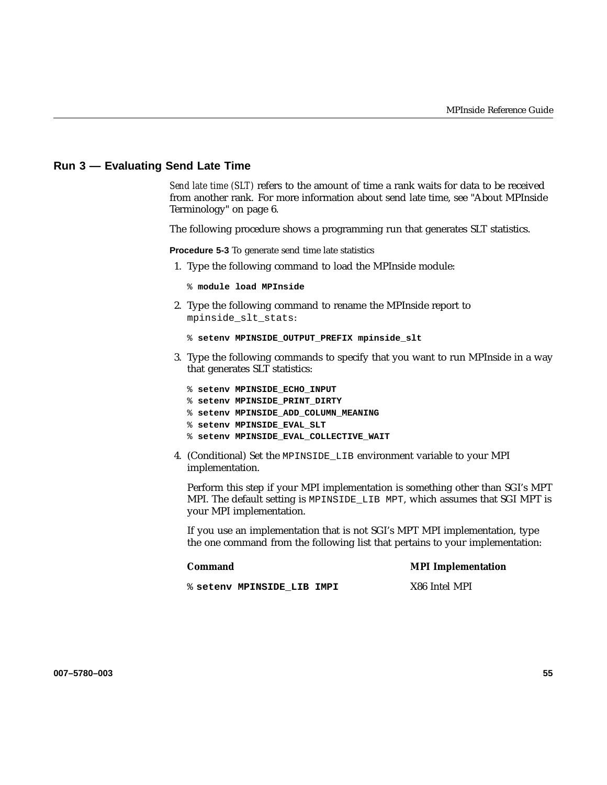### **Run 3 — Evaluating Send Late Time**

*Send late time (SLT)* refers to the amount of time a rank waits for data to be received from another rank. For more information about send late time, see "About MPInside Terminology" on page 6.

The following procedure shows a programming run that generates SLT statistics.

**Procedure 5-3** To generate send time late statistics

1. Type the following command to load the MPInside module:

% **module load MPInside**

2. Type the following command to rename the MPInside report to mpinside\_slt\_stats:

```
% setenv MPINSIDE_OUTPUT_PREFIX mpinside_slt
```
3. Type the following commands to specify that you want to run MPInside in a way that generates SLT statistics:

|  | % setenv MPINSIDE ECHO INPUT           |
|--|----------------------------------------|
|  | % setenv MPINSIDE PRINT DIRTY          |
|  | % setenv MPINSIDE ADD COLUMN MEANING   |
|  | % setenv MPINSIDE EVAL SLT             |
|  | % setenv MPINSIDE EVAL COLLECTIVE WAIT |
|  |                                        |

4. (Conditional) Set the MPINSIDE\_LIB environment variable to your MPI implementation.

Perform this step if your MPI implementation is something other than SGI's MPT MPI. The default setting is MPINSIDE\_LIB MPT, which assumes that SGI MPT is your MPI implementation.

If you use an implementation that is not SGI's MPT MPI implementation, type the one command from the following list that pertains to your implementation:

#### **Command MPI Implementation**

% **setenv MPINSIDE\_LIB IMPI** X86 Intel MPI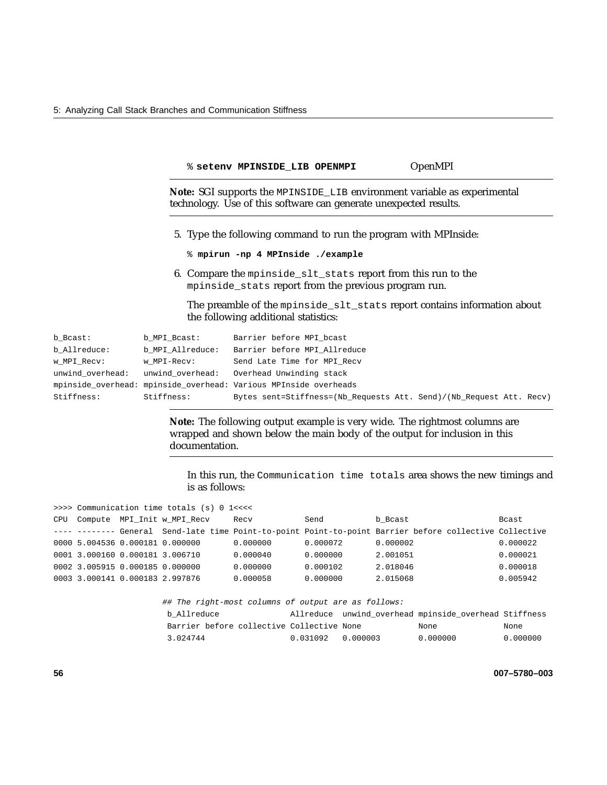% **setenv MPINSIDE\_LIB OPENMPI** OpenMPI

**Note:** SGI supports the MPINSIDE\_LIB environment variable as experimental technology. Use of this software can generate unexpected results.

- 5. Type the following command to run the program with MPInside:
	- % **mpirun -np 4 MPInside ./example**
- 6. Compare the mpinside\_slt\_stats report from this run to the mpinside\_stats report from the previous program run.

The preamble of the mpinside\_slt\_stats report contains information about the following additional statistics:

| b Bcast:         | b MPI Bcast:     | Barrier before MPI bcast                                            |
|------------------|------------------|---------------------------------------------------------------------|
| b Allreduce:     | b MPI Allreduce: | Barrier before MPI Allreduce                                        |
| w MPI Recv:      | w MPI-Recv:      | Send Late Time for MPI Recv                                         |
| unwind overhead: |                  | unwind overhead: Overhead Unwinding stack                           |
|                  |                  | mpinside overhead: mpinside overhead: Various MPInside overheads    |
| Stiffness:       | Stiffness:       | Bytes sent=Stiffness=(Nb Requests Att. Send)/(Nb Request Att. Recv) |

**Note:** The following output example is very wide. The rightmost columns are wrapped and shown below the main body of the output for inclusion in this documentation.

In this run, the Communication time totals area shows the new timings and is as follows:

|     | >>>> Communication time totals (s) 0 1<<<< |                                 |                             |          |          |                                                                                                         |          |  |
|-----|--------------------------------------------|---------------------------------|-----------------------------|----------|----------|---------------------------------------------------------------------------------------------------------|----------|--|
| CPU |                                            |                                 | Compute MPI Init w MPI Recv | Recy     | Send     | b Bcast                                                                                                 | Bcast    |  |
|     |                                            |                                 |                             |          |          | ---- -------- General Send-late time Point-to-point Point-to-point Barrier before collective Collective |          |  |
|     |                                            | 0000 5.004536 0.000181 0.000000 |                             | 0.000000 | 0.000072 | 0.000002                                                                                                | 0.000022 |  |
|     |                                            | 0001 3.000160 0.000181 3.006710 |                             | 0.000040 | 0.000000 | 2.001051                                                                                                | 0.000021 |  |
|     |                                            | 0002 3.005915 0.000185 0.000000 |                             | 0.000000 | 0.000102 | 2.018046                                                                                                | 0.000018 |  |
|     |                                            | 0003 3.000141 0.000183 2.997876 |                             | 0.000058 | 0.000000 | 2.015068                                                                                                | 0.005942 |  |
|     |                                            |                                 |                             |          |          |                                                                                                         |          |  |

|             |                                           |                   | ## The right-most columns of output are as follows: |                                                       |          |
|-------------|-------------------------------------------|-------------------|-----------------------------------------------------|-------------------------------------------------------|----------|
| b Allreduce |                                           |                   |                                                     | Allreduce unwind_overhead mpinside_overhead Stiffness |          |
|             | Barrier before collective Collective None |                   |                                                     | None                                                  | None     |
| 3.024744    |                                           | 0.031092 0.000003 |                                                     | 0.000000                                              | 0.000000 |

**56 007–5780–003**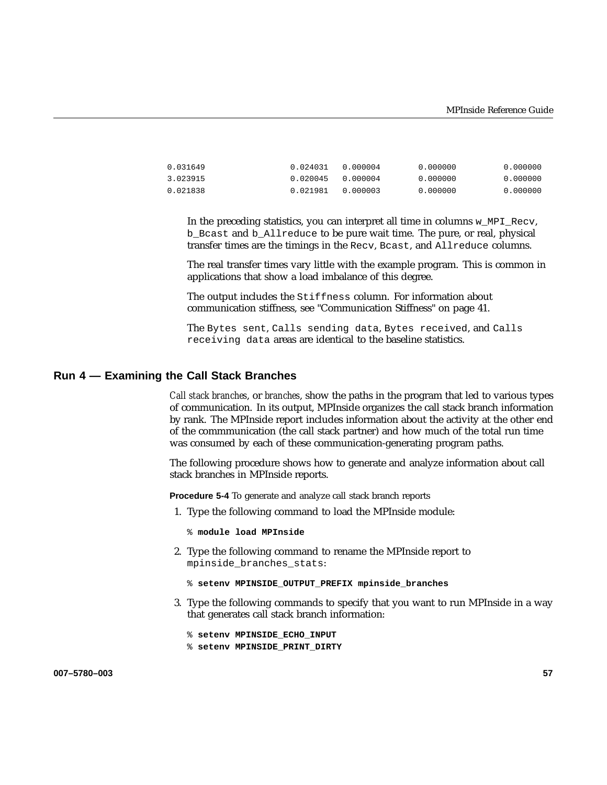| 0.031649 | 0.024031 0.000004 | 0.000000 | 0.000000 |
|----------|-------------------|----------|----------|
| 3.023915 | 0.020045 0.000004 | 0.000000 | 0.000000 |
| 0.021838 | 0.021981          | 0.000000 | 0.000000 |

In the preceding statistics, you can interpret all time in columns w\_MPI\_Recv, b\_Bcast and b\_Allreduce to be pure wait time. The pure, or real, physical transfer times are the timings in the Recv, Bcast, and Allreduce columns.

The real transfer times vary little with the example program. This is common in applications that show a load imbalance of this degree.

The output includes the Stiffness column. For information about communication stiffness, see "Communication Stiffness" on page 41.

The Bytes sent, Calls sending data, Bytes received, and Calls receiving data areas are identical to the baseline statistics.

#### **Run 4 — Examining the Call Stack Branches**

*Call stack branches*, or *branches*, show the paths in the program that led to various types of communication. In its output, MPInside organizes the call stack branch information by rank. The MPInside report includes information about the activity at the other end of the commmunication (the call stack partner) and how much of the total run time was consumed by each of these communication-generating program paths.

The following procedure shows how to generate and analyze information about call stack branches in MPInside reports.

**Procedure 5-4** To generate and analyze call stack branch reports

- 1. Type the following command to load the MPInside module:
	- % **module load MPInside**
- 2. Type the following command to rename the MPInside report to mpinside\_branches\_stats:

```
% setenv MPINSIDE_OUTPUT_PREFIX mpinside_branches
```
3. Type the following commands to specify that you want to run MPInside in a way that generates call stack branch information:

% **setenv MPINSIDE\_ECHO\_INPUT**

% **setenv MPINSIDE\_PRINT\_DIRTY**

**007–5780–003 57**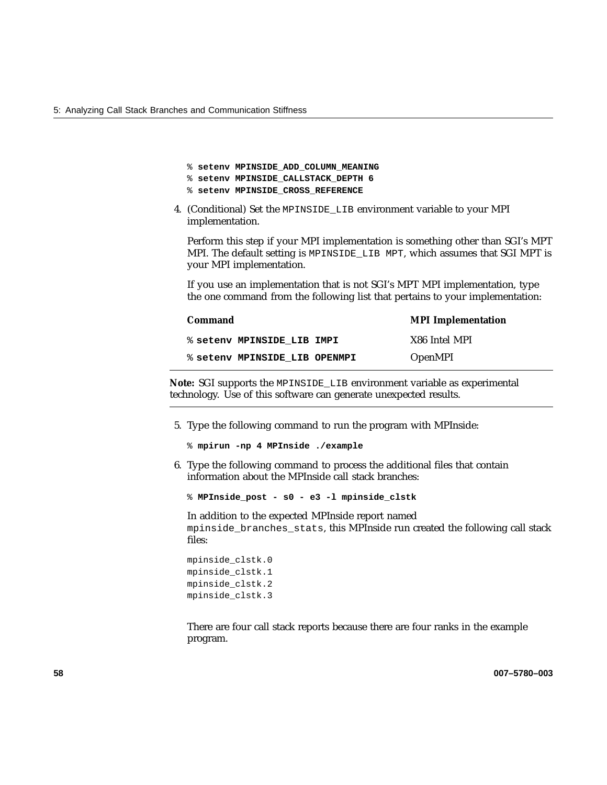- % **setenv MPINSIDE\_ADD\_COLUMN\_MEANING**
- % **setenv MPINSIDE\_CALLSTACK\_DEPTH 6**
- % **setenv MPINSIDE\_CROSS\_REFERENCE**
- 4. (Conditional) Set the MPINSIDE\_LIB environment variable to your MPI implementation.

Perform this step if your MPI implementation is something other than SGI's MPT MPI. The default setting is MPINSIDE\_LIB MPT, which assumes that SGI MPT is your MPI implementation.

If you use an implementation that is not SGI's MPT MPI implementation, type the one command from the following list that pertains to your implementation:

| <b>Command</b>                | <b>MPI</b> Implementation |
|-------------------------------|---------------------------|
| % setenv MPINSIDE LIB IMPI    | X86 Intel MPI             |
| % seteny MPINSIDE LIB OPENMPI | <b>OpenMPI</b>            |

**Note:** SGI supports the MPINSIDE\_LIB environment variable as experimental technology. Use of this software can generate unexpected results.

5. Type the following command to run the program with MPInside:

```
% mpirun -np 4 MPInside ./example
```
6. Type the following command to process the additional files that contain information about the MPInside call stack branches:

% **MPInside\_post - s0 - e3 -l mpinside\_clstk**

In addition to the expected MPInside report named mpinside\_branches\_stats, this MPInside run created the following call stack files:

mpinside\_clstk.0 mpinside\_clstk.1 mpinside\_clstk.2 mpinside\_clstk.3

There are four call stack reports because there are four ranks in the example program.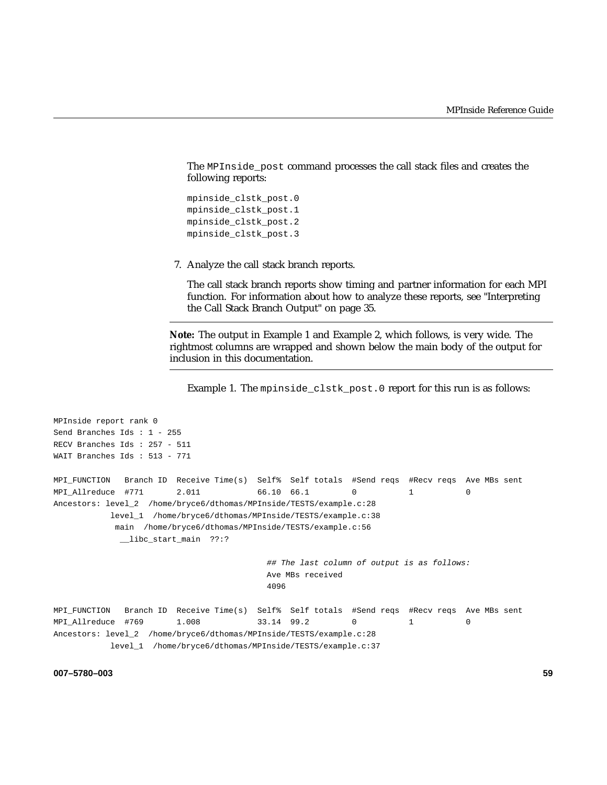The MPInside\_post command processes the call stack files and creates the following reports:

```
mpinside_clstk_post.0
mpinside_clstk_post.1
mpinside_clstk_post.2
mpinside_clstk_post.3
```
7. Analyze the call stack branch reports.

The call stack branch reports show timing and partner information for each MPI function. For information about how to analyze these reports, see "Interpreting the Call Stack Branch Output" on page 35.

**Note:** The output in Example 1 and Example 2, which follows, is very wide. The rightmost columns are wrapped and shown below the main body of the output for inclusion in this documentation.

Example 1. The mpinside\_clstk\_post.0 report for this run is as follows:

```
MPInside report rank 0
Send Branches Ids : 1 - 255
RECV Branches Ids : 257 - 511
WAIT Branches Ids : 513 - 771
MPI_FUNCTION Branch ID Receive Time(s) Self% Self totals #Send reqs #Recv reqs Ave MBs sent
MPI_Allreduce #771 2.011 66.10 66.1 0 1 0
Ancestors: level_2 /home/bryce6/dthomas/MPInside/TESTS/example.c:28
          level_1 /home/bryce6/dthomas/MPInside/TESTS/example.c:38
           main /home/bryce6/dthomas/MPInside/TESTS/example.c:56
            __libc_start_main ??:?
                                       ## The last column of output is as follows:
                                       Ave MBs received
                                       4096
MPI_FUNCTION Branch ID Receive Time(s) Self% Self totals #Send reqs #Recv reqs Ave MBs sent
MPI_Allreduce #769 1.008 33.14 99.2 0 1 0
Ancestors: level_2 /home/bryce6/dthomas/MPInside/TESTS/example.c:28
          level_1 /home/bryce6/dthomas/MPInside/TESTS/example.c:37
```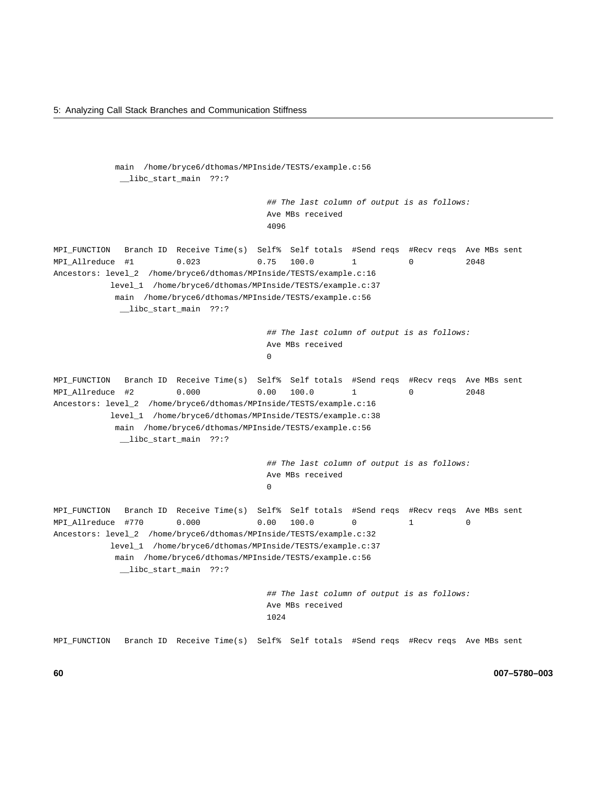```
main /home/bryce6/dthomas/MPInside/TESTS/example.c:56
            __libc_start_main ??:?
                                        ## The last column of output is as follows:
                                        Ave MBs received
                                        4096
MPI_FUNCTION Branch ID Receive Time(s) Self% Self totals #Send reqs #Recv reqs Ave MBs sent
MPI_Allreduce #1 0.023 0.75 100.0 1 0 2048
Ancestors: level_2 /home/bryce6/dthomas/MPInside/TESTS/example.c:16
          level_1 /home/bryce6/dthomas/MPInside/TESTS/example.c:37
           main /home/bryce6/dthomas/MPInside/TESTS/example.c:56
            __libc_start_main ??:?
                                        ## The last column of output is as follows:
                                        Ave MBs received
                                        0
MPI_FUNCTION Branch ID Receive Time(s) Self% Self totals #Send reqs #Recv reqs Ave MBs sent
MPI_Allreduce #2 0.000 0.00 100.0 1 0 2048
Ancestors: level_2 /home/bryce6/dthomas/MPInside/TESTS/example.c:16
          level_1 /home/bryce6/dthomas/MPInside/TESTS/example.c:38
           main /home/bryce6/dthomas/MPInside/TESTS/example.c:56
            __libc_start_main ??:?
                                        ## The last column of output is as follows:
                                        Ave MBs received
                                        \OmegaMPI_FUNCTION Branch ID Receive Time(s) Self% Self totals #Send reqs #Recv reqs Ave MBs sent
MPI_Allreduce #770 0.000 0.00 100.0 0 1 0
Ancestors: level_2 /home/bryce6/dthomas/MPInside/TESTS/example.c:32
          level_1 /home/bryce6/dthomas/MPInside/TESTS/example.c:37
           main /home/bryce6/dthomas/MPInside/TESTS/example.c:56
            __libc_start_main ??:?
                                        ## The last column of output is as follows:
                                        Ave MBs received
                                        1024
MPI_FUNCTION Branch ID Receive Time(s) Self% Self totals #Send reqs #Recv reqs Ave MBs sent
```
**60 007–5780–003**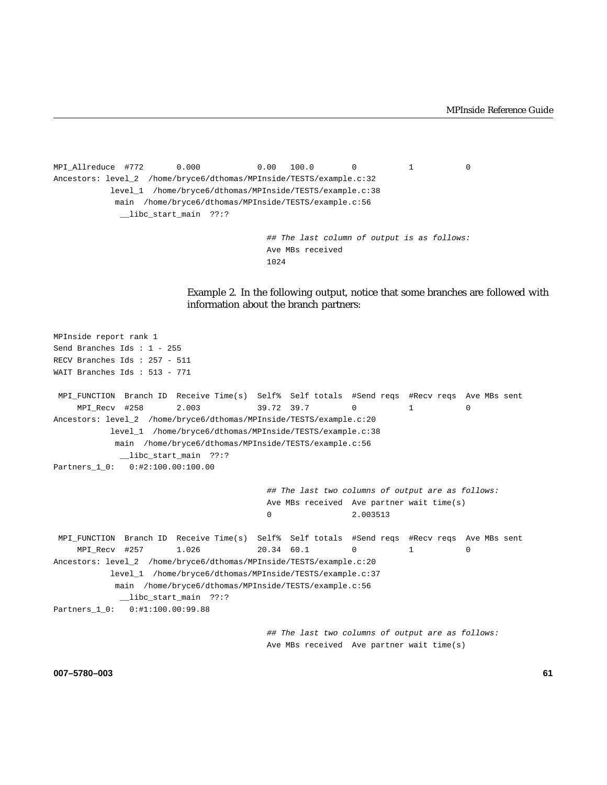```
MPI_Allreduce #772 0.000 0.00 100.0 0 1 0
Ancestors: level_2 /home/bryce6/dthomas/MPInside/TESTS/example.c:32
         level_1 /home/bryce6/dthomas/MPInside/TESTS/example.c:38
          main /home/bryce6/dthomas/MPInside/TESTS/example.c:56
           __libc_start_main ??:?
```
## The last column of output is as follows: Ave MBs received 1024

Example 2. In the following output, notice that some branches are followed with information about the branch partners:

```
MPInside report rank 1
Send Branches Ids : 1 - 255
RECV Branches Ids : 257 - 511
WAIT Branches Ids : 513 - 771
MPI_FUNCTION Branch ID Receive Time(s) Self% Self totals #Send reqs #Recv reqs Ave MBs sent
    MPI_Recv #258 2.003 39.72 39.7 0 1 0
Ancestors: level_2 /home/bryce6/dthomas/MPInside/TESTS/example.c:20
          level_1 /home/bryce6/dthomas/MPInside/TESTS/example.c:38
           main /home/bryce6/dthomas/MPInside/TESTS/example.c:56
            __libc_start_main ??:?
Partners_1_0: 0:#2:100.00:100.00
                                        ## The last two columns of output are as follows:
                                        Ave MBs received Ave partner wait time(s)
                                        0 2.003513
MPI_FUNCTION Branch ID Receive Time(s) Self% Self totals #Send reqs #Recv reqs Ave MBs sent
    MPI_Recv #257 1.026 20.34 60.1 0 1 0
Ancestors: level_2 /home/bryce6/dthomas/MPInside/TESTS/example.c:20
          level_1 /home/bryce6/dthomas/MPInside/TESTS/example.c:37
           main /home/bryce6/dthomas/MPInside/TESTS/example.c:56
            __libc_start_main ??:?
Partners_1_0: 0:#1:100.00:99.88
                                        ## The last two columns of output are as follows:
                                       Ave MBs received Ave partner wait time(s)
```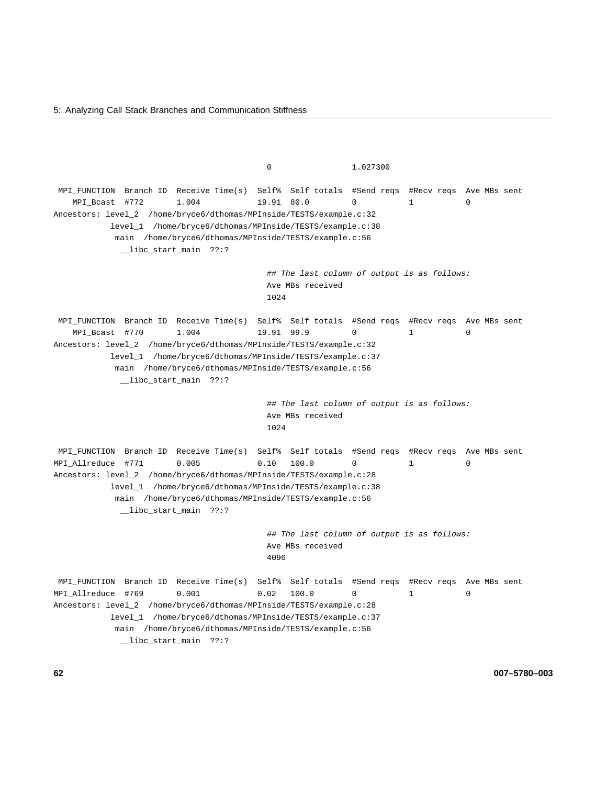5: Analyzing Call Stack Branches and Communication Stiffness

0 1.027300 MPI\_FUNCTION Branch ID Receive Time(s) Self% Self totals #Send reqs #Recv reqs Ave MBs sent MPI\_Bcast #772 1.004 19.91 80.0 0 1 0 Ancestors: level\_2 /home/bryce6/dthomas/MPInside/TESTS/example.c:32 level\_1 /home/bryce6/dthomas/MPInside/TESTS/example.c:38 main /home/bryce6/dthomas/MPInside/TESTS/example.c:56 \_\_libc\_start\_main ??:? ## The last column of output is as follows: Ave MBs received 1024 MPI\_FUNCTION Branch ID Receive Time(s) Self% Self totals #Send reqs #Recv reqs Ave MBs sent MPI\_Bcast #770 1.004 19.91 99.9 0 1 0 Ancestors: level\_2 /home/bryce6/dthomas/MPInside/TESTS/example.c:32 level\_1 /home/bryce6/dthomas/MPInside/TESTS/example.c:37 main /home/bryce6/dthomas/MPInside/TESTS/example.c:56 \_\_libc\_start\_main ??:? ## The last column of output is as follows: Ave MBs received 1024 MPI\_FUNCTION Branch ID Receive Time(s) Self% Self totals #Send reqs #Recv reqs Ave MBs sent MPI\_Allreduce #771 0.005 0.10 100.0 0 1 0 Ancestors: level\_2 /home/bryce6/dthomas/MPInside/TESTS/example.c:28 level\_1 /home/bryce6/dthomas/MPInside/TESTS/example.c:38 main /home/bryce6/dthomas/MPInside/TESTS/example.c:56 \_\_libc\_start\_main ??:? ## The last column of output is as follows: Ave MBs received 4096 MPI\_FUNCTION Branch ID Receive Time(s) Self% Self totals #Send reqs #Recv reqs Ave MBs sent MPI\_Allreduce #769 0.001 0.02 100.0 0 1 0 Ancestors: level\_2 /home/bryce6/dthomas/MPInside/TESTS/example.c:28 level\_1 /home/bryce6/dthomas/MPInside/TESTS/example.c:37 main /home/bryce6/dthomas/MPInside/TESTS/example.c:56 \_\_libc\_start\_main ??:?

**62 007–5780–003**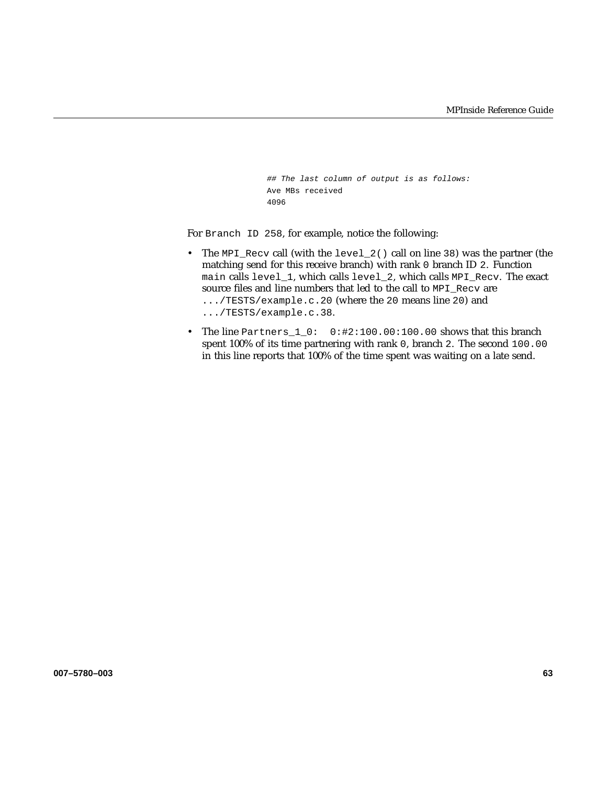```
## The last column of output is as follows:
Ave MBs received
4096
```
For Branch ID 258, for example, notice the following:

- The MPI\_Recv call (with the level\_2() call on line 38) was the partner (the matching send for this receive branch) with rank 0 branch ID 2. Function main calls level\_1, which calls level\_2, which calls MPI\_Recv. The exact source files and line numbers that led to the call to MPI\_Recv are .../TESTS/example.c.20 (where the 20 means line 20) and .../TESTS/example.c.38.
- The line Partners\_1\_0: 0:#2:100.00:100.00 shows that this branch spent 100% of its time partnering with rank 0, branch 2. The second 100.00 in this line reports that 100% of the time spent was waiting on a late send.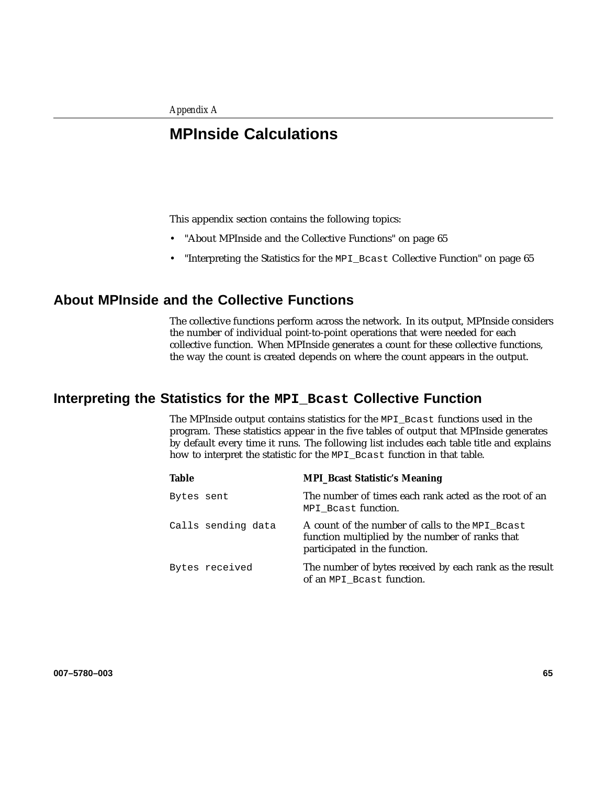## **MPInside Calculations**

This appendix section contains the following topics:

- "About MPInside and the Collective Functions" on page 65
- "Interpreting the Statistics for the MPI\_Bcast Collective Function" on page 65

## **About MPInside and the Collective Functions**

The collective functions perform across the network. In its output, MPInside considers the number of individual point-to-point operations that were needed for each collective function. When MPInside generates a count for these collective functions, the way the count is created depends on where the count appears in the output.

## **Interpreting the Statistics for the MPI\_Bcast Collective Function**

The MPInside output contains statistics for the MPI\_Bcast functions used in the program. These statistics appear in the five tables of output that MPInside generates by default every time it runs. The following list includes each table title and explains how to interpret the statistic for the MPI\_Bcast function in that table.

| <b>Table</b>       | <b>MPI_Bcast Statistic's Meaning</b>                                                                                                |
|--------------------|-------------------------------------------------------------------------------------------------------------------------------------|
| Bytes sent         | The number of times each rank acted as the root of an<br>MPI Beast function.                                                        |
| Calls sending data | A count of the number of calls to the MPI_Bcast<br>function multiplied by the number of ranks that<br>participated in the function. |
| Bytes received     | The number of bytes received by each rank as the result<br>of an MPI Beast function.                                                |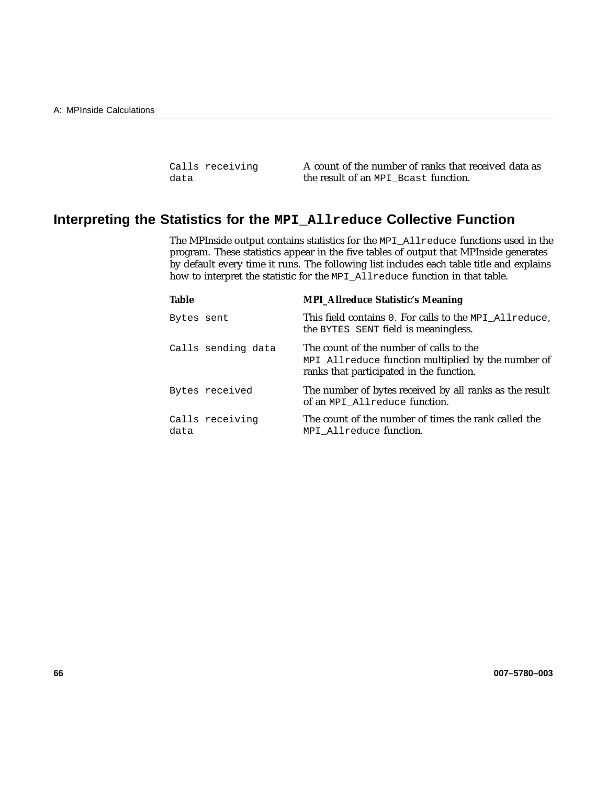| Calls receiving | A count of the number of ranks that received data as |
|-----------------|------------------------------------------------------|
| data            | the result of an MPI Beast function.                 |

# **Interpreting the Statistics for the MPI\_Allreduce Collective Function**

The MPInside output contains statistics for the MPI\_Allreduce functions used in the program. These statistics appear in the five tables of output that MPInside generates by default every time it runs. The following list includes each table title and explains how to interpret the statistic for the MPI\_Allreduce function in that table.

| <b>Table</b> |                    | <b>MPI_Allreduce Statistic's Meaning</b>                                                                                                  |
|--------------|--------------------|-------------------------------------------------------------------------------------------------------------------------------------------|
| Bytes sent   |                    | This field contains 0. For calls to the MPI_Allreduce,<br>the BYTES SENT field is meaningless.                                            |
|              | Calls sending data | The count of the number of calls to the<br>MPI_Allreduce function multiplied by the number of<br>ranks that participated in the function. |
|              | Bytes received     | The number of bytes received by all ranks as the result<br>of an MPI Allreduce function.                                                  |
| data         | Calls receiving    | The count of the number of times the rank called the<br>MPI Allreduce function.                                                           |